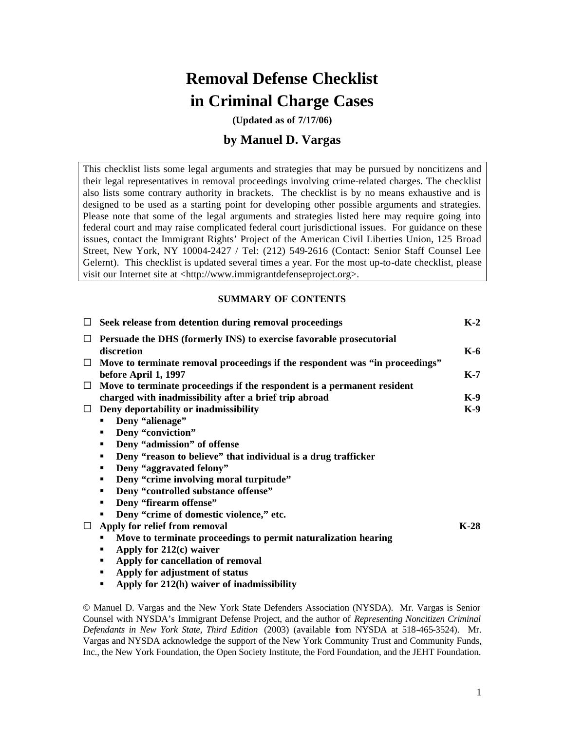# **Removal Defense Checklist in Criminal Charge Cases**

**(Updated as of 7/17/06)**

## **by Manuel D. Vargas**

This checklist lists some legal arguments and strategies that may be pursued by noncitizens and their legal representatives in removal proceedings involving crime-related charges. The checklist also lists some contrary authority in brackets. The checklist is by no means exhaustive and is designed to be used as a starting point for developing other possible arguments and strategies. Please note that some of the legal arguments and strategies listed here may require going into federal court and may raise complicated federal court jurisdictional issues. For guidance on these issues, contact the Immigrant Rights' Project of the American Civil Liberties Union, 125 Broad Street, New York, NY 10004-2427 / Tel: (212) 549-2616 (Contact: Senior Staff Counsel Lee Gelernt). This checklist is updated several times a year. For the most up-to-date checklist, please visit our Internet site at <http://www.immigrantdefenseproject.org>.

## **SUMMARY OF CONTENTS**

|        | $\Box$ Seek release from detention during removal proceedings                       | $K-2$  |
|--------|-------------------------------------------------------------------------------------|--------|
| $\Box$ | <b>Persuade the DHS (formerly INS) to exercise favorable prosecutorial</b>          |        |
|        | discretion                                                                          | $K-6$  |
|        | $\Box$ Move to terminate removal proceedings if the respondent was "in proceedings" |        |
|        | before April 1, 1997                                                                | $K-7$  |
| $\Box$ | Move to terminate proceedings if the respondent is a permanent resident             |        |
|        | charged with inadmissibility after a brief trip abroad                              | $K-9$  |
|        | $\Box$ Deny deportability or inadmissibility                                        | $K-9$  |
|        | Deny "alienage"<br>п.                                                               |        |
|        | Deny "conviction"<br>٠                                                              |        |
|        | Deny "admission" of offense<br>٠                                                    |        |
|        | Deny "reason to believe" that individual is a drug trafficker<br>٠                  |        |
|        | Deny "aggravated felony"<br>٠                                                       |        |
|        | Deny "crime involving moral turpitude"<br>٠                                         |        |
|        | Deny "controlled substance offense"<br>٠                                            |        |
|        | Deny "firearm offense"<br>٠                                                         |        |
|        | Deny "crime of domestic violence," etc.                                             |        |
| $\Box$ | Apply for relief from removal                                                       | $K-28$ |
|        | Move to terminate proceedings to permit naturalization hearing                      |        |
|        | Apply for $212(c)$ waiver<br>٠                                                      |        |
|        | Apply for cancellation of removal<br>٠                                              |        |
|        | Apply for adjustment of status<br>٠                                                 |        |
|        | Apply for 212(h) waiver of inadmissibility<br>٠                                     |        |
|        |                                                                                     |        |

© Manuel D. Vargas and the New York State Defenders Association (NYSDA). Mr. Vargas is Senior Counsel with NYSDA's Immigrant Defense Project, and the author of *Representing Noncitizen Criminal Defendants in New York State, Third Edition* (2003) (available from NYSDA at 518-465-3524). Mr. Vargas and NYSDA acknowledge the support of the New York Community Trust and Community Funds, Inc., the New York Foundation, the Open Society Institute, the Ford Foundation, and the JEHT Foundation.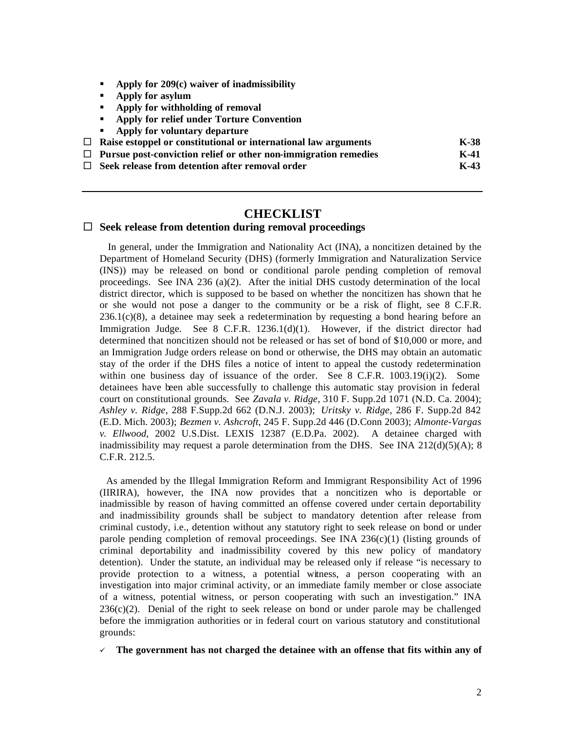- ß **Apply for 209(c) waiver of inadmissibility**
- ß **Apply for asylum**
- **B** Apply for withholding of removal
- $\blacksquare$  Apply for relief under Torture Convention
- **Apply for voluntary departure**

| Raise estoppel or constitutional or international law arguments        | $K-38$ |
|------------------------------------------------------------------------|--------|
| $\Box$ Pursue post-conviction relief or other non-immigration remedies | $K-41$ |

□ Seek release from detention after removal order No. 2008 **K-43** 

# **CHECKLIST**

## □ Seek release from detention during removal proceedings

 In general, under the Immigration and Nationality Act (INA), a noncitizen detained by the Department of Homeland Security (DHS) (formerly Immigration and Naturalization Service (INS)) may be released on bond or conditional parole pending completion of removal proceedings. See INA 236 (a)(2). After the initial DHS custody determination of the local district director, which is supposed to be based on whether the noncitizen has shown that he or she would not pose a danger to the community or be a risk of flight, see 8 C.F.R. 236.1(c)(8), a detainee may seek a redetermination by requesting a bond hearing before an Immigration Judge. See 8 C.F.R. 1236.1(d)(1). However, if the district director had determined that noncitizen should not be released or has set of bond of \$10,000 or more, and an Immigration Judge orders release on bond or otherwise, the DHS may obtain an automatic stay of the order if the DHS files a notice of intent to appeal the custody redetermination within one business day of issuance of the order. See 8 C.F.R.  $1003.19(i)(2)$ . Some detainees have been able successfully to challenge this automatic stay provision in federal court on constitutional grounds. See *Zavala v. Ridge*, 310 F. Supp.2d 1071 (N.D. Ca. 2004); *Ashley v. Ridge*, 288 F.Supp.2d 662 (D.N.J. 2003); *Uritsky v. Ridge*, 286 F. Supp.2d 842 (E.D. Mich. 2003); *Bezmen v. Ashcroft*, 245 F. Supp.2d 446 (D.Conn 2003); *Almonte-Vargas v. Ellwood,* 2002 U.S.Dist. LEXIS 12387 (E.D.Pa. 2002). A detainee charged with inadmissibility may request a parole determination from the DHS. See INA  $212(d)(5)(A)$ ; 8 C.F.R. 212.5.

 As amended by the Illegal Immigration Reform and Immigrant Responsibility Act of 1996 (IIRIRA), however, the INA now provides that a noncitizen who is deportable or inadmissible by reason of having committed an offense covered under certain deportability and inadmissibility grounds shall be subject to mandatory detention after release from criminal custody, i.e., detention without any statutory right to seek release on bond or under parole pending completion of removal proceedings. See INA  $236(c)(1)$  (listing grounds of criminal deportability and inadmissibility covered by this new policy of mandatory detention). Under the statute, an individual may be released only if release "is necessary to provide protection to a witness, a potential witness, a person cooperating with an investigation into major criminal activity, or an immediate family member or close associate of a witness, potential witness, or person cooperating with such an investigation." INA  $236(c)(2)$ . Denial of the right to seek release on bond or under parole may be challenged before the immigration authorities or in federal court on various statutory and constitutional grounds:

 $\checkmark$  The government has not charged the detainee with an offense that fits within any of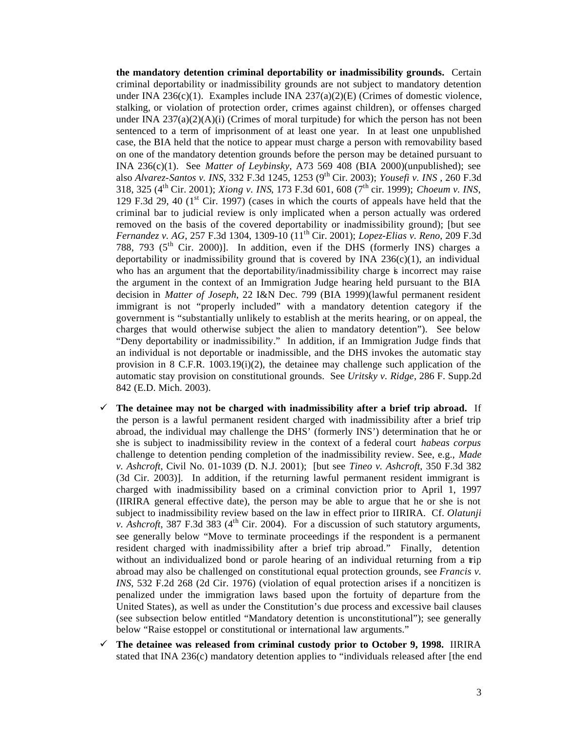**the mandatory detention criminal deportability or inadmissibility grounds.** Certain criminal deportability or inadmissibility grounds are not subject to mandatory detention under INA 236(c)(1). Examples include INA 237(a)(2)(E) (Crimes of domestic violence, stalking, or violation of protection order, crimes against children), or offenses charged under INA  $237(a)(2)(A)(i)$  (Crimes of moral turpitude) for which the person has not been sentenced to a term of imprisonment of at least one year. In at least one unpublished case, the BIA held that the notice to appear must charge a person with removability based on one of the mandatory detention grounds before the person may be detained pursuant to INA 236(c)(1). See *Matter of Leybinsky*, A73 569 408 (BIA 2000)(unpublished); see also *Alvarez-Santos v. INS*, 332 F.3d 1245, 1253 (9th Cir. 2003); *Yousefi v. INS* , 260 F.3d 318, 325 (4th Cir. 2001); *Xiong v. INS*, 173 F.3d 601, 608 (7th cir. 1999); *Choeum v. INS*, 129 F.3d 29, 40  $(1<sup>st</sup> Cir. 1997)$  (cases in which the courts of appeals have held that the criminal bar to judicial review is only implicated when a person actually was ordered removed on the basis of the covered deportability or inadmissibility ground); [but see *Fernandez v. AG*, 257 F.3d 1304, 1309-10 (11th Cir. 2001); *Lopez-Elias v. Reno*, 209 F.3d 788, 793 ( $5<sup>th</sup>$  Cir. 2000)]. In addition, even if the DHS (formerly INS) charges a deportability or inadmissibility ground that is covered by INA  $236(c)(1)$ , an individual who has an argument that the deportability/inadmissibility charge is incorrect may raise the argument in the context of an Immigration Judge hearing held pursuant to the BIA decision in *Matter of Joseph*, 22 I&N Dec. 799 (BIA 1999)(lawful permanent resident immigrant is not "properly included" with a mandatory detention category if the government is "substantially unlikely to establish at the merits hearing, or on appeal, the charges that would otherwise subject the alien to mandatory detention"). See below "Deny deportability or inadmissibility." In addition, if an Immigration Judge finds that an individual is not deportable or inadmissible, and the DHS invokes the automatic stay provision in 8 C.F.R.  $1003.19(i)(2)$ , the detainee may challenge such application of the automatic stay provision on constitutional grounds. See *Uritsky v. Ridge*, 286 F. Supp.2d 842 (E.D. Mich. 2003).

- $\checkmark$  The detainee may not be charged with inadmissibility after a brief trip abroad. If the person is a lawful permanent resident charged with inadmissibility after a brief trip abroad, the individual may challenge the DHS' (formerly INS') determination that he or she is subject to inadmissibility review in the context of a federal court *habeas corpus* challenge to detention pending completion of the inadmissibility review. See, e.g., *Made v. Ashcroft*, Civil No. 01-1039 (D. N.J. 2001); [but see *Tineo v. Ashcroft*, 350 F.3d 382 (3d Cir. 2003)]. In addition, if the returning lawful permanent resident immigrant is charged with inadmissibility based on a criminal conviction prior to April 1, 1997 (IIRIRA general effective date), the person may be able to argue that he or she is not subject to inadmissibility review based on the law in effect prior to IIRIRA. Cf. *Olatunji v. Ashcroft*, 387 F.3d 383 ( $4<sup>th</sup>$  Cir. 2004). For a discussion of such statutory arguments, see generally below "Move to terminate proceedings if the respondent is a permanent resident charged with inadmissibility after a brief trip abroad." Finally, detention without an individualized bond or parole hearing of an individual returning from a trip abroad may also be challenged on constitutional equal protection grounds, see *Francis v. INS*, 532 F.2d 268 (2d Cir. 1976) (violation of equal protection arises if a noncitizen is penalized under the immigration laws based upon the fortuity of departure from the United States), as well as under the Constitution's due process and excessive bail clauses (see subsection below entitled "Mandatory detention is unconstitutional"); see generally below "Raise estoppel or constitutional or international law arguments."
- $\checkmark$  The detainee was released from criminal custody prior to October 9, 1998. IIRIRA stated that INA 236(c) mandatory detention applies to "individuals released after [the end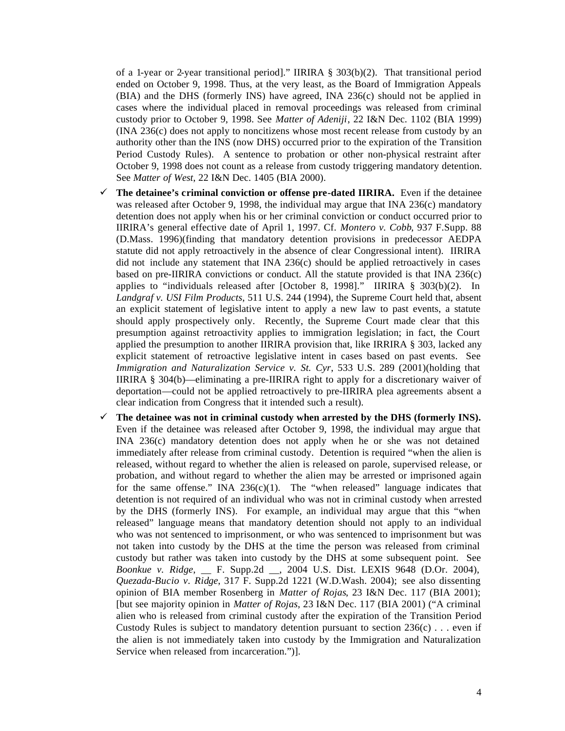of a 1-year or 2-year transitional period]." IIRIRA § 303(b)(2). That transitional period ended on October 9, 1998. Thus, at the very least, as the Board of Immigration Appeals (BIA) and the DHS (formerly INS) have agreed, INA 236(c) should not be applied in cases where the individual placed in removal proceedings was released from criminal custody prior to October 9, 1998. See *Matter of Adeniji*, 22 I&N Dec. 1102 (BIA 1999) (INA 236(c) does not apply to noncitizens whose most recent release from custody by an authority other than the INS (now DHS) occurred prior to the expiration of the Transition Period Custody Rules). A sentence to probation or other non-physical restraint after October 9, 1998 does not count as a release from custody triggering mandatory detention. See *Matter of West*, 22 I&N Dec. 1405 (BIA 2000).

- $\checkmark$  The detainee's criminal conviction or offense pre-dated IIRIRA. Even if the detainee was released after October 9, 1998, the individual may argue that INA 236(c) mandatory detention does not apply when his or her criminal conviction or conduct occurred prior to IIRIRA's general effective date of April 1, 1997. Cf. *Montero v. Cobb*, 937 F.Supp. 88 (D.Mass. 1996)(finding that mandatory detention provisions in predecessor AEDPA statute did not apply retroactively in the absence of clear Congressional intent). IIRIRA did not include any statement that INA  $236(c)$  should be applied retroactively in cases based on pre-IIRIRA convictions or conduct. All the statute provided is that INA 236(c) applies to "individuals released after [October 8, 1998]." IIRIRA § 303(b)(2). In *Landgraf v. USI Film Products*, 511 U.S. 244 (1994), the Supreme Court held that, absent an explicit statement of legislative intent to apply a new law to past events, a statute should apply prospectively only. Recently, the Supreme Court made clear that this presumption against retroactivity applies to immigration legislation; in fact, the Court applied the presumption to another IIRIRA provision that, like IRRIRA § 303, lacked any explicit statement of retroactive legislative intent in cases based on past events. See *Immigration and Naturalization Service v. St. Cyr*, 533 U.S. 289 (2001)(holding that IIRIRA § 304(b)—eliminating a pre-IIRIRA right to apply for a discretionary waiver of deportation—could not be applied retroactively to pre-IIRIRA plea agreements absent a clear indication from Congress that it intended such a result).
- $\checkmark$  The detainee was not in criminal custody when arrested by the DHS (formerly INS). Even if the detainee was released after October 9, 1998, the individual may argue that INA 236(c) mandatory detention does not apply when he or she was not detained immediately after release from criminal custody. Detention is required "when the alien is released, without regard to whether the alien is released on parole, supervised release, or probation, and without regard to whether the alien may be arrested or imprisoned again for the same offense." INA  $236(c)(1)$ . The "when released" language indicates that detention is not required of an individual who was not in criminal custody when arrested by the DHS (formerly INS). For example, an individual may argue that this "when released" language means that mandatory detention should not apply to an individual who was not sentenced to imprisonment, or who was sentenced to imprisonment but was not taken into custody by the DHS at the time the person was released from criminal custody but rather was taken into custody by the DHS at some subsequent point. See *Boonkue v. Ridge*, \_\_ F. Supp.2d \_\_, 2004 U.S. Dist. LEXIS 9648 (D.Or. 2004), *Quezada-Bucio v. Ridge*, 317 F. Supp.2d 1221 (W.D.Wash. 2004); see also dissenting opinion of BIA member Rosenberg in *Matter of Rojas*, 23 I&N Dec. 117 (BIA 2001); [but see majority opinion in *Matter of Rojas*, 23 I&N Dec. 117 (BIA 2001) ("A criminal alien who is released from criminal custody after the expiration of the Transition Period Custody Rules is subject to mandatory detention pursuant to section  $236(c)$ ... even if the alien is not immediately taken into custody by the Immigration and Naturalization Service when released from incarceration.")].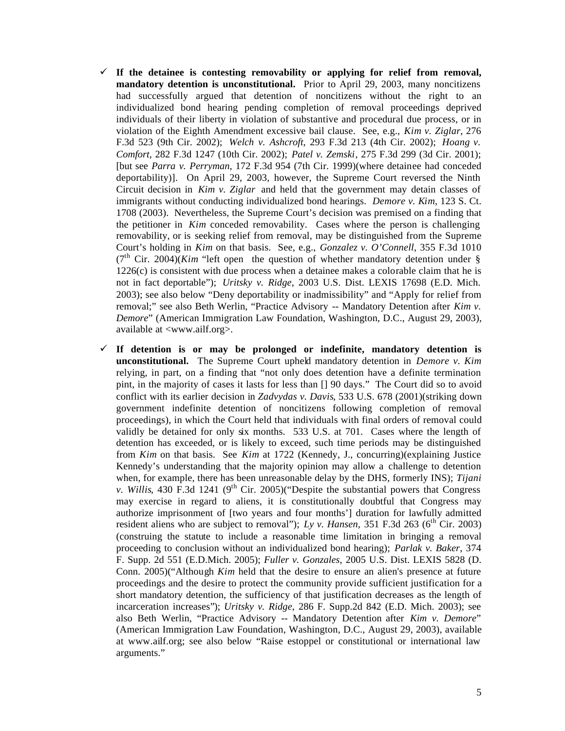- $\checkmark$  If the detainee is contesting removability or applying for relief from removal, **mandatory detention is unconstitutional.** Prior to April 29, 2003, many noncitizens had successfully argued that detention of noncitizens without the right to an individualized bond hearing pending completion of removal proceedings deprived individuals of their liberty in violation of substantive and procedural due process, or in violation of the Eighth Amendment excessive bail clause. See, e.g., *Kim v. Ziglar*, 276 F.3d 523 (9th Cir. 2002); *Welch v. Ashcroft*, 293 F.3d 213 (4th Cir. 2002); *Hoang v. Comfort*, 282 F.3d 1247 (10th Cir. 2002); *Patel v. Zemski*, 275 F.3d 299 (3d Cir. 2001); [but see *Parra v. Perryman*, 172 F.3d 954 (7th Cir. 1999)(where detainee had conceded deportability)]. On April 29, 2003, however, the Supreme Court reversed the Ninth Circuit decision in *Kim v. Ziglar* and held that the government may detain classes of immigrants without conducting individualized bond hearings. *Demore v. Kim*, 123 S. Ct. 1708 (2003). Nevertheless, the Supreme Court's decision was premised on a finding that the petitioner in *Kim* conceded removability. Cases where the person is challenging removability, or is seeking relief from removal, may be distinguished from the Supreme Court's holding in *Kim* on that basis. See, e.g., *Gonzalez v. O'Connell*, 355 F.3d 1010  $(7<sup>th</sup> Cir. 2004)$ (*Kim* "left open the question of whether mandatory detention under §  $1226(c)$  is consistent with due process when a detainee makes a colorable claim that he is not in fact deportable"); *Uritsky v. Ridge*, 2003 U.S. Dist. LEXIS 17698 (E.D. Mich. 2003); see also below "Deny deportability or inadmissibility" and "Apply for relief from removal;" see also Beth Werlin, "Practice Advisory -- Mandatory Detention after *Kim v. Demore*" (American Immigration Law Foundation, Washington, D.C., August 29, 2003), available at <www.ailf.org>.
- $\checkmark$  If detention is or may be prolonged or indefinite, mandatory detention is **unconstitutional.** The Supreme Court upheld mandatory detention in *Demore v. Kim* relying, in part, on a finding that "not only does detention have a definite termination pint, in the majority of cases it lasts for less than [] 90 days." The Court did so to avoid conflict with its earlier decision in *Zadvydas v. Davis*, 533 U.S. 678 (2001)(striking down government indefinite detention of noncitizens following completion of removal proceedings), in which the Court held that individuals with final orders of removal could validly be detained for only six months. 533 U.S. at 701. Cases where the length of detention has exceeded, or is likely to exceed, such time periods may be distinguished from *Kim* on that basis. See *Kim* at 1722 (Kennedy, J., concurring)(explaining Justice Kennedy's understanding that the majority opinion may allow a challenge to detention when, for example, there has been unreasonable delay by the DHS, formerly INS); *Tijani v. Willis*, 430 F.3d 1241 ( $9<sup>th</sup>$  Cir. 2005)("Despite the substantial powers that Congress may exercise in regard to aliens, it is constitutionally doubtful that Congress may authorize imprisonment of [two years and four months'] duration for lawfully admitted resident aliens who are subject to removal"); *Ly v. Hansen*,  $351$  F.3d  $263$  (6<sup>th</sup> Cir. 2003) (construing the statute to include a reasonable time limitation in bringing a removal proceeding to conclusion without an individualized bond hearing); *Parlak v. Baker*, 374 F. Supp. 2d 551 (E.D.Mich. 2005); *Fuller v. Gonzales*, 2005 U.S. Dist. LEXIS 5828 (D. Conn. 2005)("Although *Kim* held that the desire to ensure an alien's presence at future proceedings and the desire to protect the community provide sufficient justification for a short mandatory detention, the sufficiency of that justification decreases as the length of incarceration increases"); *Uritsky v. Ridge*, 286 F. Supp.2d 842 (E.D. Mich. 2003); see also Beth Werlin, "Practice Advisory -- Mandatory Detention after *Kim v. Demore*" (American Immigration Law Foundation, Washington, D.C., August 29, 2003), available at www.ailf.org; see also below "Raise estoppel or constitutional or international law arguments."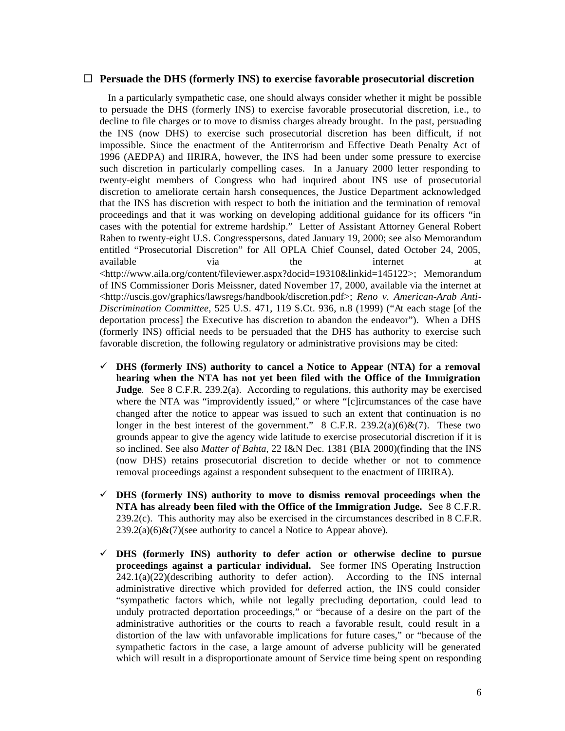#### $\Box$  Persuade the DHS (formerly INS) to exercise favorable prosecutorial discretion

 In a particularly sympathetic case, one should always consider whether it might be possible to persuade the DHS (formerly INS) to exercise favorable prosecutorial discretion, i.e., to decline to file charges or to move to dismiss charges already brought. In the past, persuading the INS (now DHS) to exercise such prosecutorial discretion has been difficult, if not impossible. Since the enactment of the Antiterrorism and Effective Death Penalty Act of 1996 (AEDPA) and IIRIRA, however, the INS had been under some pressure to exercise such discretion in particularly compelling cases. In a January 2000 letter responding to twenty-eight members of Congress who had inquired about INS use of prosecutorial discretion to ameliorate certain harsh consequences, the Justice Department acknowledged that the INS has discretion with respect to both the initiation and the termination of removal proceedings and that it was working on developing additional guidance for its officers "in cases with the potential for extreme hardship." Letter of Assistant Attorney General Robert Raben to twenty-eight U.S. Congresspersons, dated January 19, 2000; see also Memorandum entitled "Prosecutorial Discretion" for All OPLA Chief Counsel, dated October 24, 2005, available via via the internet at <http://www.aila.org/content/fileviewer.aspx?docid=19310&linkid=145122>; Memorandum of INS Commissioner Doris Meissner, dated November 17, 2000, available via the internet at <http://uscis.gov/graphics/lawsregs/handbook/discretion.pdf>; *Reno v. American-Arab Anti-Discrimination Committee*, 525 U.S. 471, 119 S.Ct. 936, n.8 (1999) ("At each stage [of the deportation process] the Executive has discretion to abandon the endeavor"). When a DHS (formerly INS) official needs to be persuaded that the DHS has authority to exercise such favorable discretion, the following regulatory or administrative provisions may be cited:

- $\checkmark$  DHS (formerly INS) authority to cancel a Notice to Appear (NTA) for a removal **hearing when the NTA has not yet been filed with the Office of the Immigration Judge**. See 8 C.F.R. 239.2(a). According to regulations, this authority may be exercised where the NTA was "improvidently issued," or where "[c]ircumstances of the case have changed after the notice to appear was issued to such an extent that continuation is no longer in the best interest of the government." 8 C.F.R. 239.2(a)(6)&(7). These two grounds appear to give the agency wide latitude to exercise prosecutorial discretion if it is so inclined. See also *Matter of Bahta*, 22 I&N Dec. 1381 (BIA 2000)(finding that the INS (now DHS) retains prosecutorial discretion to decide whether or not to commence removal proceedings against a respondent subsequent to the enactment of IIRIRA).
- $\checkmark$  DHS (formerly INS) authority to move to dismiss removal proceedings when the **NTA has already been filed with the Office of the Immigration Judge.** See 8 C.F.R. 239.2(c). This authority may also be exercised in the circumstances described in 8 C.F.R.  $239.2(a)(6) \& (7)$ (see authority to cancel a Notice to Appear above).
- ¸ **DHS (formerly INS) authority to defer action or otherwise decline to pursue proceedings against a particular individual.** See former INS Operating Instruction  $242.1(a)(22)$ (describing authority to defer action). According to the INS internal administrative directive which provided for deferred action, the INS could consider "sympathetic factors which, while not legally precluding deportation, could lead to unduly protracted deportation proceedings," or "because of a desire on the part of the administrative authorities or the courts to reach a favorable result, could result in a distortion of the law with unfavorable implications for future cases," or "because of the sympathetic factors in the case, a large amount of adverse publicity will be generated which will result in a disproportionate amount of Service time being spent on responding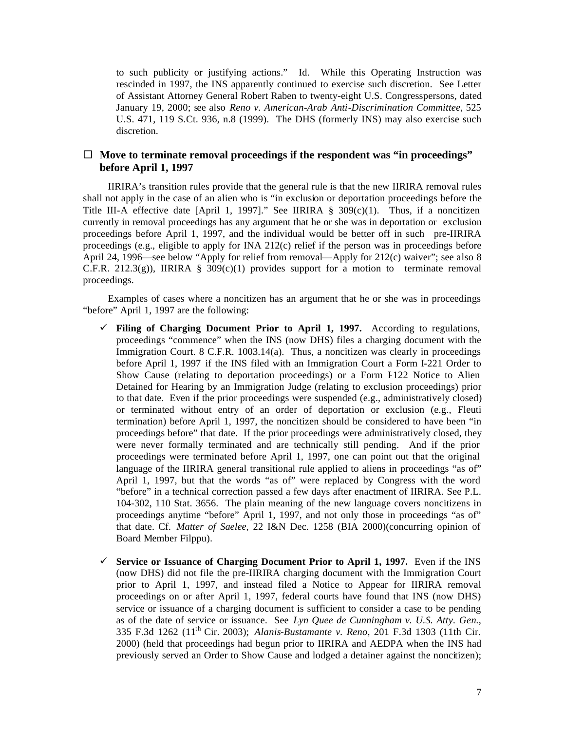to such publicity or justifying actions." Id. While this Operating Instruction was rescinded in 1997, the INS apparently continued to exercise such discretion. See Letter of Assistant Attorney General Robert Raben to twenty-eight U.S. Congresspersons, dated January 19, 2000; see also *Reno v. American-Arab Anti-Discrimination Committee*, 525 U.S. 471, 119 S.Ct. 936, n.8 (1999). The DHS (formerly INS) may also exercise such discretion.

## $\Box$  Move to terminate removal proceedings if the respondent was "in proceedings" **before April 1, 1997**

 IIRIRA's transition rules provide that the general rule is that the new IIRIRA removal rules shall not apply in the case of an alien who is "in exclusion or deportation proceedings before the Title III-A effective date [April 1, 1997]." See IIRIRA §  $309(c)(1)$ . Thus, if a noncitizen currently in removal proceedings has any argument that he or she was in deportation or exclusion proceedings before April 1, 1997, and the individual would be better off in such pre-IIRIRA proceedings (e.g., eligible to apply for INA 212 $(c)$  relief if the person was in proceedings before April 24, 1996—see below "Apply for relief from removal—Apply for 212(c) waiver"; see also 8 C.F.R. 212.3(g)), IIRIRA § 309(c)(1) provides support for a motion to terminate removal proceedings.

 Examples of cases where a noncitizen has an argument that he or she was in proceedings "before" April 1, 1997 are the following:

- $\checkmark$  **Filing of Charging Document Prior to April 1, 1997.** According to regulations, proceedings "commence" when the INS (now DHS) files a charging document with the Immigration Court. 8 C.F.R. 1003.14(a). Thus, a noncitizen was clearly in proceedings before April 1, 1997 if the INS filed with an Immigration Court a Form I-221 Order to Show Cause (relating to deportation proceedings) or a Form I-122 Notice to Alien Detained for Hearing by an Immigration Judge (relating to exclusion proceedings) prior to that date. Even if the prior proceedings were suspended (e.g., administratively closed) or terminated without entry of an order of deportation or exclusion (e.g., Fleuti termination) before April 1, 1997, the noncitizen should be considered to have been "in proceedings before" that date. If the prior proceedings were administratively closed, they were never formally terminated and are technically still pending. And if the prior proceedings were terminated before April 1, 1997, one can point out that the original language of the IIRIRA general transitional rule applied to aliens in proceedings "as of" April 1, 1997, but that the words "as of" were replaced by Congress with the word "before" in a technical correction passed a few days after enactment of IIRIRA. See P.L. 104-302, 110 Stat. 3656. The plain meaning of the new language covers noncitizens in proceedings anytime "before" April 1, 1997, and not only those in proceedings "as of" that date. Cf. *Matter of Saelee*, 22 I&N Dec. 1258 (BIA 2000)(concurring opinion of Board Member Filppu).
- $\checkmark$  Service or Issuance of Charging Document Prior to April 1, 1997. Even if the INS (now DHS) did not file the pre-IIRIRA charging document with the Immigration Court prior to April 1, 1997, and instead filed a Notice to Appear for IIRIRA removal proceedings on or after April 1, 1997, federal courts have found that INS (now DHS) service or issuance of a charging document is sufficient to consider a case to be pending as of the date of service or issuance. See *Lyn Quee de Cunningham v. U.S. Atty. Gen*., 335 F.3d 1262 (11th Cir. 2003); *Alanis-Bustamante v. Reno*, 201 F.3d 1303 (11th Cir. 2000) (held that proceedings had begun prior to IIRIRA and AEDPA when the INS had previously served an Order to Show Cause and lodged a detainer against the noncitizen);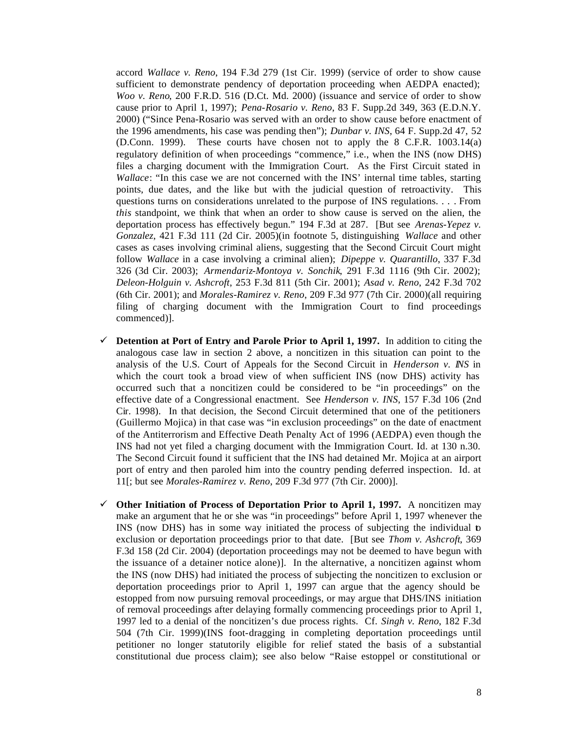accord *Wallace v. Reno*, 194 F.3d 279 (1st Cir. 1999) (service of order to show cause sufficient to demonstrate pendency of deportation proceeding when AEDPA enacted); *Woo v. Reno*, 200 F.R.D. 516 (D.Ct. Md. 2000) (issuance and service of order to show cause prior to April 1, 1997); *Pena-Rosario v. Reno*, 83 F. Supp.2d 349, 363 (E.D.N.Y. 2000) ("Since Pena-Rosario was served with an order to show cause before enactment of the 1996 amendments, his case was pending then"); *Dunbar v. INS*, 64 F. Supp.2d 47, 52 (D.Conn. 1999). These courts have chosen not to apply the 8 C.F.R. 1003.14(a) regulatory definition of when proceedings "commence," i.e., when the INS (now DHS) files a charging document with the Immigration Court. As the First Circuit stated in *Wallace*: "In this case we are not concerned with the INS' internal time tables, starting points, due dates, and the like but with the judicial question of retroactivity. This questions turns on considerations unrelated to the purpose of INS regulations. . . . From *this* standpoint, we think that when an order to show cause is served on the alien, the deportation process has effectively begun." 194 F.3d at 287. [But see *Arenas-Yepez v. Gonzalez*, 421 F.3d 111 (2d Cir. 2005)(in footnote 5, distinguishing *Wallace* and other cases as cases involving criminal aliens, suggesting that the Second Circuit Court might follow *Wallace* in a case involving a criminal alien); *Dipeppe v. Quarantillo*, 337 F.3d 326 (3d Cir. 2003); *Armendariz-Montoya v. Sonchik*, 291 F.3d 1116 (9th Cir. 2002); *Deleon-Holguin v. Ashcroft*, 253 F.3d 811 (5th Cir. 2001); *Asad v. Reno*, 242 F.3d 702 (6th Cir. 2001); and *Morales-Ramirez v. Reno*, 209 F.3d 977 (7th Cir. 2000)(all requiring filing of charging document with the Immigration Court to find proceedings commenced)].

- $\checkmark$  Detention at Port of Entry and Parole Prior to April 1, 1997. In addition to citing the analogous case law in section 2 above, a noncitizen in this situation can point to the analysis of the U.S. Court of Appeals for the Second Circuit in *Henderson v. INS* in which the court took a broad view of when sufficient INS (now DHS) activity has occurred such that a noncitizen could be considered to be "in proceedings" on the effective date of a Congressional enactment. See *Henderson v. INS*, 157 F.3d 106 (2nd Cir. 1998). In that decision, the Second Circuit determined that one of the petitioners (Guillermo Mojica) in that case was "in exclusion proceedings" on the date of enactment of the Antiterrorism and Effective Death Penalty Act of 1996 (AEDPA) even though the INS had not yet filed a charging document with the Immigration Court. Id. at 130 n.30. The Second Circuit found it sufficient that the INS had detained Mr. Mojica at an airport port of entry and then paroled him into the country pending deferred inspection. Id. at 11[; but see *Morales-Ramirez v. Reno*, 209 F.3d 977 (7th Cir. 2000)].
- $\checkmark$  Other Initiation of Process of Deportation Prior to April 1, 1997. A noncitizen may make an argument that he or she was "in proceedings" before April 1, 1997 whenever the INS (now DHS) has in some way initiated the process of subjecting the individual to exclusion or deportation proceedings prior to that date. [But see *Thom v. Ashcroft*, 369 F.3d 158 (2d Cir. 2004) (deportation proceedings may not be deemed to have begun with the issuance of a detainer notice alone)]. In the alternative, a noncitizen against whom the INS (now DHS) had initiated the process of subjecting the noncitizen to exclusion or deportation proceedings prior to April 1, 1997 can argue that the agency should be estopped from now pursuing removal proceedings, or may argue that DHS/INS initiation of removal proceedings after delaying formally commencing proceedings prior to April 1, 1997 led to a denial of the noncitizen's due process rights. Cf. *Singh v. Reno*, 182 F.3d 504 (7th Cir. 1999)(INS foot-dragging in completing deportation proceedings until petitioner no longer statutorily eligible for relief stated the basis of a substantial constitutional due process claim); see also below "Raise estoppel or constitutional or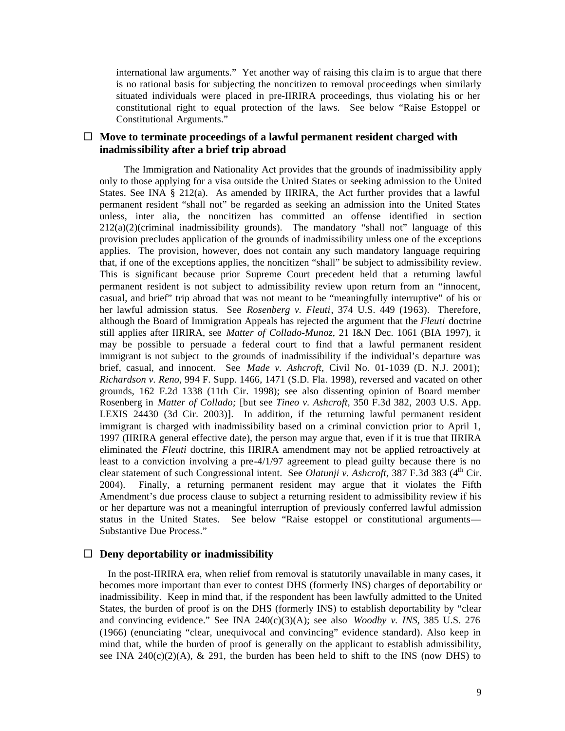international law arguments." Yet another way of raising this cla im is to argue that there is no rational basis for subjecting the noncitizen to removal proceedings when similarly situated individuals were placed in pre-IIRIRA proceedings, thus violating his or her constitutional right to equal protection of the laws. See below "Raise Estoppel or Constitutional Arguments."

## $\Box$  Move to terminate proceedings of a lawful permanent resident charged with **inadmissibility after a brief trip abroad**

 The Immigration and Nationality Act provides that the grounds of inadmissibility apply only to those applying for a visa outside the United States or seeking admission to the United States. See INA § 212(a). As amended by IIRIRA, the Act further provides that a lawful permanent resident "shall not" be regarded as seeking an admission into the United States unless, inter alia, the noncitizen has committed an offense identified in section 212(a)(2)(criminal inadmissibility grounds). The mandatory "shall not" language of this provision precludes application of the grounds of inadmissibility unless one of the exceptions applies. The provision, however, does not contain any such mandatory language requiring that, if one of the exceptions applies, the noncitizen "shall" be subject to admissibility review. This is significant because prior Supreme Court precedent held that a returning lawful permanent resident is not subject to admissibility review upon return from an "innocent, casual, and brief" trip abroad that was not meant to be "meaningfully interruptive" of his or her lawful admission status. See *Rosenberg v. Fleuti*, 374 U.S. 449 (1963). Therefore, although the Board of Immigration Appeals has rejected the argument that the *Fleuti* doctrine still applies after IIRIRA, see *Matter of Collado-Munoz*, 21 I&N Dec. 1061 (BIA 1997), it may be possible to persuade a federal court to find that a lawful permanent resident immigrant is not subject to the grounds of inadmissibility if the individual's departure was brief, casual, and innocent. See *Made v. Ashcroft*, Civil No. 01-1039 (D. N.J. 2001); *Richardson v. Reno*, 994 F. Supp. 1466, 1471 (S.D. Fla. 1998), reversed and vacated on other grounds, 162 F.2d 1338 (11th Cir. 1998); see also dissenting opinion of Board member Rosenberg in *Matter of Collado;* [but see *Tineo v. Ashcroft*, 350 F.3d 382, 2003 U.S. App. LEXIS 24430 (3d Cir. 2003)]. In addition, if the returning lawful permanent resident immigrant is charged with inadmissibility based on a criminal conviction prior to April 1, 1997 (IIRIRA general effective date), the person may argue that, even if it is true that IIRIRA eliminated the *Fleuti* doctrine, this IIRIRA amendment may not be applied retroactively at least to a conviction involving a pre-4/1/97 agreement to plead guilty because there is no clear statement of such Congressional intent. See *Olatunji v. Ashcroft*, 387 F.3d 383 (4<sup>th</sup> Cir. 2004). Finally, a returning permanent resident may argue that it violates the Fifth Amendment's due process clause to subject a returning resident to admissibility review if his or her departure was not a meaningful interruption of previously conferred lawful admission status in the United States. See below "Raise estoppel or constitutional arguments— Substantive Due Process."

## $\Box$  Deny deportability or inadmissibility

 In the post-IIRIRA era, when relief from removal is statutorily unavailable in many cases, it becomes more important than ever to contest DHS (formerly INS) charges of deportability or inadmissibility. Keep in mind that, if the respondent has been lawfully admitted to the United States, the burden of proof is on the DHS (formerly INS) to establish deportability by "clear and convincing evidence." See INA  $240(c)(3)(A)$ ; see also *Woodby v. INS*, 385 U.S. 276 (1966) (enunciating "clear, unequivocal and convincing" evidence standard). Also keep in mind that, while the burden of proof is generally on the applicant to establish admissibility, see INA 240(c)(2)(A),  $\&$  291, the burden has been held to shift to the INS (now DHS) to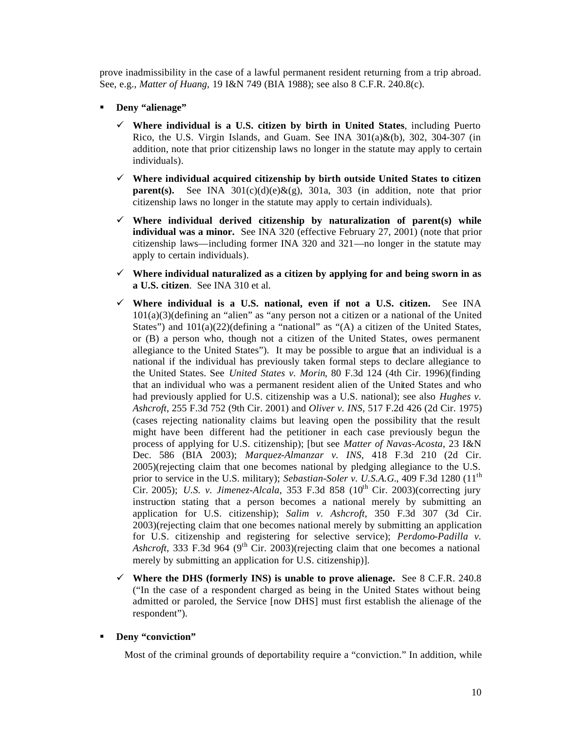prove inadmissibility in the case of a lawful permanent resident returning from a trip abroad. See, e.g., *Matter of Huang*, 19 I&N 749 (BIA 1988); see also 8 C.F.R. 240.8(c).

- **Deny "alienage"** 
	- $\checkmark$  Where individual is a U.S. citizen by birth in United States, including Puerto Rico, the U.S. Virgin Islands, and Guam. See INA  $301(a)\&(b)$ , 302, 304-307 (in addition, note that prior citizenship laws no longer in the statute may apply to certain individuals).
	- ¸ **Where individual acquired citizenship by birth outside United States to citizen parent(s).** See INA  $301(c)(d)(e) & g(g)$ ,  $301a$ ,  $303$  (in addition, note that prior citizenship laws no longer in the statute may apply to certain individuals).
	- $\checkmark$  Where individual derived citizenship by naturalization of parent(s) while **individual was a minor.** See INA 320 (effective February 27, 2001) (note that prior citizenship laws—including former INA 320 and 321—no longer in the statute may apply to certain individuals).
	- $\checkmark$  Where individual naturalized as a citizen by applying for and being sworn in as **a U.S. citizen**. See INA 310 et al.
	- ¸ **Where individual is a U.S. national, even if not a U.S. citizen.** See INA 101(a)(3)(defining an "alien" as "any person not a citizen or a national of the United States") and  $101(a)(22)$ (defining a "national" as "(A) a citizen of the United States, or (B) a person who, though not a citizen of the United States, owes permanent allegiance to the United States"). It may be possible to argue that an individual is a national if the individual has previously taken formal steps to declare allegiance to the United States. See *United States v. Morin*, 80 F.3d 124 (4th Cir. 1996)(finding that an individual who was a permanent resident alien of the United States and who had previously applied for U.S. citizenship was a U.S. national); see also *Hughes v. Ashcroft*, 255 F.3d 752 (9th Cir. 2001) and *Oliver v. INS*, 517 F.2d 426 (2d Cir. 1975) (cases rejecting nationality claims but leaving open the possibility that the result might have been different had the petitioner in each case previously begun the process of applying for U.S. citizenship); [but see *Matter of Navas-Acosta*, 23 I&N Dec. 586 (BIA 2003); *Marquez-Almanzar v. INS*, 418 F.3d 210 (2d Cir. 2005)(rejecting claim that one becomes national by pledging allegiance to the U.S. prior to service in the U.S. military); *Sebastian-Soler v. U.S.A.G.*, 409 F.3d 1280 (11<sup>th</sup>) Cir. 2005); *U.S. v. Jimenez-Alcala*, 353 F.3d 858 (10th Cir. 2003)(correcting jury instruction stating that a person becomes a national merely by submitting an application for U.S. citizenship); *Salim v. Ashcroft*, 350 F.3d 307 (3d Cir. 2003)(rejecting claim that one becomes national merely by submitting an application for U.S. citizenship and registering for selective service); *Perdomo-Padilla v. Ashcroft*, 333 F.3d 964 (9<sup>th</sup> Cir. 2003)(rejecting claim that one becomes a national merely by submitting an application for U.S. citizenship)].
	- $\checkmark$  Where the DHS (formerly INS) is unable to prove alienage. See 8 C.F.R. 240.8 ("In the case of a respondent charged as being in the United States without being admitted or paroled, the Service [now DHS] must first establish the alienage of the respondent").
- **Deny "conviction"**

Most of the criminal grounds of deportability require a "conviction." In addition, while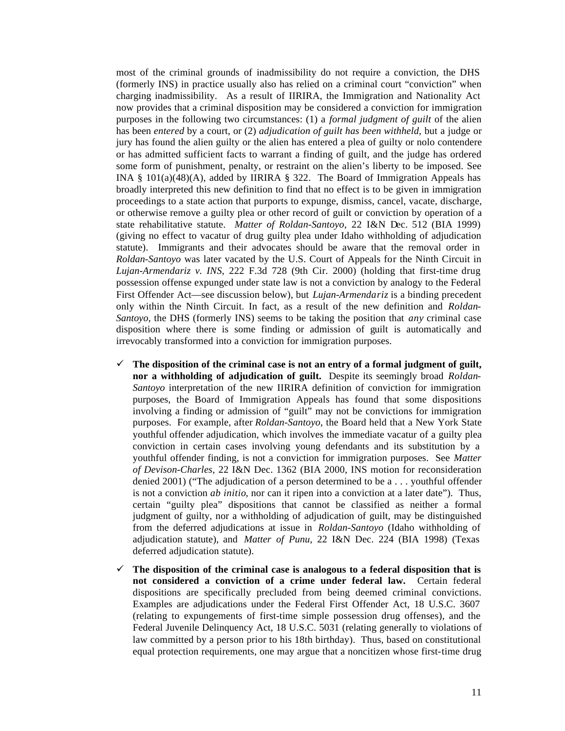most of the criminal grounds of inadmissibility do not require a conviction, the DHS (formerly INS) in practice usually also has relied on a criminal court "conviction" when charging inadmissibility. As a result of IIRIRA, the Immigration and Nationality Act now provides that a criminal disposition may be considered a conviction for immigration purposes in the following two circumstances: (1) a *formal judgment of guilt* of the alien has been *entered* by a court, or (2) *adjudication of guilt has been withheld*, but a judge or jury has found the alien guilty or the alien has entered a plea of guilty or nolo contendere or has admitted sufficient facts to warrant a finding of guilt, and the judge has ordered some form of punishment, penalty, or restraint on the alien's liberty to be imposed. See INA § 101(a)(48)(A), added by IIRIRA § 322. The Board of Immigration Appeals has broadly interpreted this new definition to find that no effect is to be given in immigration proceedings to a state action that purports to expunge, dismiss, cancel, vacate, discharge, or otherwise remove a guilty plea or other record of guilt or conviction by operation of a state rehabilitative statute. *Matter of Roldan-Santoyo*, 22 I&N Dec. 512 (BIA 1999) (giving no effect to vacatur of drug guilty plea under Idaho withholding of adjudication statute). Immigrants and their advocates should be aware that the removal order in *Roldan-Santoyo* was later vacated by the U.S. Court of Appeals for the Ninth Circuit in *Lujan-Armendariz v. INS*, 222 F.3d 728 (9th Cir. 2000) (holding that first-time drug possession offense expunged under state law is not a conviction by analogy to the Federal First Offender Act—see discussion below), but *Lujan-Armendariz* is a binding precedent only within the Ninth Circuit. In fact, as a result of the new definition and *Roldan-Santoyo*, the DHS (formerly INS) seems to be taking the position that *any* criminal case disposition where there is some finding or admission of guilt is automatically and irrevocably transformed into a conviction for immigration purposes.

- $\checkmark$  The disposition of the criminal case is not an entry of a formal judgment of guilt, **nor a withholding of adjudication of guilt.** Despite its seemingly broad *Roldan-Santoyo* interpretation of the new IIRIRA definition of conviction for immigration purposes, the Board of Immigration Appeals has found that some dispositions involving a finding or admission of "guilt" may not be convictions for immigration purposes. For example, after *Roldan-Santoyo*, the Board held that a New York State youthful offender adjudication, which involves the immediate vacatur of a guilty plea conviction in certain cases involving young defendants and its substitution by a youthful offender finding, is not a conviction for immigration purposes. See *Matter of Devison-Charles*, 22 I&N Dec. 1362 (BIA 2000, INS motion for reconsideration denied 2001) ("The adjudication of a person determined to be a . . . youthful offender is not a conviction *ab initio*, nor can it ripen into a conviction at a later date"). Thus, certain "guilty plea" dispositions that cannot be classified as neither a formal judgment of guilty, nor a withholding of adjudication of guilt, may be distinguished from the deferred adjudications at issue in *Roldan-Santoyo* (Idaho withholding of adjudication statute), and *Matter of Punu*, 22 I&N Dec. 224 (BIA 1998) (Texas deferred adjudication statute).
- $\checkmark$  The disposition of the criminal case is analogous to a federal disposition that is **not considered a conviction of a crime under federal law.** Certain federal dispositions are specifically precluded from being deemed criminal convictions. Examples are adjudications under the Federal First Offender Act, 18 U.S.C. 3607 (relating to expungements of first-time simple possession drug offenses), and the Federal Juvenile Delinquency Act, 18 U.S.C. 5031 (relating generally to violations of law committed by a person prior to his 18th birthday). Thus, based on constitutional equal protection requirements, one may argue that a noncitizen whose first-time drug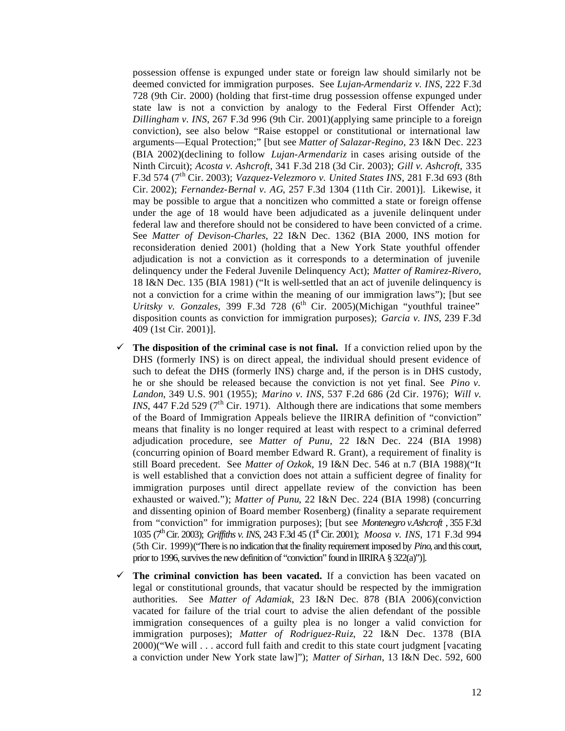possession offense is expunged under state or foreign law should similarly not be deemed convicted for immigration purposes. See *Lujan-Armendariz v. INS*, 222 F.3d 728 (9th Cir. 2000) (holding that first-time drug possession offense expunged under state law is not a conviction by analogy to the Federal First Offender Act); *Dillingham v. INS*, 267 F.3d 996 (9th Cir. 2001)(applying same principle to a foreign conviction), see also below "Raise estoppel or constitutional or international law arguments—Equal Protection;" [but see *Matter of Salazar-Regino*, 23 I&N Dec. 223 (BIA 2002)(declining to follow *Lujan-Armendariz* in cases arising outside of the Ninth Circuit); *Acosta v. Ashcroft*, 341 F.3d 218 (3d Cir. 2003); *Gill v. Ashcroft*, 335 F.3d 574 (7th Cir. 2003); *Vazquez-Velezmoro v. United States INS*, 281 F.3d 693 (8th Cir. 2002); *Fernandez-Bernal v. AG*, 257 F.3d 1304 (11th Cir. 2001)]. Likewise, it may be possible to argue that a noncitizen who committed a state or foreign offense under the age of 18 would have been adjudicated as a juvenile delinquent under federal law and therefore should not be considered to have been convicted of a crime. See *Matter of Devison-Charles*, 22 I&N Dec. 1362 (BIA 2000, INS motion for reconsideration denied 2001) (holding that a New York State youthful offender adjudication is not a conviction as it corresponds to a determination of juvenile delinquency under the Federal Juvenile Delinquency Act); *Matter of Ramirez-Rivero*, 18 I&N Dec. 135 (BIA 1981) ("It is well-settled that an act of juvenile delinquency is not a conviction for a crime within the meaning of our immigration laws"); [but see *Uritsky v. Gonzales*, 399 F.3d 728 (6<sup>th</sup> Cir. 2005)(Michigan "youthful trainee" disposition counts as conviction for immigration purposes); *Garcia v. INS*, 239 F.3d 409 (1st Cir. 2001)].

- $\checkmark$  The disposition of the criminal case is not final. If a conviction relied upon by the DHS (formerly INS) is on direct appeal, the individual should present evidence of such to defeat the DHS (formerly INS) charge and, if the person is in DHS custody, he or she should be released because the conviction is not yet final. See *Pino v. Landon*, 349 U.S. 901 (1955); *Marino v. INS*, 537 F.2d 686 (2d Cir. 1976); *Will v. INS*, 447 F.2d 529 (7<sup>th</sup> Cir. 1971). Although there are indications that some members of the Board of Immigration Appeals believe the IIRIRA definition of "conviction" means that finality is no longer required at least with respect to a criminal deferred adjudication procedure, see *Matter of Punu*, 22 I&N Dec. 224 (BIA 1998) (concurring opinion of Board member Edward R. Grant), a requirement of finality is still Board precedent. See *Matter of Ozkok*, 19 I&N Dec. 546 at n.7 (BIA 1988)("It is well established that a conviction does not attain a sufficient degree of finality for immigration purposes until direct appellate review of the conviction has been exhausted or waived."); *Matter of Punu*, 22 I&N Dec. 224 (BIA 1998) (concurring and dissenting opinion of Board member Rosenberg) (finality a separate requirement from "conviction" for immigration purposes); [but see *Montenegro v.Ashcroft* , 355 F.3d 1035 (7th Cir. 2003); *Griffiths v. INS*, 243 F.3d 45 (1st Cir. 2001); *Moosa v. INS*, 171 F.3d 994 (5th Cir. 1999)("There is no indication that the finality requirement imposed by *Pino*, and this court, prior to 1996, survives the new definition of "conviction" found in IIRIRA § 322(a)")].
- $\checkmark$  The criminal conviction has been vacated. If a conviction has been vacated on legal or constitutional grounds, that vacatur should be respected by the immigration authorities. See *Matter of Adamiak*, 23 I&N Dec. 878 (BIA 2006)(conviction vacated for failure of the trial court to advise the alien defendant of the possible immigration consequences of a guilty plea is no longer a valid conviction for immigration purposes); *Matter of Rodriguez-Ruiz*, 22 I&N Dec. 1378 (BIA 2000)("We will . . . accord full faith and credit to this state court judgment [vacating a conviction under New York state law]"); *Matter of Sirhan*, 13 I&N Dec. 592, 600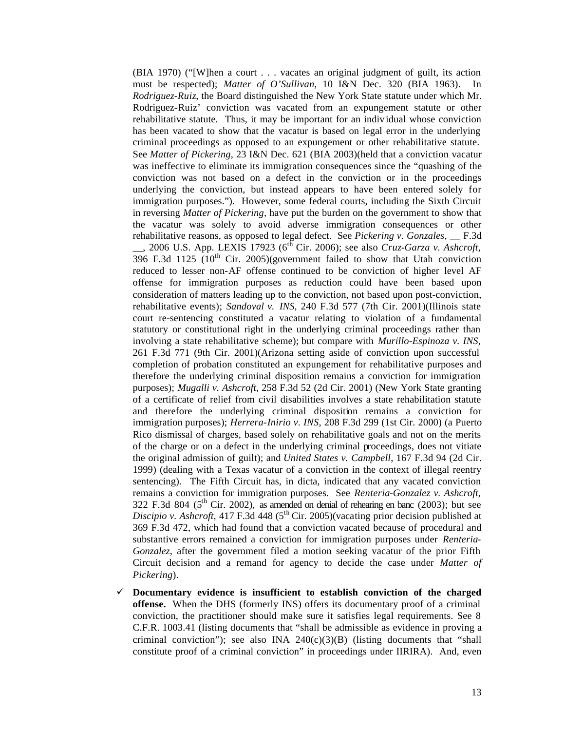(BIA 1970) ("[W]hen a court . . . vacates an original judgment of guilt, its action must be respected); *Matter of O'Sullivan*, 10 I&N Dec. 320 (BIA 1963). In *Rodriguez-Ruiz*, the Board distinguished the New York State statute under which Mr. Rodriguez-Ruiz' conviction was vacated from an expungement statute or other rehabilitative statute. Thus, it may be important for an individual whose conviction has been vacated to show that the vacatur is based on legal error in the underlying criminal proceedings as opposed to an expungement or other rehabilitative statute. See *Matter of Pickering*, 23 I&N Dec. 621 (BIA 2003)(held that a conviction vacatur was ineffective to eliminate its immigration consequences since the "quashing of the conviction was not based on a defect in the conviction or in the proceedings underlying the conviction, but instead appears to have been entered solely for immigration purposes."). However, some federal courts, including the Sixth Circuit in reversing *Matter of Pickering*, have put the burden on the government to show that the vacatur was solely to avoid adverse immigration consequences or other rehabilitative reasons, as opposed to legal defect. See *Pickering v. Gonzales*, \_\_ F.3d  $\_\_$ , 2006 U.S. App. LEXIS 17923 (6<sup>th</sup> Cir. 2006); see also *Cruz-Garza v. Ashcroft*, 396 F.3d 1125  $(10^{th}$  Cir. 2005)(government failed to show that Utah conviction reduced to lesser non-AF offense continued to be conviction of higher level AF offense for immigration purposes as reduction could have been based upon consideration of matters leading up to the conviction, not based upon post-conviction, rehabilitative events); *Sandoval v. INS*, 240 F.3d 577 (7th Cir. 2001)(Illinois state court re-sentencing constituted a vacatur relating to violation of a fundamental statutory or constitutional right in the underlying criminal proceedings rather than involving a state rehabilitative scheme); but compare with *Murillo-Espinoza v. INS*, 261 F.3d 771 (9th Cir. 2001)(Arizona setting aside of conviction upon successful completion of probation constituted an expungement for rehabilitative purposes and therefore the underlying criminal disposition remains a conviction for immigration purposes); *Mugalli v. Ashcroft*, 258 F.3d 52 (2d Cir. 2001) (New York State granting of a certificate of relief from civil disabilities involves a state rehabilitation statute and therefore the underlying criminal disposition remains a conviction for immigration purposes); *Herrera-Inirio v. INS*, 208 F.3d 299 (1st Cir. 2000) (a Puerto Rico dismissal of charges, based solely on rehabilitative goals and not on the merits of the charge or on a defect in the underlying criminal proceedings, does not vitiate the original admission of guilt); and *United States v. Campbell*, 167 F.3d 94 (2d Cir. 1999) (dealing with a Texas vacatur of a conviction in the context of illegal reentry sentencing). The Fifth Circuit has, in dicta, indicated that any vacated conviction remains a conviction for immigration purposes. See *Renteria-Gonzalez v. Ashcroft*, 322 F.3d 804 ( $5<sup>th</sup>$  Cir. 2002), as amended on denial of rehearing en banc (2003); but see *Discipio v. Ashcroft*, 417 F.3d 448 (5<sup>th</sup> Cir. 2005)(vacating prior decision published at 369 F.3d 472, which had found that a conviction vacated because of procedural and substantive errors remained a conviction for immigration purposes under *Renteria-Gonzalez*, after the government filed a motion seeking vacatur of the prior Fifth Circuit decision and a remand for agency to decide the case under *Matter of Pickering*).

¸ **Documentary evidence is insufficient to establish conviction of the charged offense.** When the DHS (formerly INS) offers its documentary proof of a criminal conviction, the practitioner should make sure it satisfies legal requirements. See 8 C.F.R. 1003.41 (listing documents that "shall be admissible as evidence in proving a criminal conviction"); see also INA  $240(c)(3)(B)$  (listing documents that "shall constitute proof of a criminal conviction" in proceedings under IIRIRA). And, even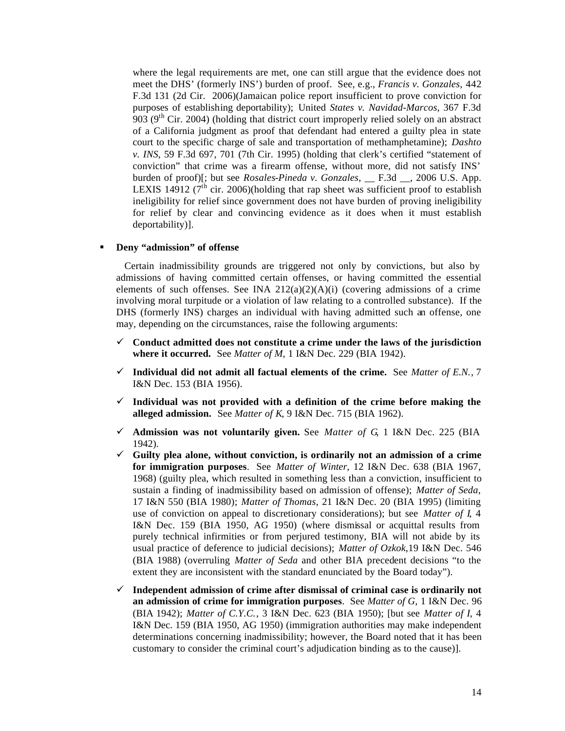where the legal requirements are met, one can still argue that the evidence does not meet the DHS' (formerly INS') burden of proof. See, e.g., *Francis v. Gonzales*, 442 F.3d 131 (2d Cir. 2006)(Jamaican police report insufficient to prove conviction for purposes of establishing deportability); United *States v. Navidad-Marcos*, 367 F.3d 903 ( $9<sup>th</sup>$  Cir. 2004) (holding that district court improperly relied solely on an abstract of a California judgment as proof that defendant had entered a guilty plea in state court to the specific charge of sale and transportation of methamphetamine); *Dashto v. INS*, 59 F.3d 697, 701 (7th Cir. 1995) (holding that clerk's certified "statement of conviction" that crime was a firearm offense, without more, did not satisfy INS' burden of proof)[; but see *Rosales-Pineda v. Gonzales*, \_\_ F.3d \_\_, 2006 U.S. App. LEXIS 14912 ( $7<sup>th</sup>$  cir. 2006)(holding that rap sheet was sufficient proof to establish ineligibility for relief since government does not have burden of proving ineligibility for relief by clear and convincing evidence as it does when it must establish deportability)].

#### **Beny "admission" of offense**

 Certain inadmissibility grounds are triggered not only by convictions, but also by admissions of having committed certain offenses, or having committed the essential elements of such offenses. See INA  $212(a)(2)(A)(i)$  (covering admissions of a crime involving moral turpitude or a violation of law relating to a controlled substance). If the DHS (formerly INS) charges an individual with having admitted such an offense, one may, depending on the circumstances, raise the following arguments:

- $\checkmark$  Conduct admitted does not constitute a crime under the laws of the jurisdiction **where it occurred.** See *Matter of M*, 1 I&N Dec. 229 (BIA 1942).
- $\checkmark$  Individual did not admit all factual elements of the crime. See *Matter of E.N.*, 7 I&N Dec. 153 (BIA 1956).
- $\checkmark$  Individual was not provided with a definition of the crime before making the **alleged admission.** See *Matter of K*, 9 I&N Dec. 715 (BIA 1962).
- ¸ **Admission was not voluntarily given.** See *Matter of G*, 1 I&N Dec. 225 (BIA 1942).
- $\checkmark$  Guilty plea alone, without conviction, is ordinarily not an admission of a crime **for immigration purposes**. See *Matter of Winter*, 12 I&N Dec. 638 (BIA 1967, 1968) (guilty plea, which resulted in something less than a conviction, insufficient to sustain a finding of inadmissibility based on admission of offense); *Matter of Seda*, 17 I&N 550 (BIA 1980); *Matter of Thomas*, 21 I&N Dec. 20 (BIA 1995) (limiting use of conviction on appeal to discretionary considerations); but see *Matter of I*, 4 I&N Dec. 159 (BIA 1950, AG 1950) (where dismissal or acquittal results from purely technical infirmities or from perjured testimony, BIA will not abide by its usual practice of deference to judicial decisions); *Matter of Ozkok*,19 I&N Dec. 546 (BIA 1988) (overruling *Matter of Seda* and other BIA precedent decisions "to the extent they are inconsistent with the standard enunciated by the Board today").
- ¸ **Independent admission of crime after dismissal of criminal case is ordinarily not an admission of crime for immigration purposes**. See *Matter of G*, 1 I&N Dec. 96 (BIA 1942); *Matter of C.Y.C.*, 3 I&N Dec. 623 (BIA 1950); [but see *Matter of I*, 4 I&N Dec. 159 (BIA 1950, AG 1950) (immigration authorities may make independent determinations concerning inadmissibility; however, the Board noted that it has been customary to consider the criminal court's adjudication binding as to the cause)].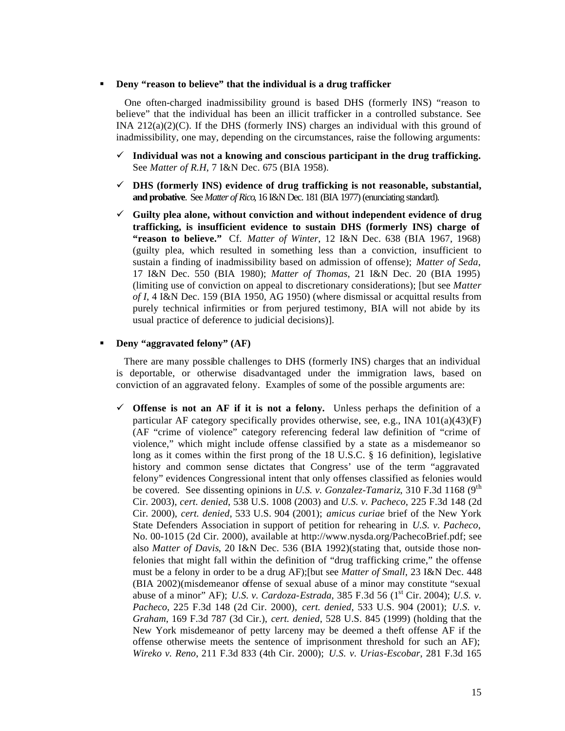#### **EXECUTE:** Deny "reason to believe" that the individual is a drug trafficker

 One often-charged inadmissibility ground is based DHS (formerly INS) "reason to believe" that the individual has been an illicit trafficker in a controlled substance. See INA  $212(a)(2)(C)$ . If the DHS (formerly INS) charges an individual with this ground of inadmissibility, one may, depending on the circumstances, raise the following arguments:

- ¸ **Individual was not a knowing and conscious participant in the drug trafficking.** See *Matter of R.H*, 7 I&N Dec. 675 (BIA 1958).
- ¸ **DHS (formerly INS) evidence of drug trafficking is not reasonable, substantial, and probative**. See *Matter of Rico*, 16 I&N Dec. 181 (BIA 1977) (enunciating standard).
- ¸ **Guilty plea alone, without conviction and without independent evidence of drug trafficking, is insufficient evidence to sustain DHS (formerly INS) charge of "reason to believe."** Cf. *Matter of Winter*, 12 I&N Dec. 638 (BIA 1967, 1968) (guilty plea, which resulted in something less than a conviction, insufficient to sustain a finding of inadmissibility based on admission of offense); *Matter of Seda*, 17 I&N Dec. 550 (BIA 1980); *Matter of Thomas*, 21 I&N Dec. 20 (BIA 1995) (limiting use of conviction on appeal to discretionary considerations); [but see *Matter of I*, 4 I&N Dec. 159 (BIA 1950, AG 1950) (where dismissal or acquittal results from purely technical infirmities or from perjured testimony, BIA will not abide by its usual practice of deference to judicial decisions)].

#### **Beny "aggravated felony" (AF)**

 There are many possible challenges to DHS (formerly INS) charges that an individual is deportable, or otherwise disadvantaged under the immigration laws, based on conviction of an aggravated felony. Examples of some of the possible arguments are:

 $\checkmark$  Offense is not an AF if it is not a felony. Unless perhaps the definition of a particular AF category specifically provides otherwise, see, e.g., INA 101(a)(43)(F) (AF "crime of violence" category referencing federal law definition of "crime of violence," which might include offense classified by a state as a misdemeanor so long as it comes within the first prong of the 18 U.S.C. § 16 definition), legislative history and common sense dictates that Congress' use of the term "aggravated felony" evidences Congressional intent that only offenses classified as felonies would be covered. See dissenting opinions in *U.S. v. Gonzalez-Tamariz*, 310 F.3d 1168 (9<sup>th</sup>) Cir. 2003), *cert. denied*, 538 U.S. 1008 (2003) and *U.S. v. Pacheco*, 225 F.3d 148 (2d Cir. 2000), *cert. denied*, 533 U.S. 904 (2001); *amicus curiae* brief of the New York State Defenders Association in support of petition for rehearing in *U.S. v. Pacheco*, No. 00-1015 (2d Cir. 2000), available at http://www.nysda.org/PachecoBrief.pdf; see also *Matter of Davis*, 20 I&N Dec. 536 (BIA 1992)(stating that, outside those nonfelonies that might fall within the definition of "drug trafficking crime," the offense must be a felony in order to be a drug AF);[but see *Matter of Small*, 23 I&N Dec. 448 (BIA 2002)(misdemeanor offense of sexual abuse of a minor may constitute "sexual abuse of a minor" AF); *U.S. v. Cardoza-Estrada*, 385 F.3d 56 (1<sup>st</sup> Cir. 2004); *U.S. v. Pacheco*, 225 F.3d 148 (2d Cir. 2000), *cert. denied*, 533 U.S. 904 (2001); *U.S. v. Graham*, 169 F.3d 787 (3d Cir.), *cert. denied*, 528 U.S. 845 (1999) (holding that the New York misdemeanor of petty larceny may be deemed a theft offense AF if the offense otherwise meets the sentence of imprisonment threshold for such an AF); *Wireko v. Reno*, 211 F.3d 833 (4th Cir. 2000); *U.S. v. Urias-Escobar*, 281 F.3d 165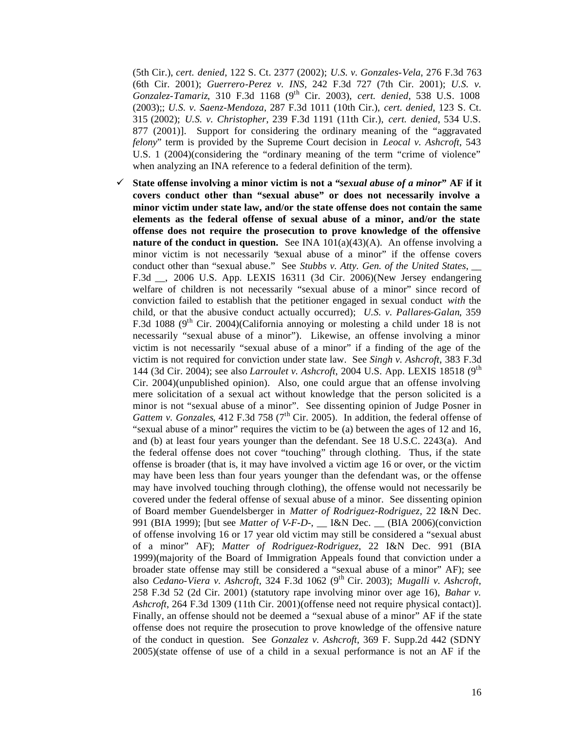(5th Cir.), *cert. denied*, 122 S. Ct. 2377 (2002); *U.S. v. Gonzales-Vela*, 276 F.3d 763 (6th Cir. 2001); *Guerrero-Perez v. INS*, 242 F.3d 727 (7th Cir. 2001); *U.S. v. Gonzalez-Tamariz*, 310 F.3d 1168 (9th Cir. 2003), *cert. denied*, 538 U.S. 1008 (2003);; *U.S. v. Saenz-Mendoza*, 287 F.3d 1011 (10th Cir.), *cert. denied*, 123 S. Ct. 315 (2002); *U.S. v. Christopher*, 239 F.3d 1191 (11th Cir.), *cert. denied*, 534 U.S. 877 (2001)]. Support for considering the ordinary meaning of the "aggravated *felony*" term is provided by the Supreme Court decision in *Leocal v. Ashcroft*, 543 U.S. 1 (2004)(considering the "ordinary meaning of the term "crime of violence" when analyzing an INA reference to a federal definition of the term).

¸ **State offense involving a minor victim is not a "***sexual abuse of a minor***" AF if it covers conduct other than "sexual abuse" or does not necessarily involve a minor victim under state law, and/or the state offense does not contain the same elements as the federal offense of sexual abuse of a minor, and/or the state offense does not require the prosecution to prove knowledge of the offensive nature of the conduct in question.** See INA 101(a)(43)(A). An offense involving a minor victim is not necessarily "sexual abuse of a minor" if the offense covers conduct other than "sexual abuse." See *Stubbs v. Atty. Gen. of the United States*, \_\_ F.3d \_\_, 2006 U.S. App. LEXIS 16311 (3d Cir. 2006)(New Jersey endangering welfare of children is not necessarily "sexual abuse of a minor" since record of conviction failed to establish that the petitioner engaged in sexual conduct *with* the child, or that the abusive conduct actually occurred); *U.S. v. Pallares-Galan*, 359 F.3d 1088 ( $9<sup>th</sup>$  Cir. 2004)(California annoying or molesting a child under 18 is not necessarily "sexual abuse of a minor"). Likewise, an offense involving a minor victim is not necessarily "sexual abuse of a minor" if a finding of the age of the victim is not required for conviction under state law. See *Singh v. Ashcroft*, 383 F.3d 144 (3d Cir. 2004); see also *Larroulet v. Ashcroft*, 2004 U.S. App. LEXIS 18518 (9th Cir. 2004)(unpublished opinion). Also, one could argue that an offense involving mere solicitation of a sexual act without knowledge that the person solicited is a minor is not "sexual abuse of a minor". See dissenting opinion of Judge Posner in *Gattem v. Gonzales*, 412 F.3d 758 (7<sup>th</sup> Cir. 2005). In addition, the federal offense of "sexual abuse of a minor" requires the victim to be (a) between the ages of 12 and 16, and (b) at least four years younger than the defendant. See 18 U.S.C. 2243(a). And the federal offense does not cover "touching" through clothing. Thus, if the state offense is broader (that is, it may have involved a victim age 16 or over, or the victim may have been less than four years younger than the defendant was, or the offense may have involved touching through clothing), the offense would not necessarily be covered under the federal offense of sexual abuse of a minor. See dissenting opinion of Board member Guendelsberger in *Matter of Rodriguez-Rodriguez,* 22 I&N Dec. 991 (BIA 1999); [but see *Matter of V-F-D-*, \_\_ I&N Dec. \_\_ (BIA 2006)(conviction of offense involving 16 or 17 year old victim may still be considered a "sexual abust of a minor" AF); *Matter of Rodriguez-Rodriguez*, 22 I&N Dec. 991 (BIA 1999)(majority of the Board of Immigration Appeals found that conviction under a broader state offense may still be considered a "sexual abuse of a minor" AF); see also *Cedano-Viera v. Ashcroft*, 324 F.3d 1062 (9th Cir. 2003); *Mugalli v. Ashcroft*, 258 F.3d 52 (2d Cir. 2001) (statutory rape involving minor over age 16), *Bahar v. Ashcroft*, 264 F.3d 1309 (11th Cir. 2001)(offense need not require physical contact)]. Finally, an offense should not be deemed a "sexual abuse of a minor" AF if the state offense does not require the prosecution to prove knowledge of the offensive nature of the conduct in question. See *Gonzalez v. Ashcroft*, 369 F. Supp.2d 442 (SDNY 2005)(state offense of use of a child in a sexual performance is not an AF if the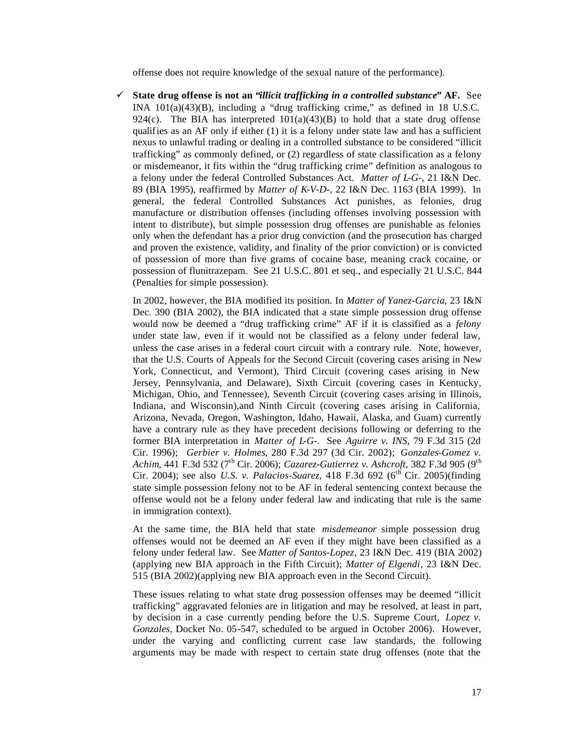offense does not require knowledge of the sexual nature of the performance).

¸ **State drug offense is not an "***illicit trafficking in a controlled substance***" AF.** See INA 101(a)(43)(B), including a "drug trafficking crime," as defined in 18 U.S.C. 924(c). The BIA has interpreted  $101(a)(43)(B)$  to hold that a state drug offense qualifies as an AF only if either (1) it is a felony under state law and has a sufficient nexus to unlawful trading or dealing in a controlled substance to be considered "illicit trafficking" as commonly defined, or (2) regardless of state classification as a felony or misdemeanor, it fits within the "drug trafficking crime" definition as analogous to a felony under the federal Controlled Substances Act. *Matter of L-G-*, 21 I&N Dec. 89 (BIA 1995), reaffirmed by *Matter of K-V-D-*, 22 I&N Dec. 1163 (BIA 1999). In general, the federal Controlled Substances Act punishes, as felonies, drug manufacture or distribution offenses (including offenses involving possession with intent to distribute), but simple possession drug offenses are punishable as felonies only when the defendant has a prior drug conviction (and the prosecution has charged and proven the existence, validity, and finality of the prior conviction) or is convicted of possession of more than five grams of cocaine base, meaning crack cocaine, or possession of flunitrazepam. See 21 U.S.C. 801 et seq., and especially 21 U.S.C. 844 (Penalties for simple possession).

In 2002, however, the BIA modified its position. In *Matter of Yanez-Garcia*, 23 I&N Dec. 390 (BIA 2002), the BIA indicated that a state simple possession drug offense would now be deemed a "drug trafficking crime" AF if it is classified as a *felony* under state law, even if it would not be classified as a felony under federal law, unless the case arises in a federal court circuit with a contrary rule. Note, however, that the U.S. Courts of Appeals for the Second Circuit (covering cases arising in New York, Connecticut, and Vermont), Third Circuit (covering cases arising in New Jersey, Pennsylvania, and Delaware), Sixth Circuit (covering cases in Kentucky, Michigan, Ohio, and Tennessee), Seventh Circuit (covering cases arising in Illinois, Indiana, and Wisconsin),and Ninth Circuit (covering cases arising in California, Arizona, Nevada, Oregon, Washington, Idaho, Hawaii, Alaska, and Guam) currently have a contrary rule as they have precedent decisions following or deferring to the former BIA interpretation in *Matter of L-G-*. See *Aguirre v. INS*, 79 F.3d 315 (2d Cir. 1996); *Gerbier v. Holmes*, 280 F.3d 297 (3d Cir. 2002); *Gonzales-Gomez v. Achim*, 441 F.3d 532 (7<sup>th</sup> Cir. 2006); *Cazarez-Gutierrez v. Ashcroft*, 382 F.3d 905 (9<sup>th</sup> Cir. 2004); see also *U.S. v. Palacios-Suarez*, 418 F.3d 692 ( $6^{th}$  Cir. 2005)(finding state simple possession felony not to be AF in federal sentencing context because the offense would not be a felony under federal law and indicating that rule is the same in immigration context).

At the same time, the BIA held that state *misdemeanor* simple possession drug offenses would not be deemed an AF even if they might have been classified as a felony under federal law. See *Matter of Santos-Lopez*, 23 I&N Dec. 419 (BIA 2002) (applying new BIA approach in the Fifth Circuit); *Matter of Elgendi*, 23 I&N Dec. 515 (BIA 2002)(applying new BIA approach even in the Second Circuit).

These issues relating to what state drug possession offenses may be deemed "illicit trafficking" aggravated felonies are in litigation and may be resolved, at least in part, by decision in a case currently pending before the U.S. Supreme Court, *Lopez v. Gonzales*, Docket No. 05-547, scheduled to be argued in October 2006). However, under the varying and conflicting current case law standards, the following arguments may be made with respect to certain state drug offenses (note that the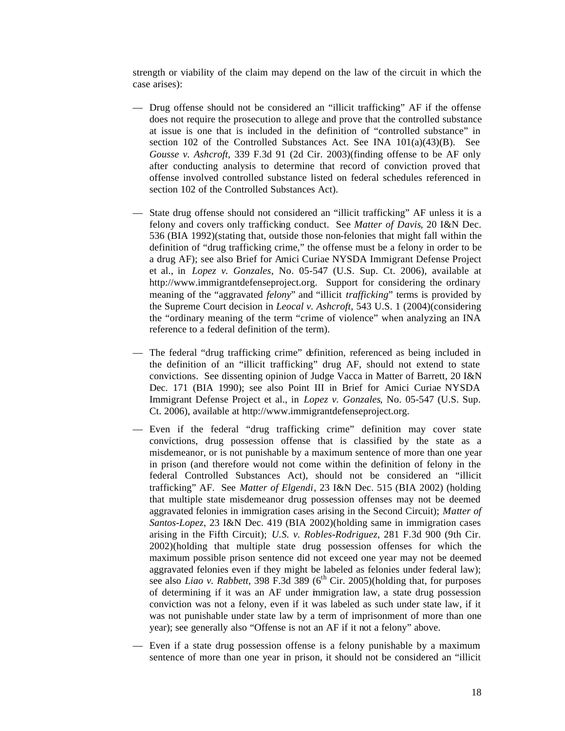strength or viability of the claim may depend on the law of the circuit in which the case arises):

- Drug offense should not be considered an "illicit trafficking" AF if the offense does not require the prosecution to allege and prove that the controlled substance at issue is one that is included in the definition of "controlled substance" in section 102 of the Controlled Substances Act. See INA 101(a)(43)(B). See *Gousse v. Ashcroft*, 339 F.3d 91 (2d Cir. 2003)(finding offense to be AF only after conducting analysis to determine that record of conviction proved that offense involved controlled substance listed on federal schedules referenced in section 102 of the Controlled Substances Act).
- State drug offense should not considered an "illicit trafficking" AF unless it is a felony and covers only trafficking conduct. See *Matter of Davis*, 20 I&N Dec. 536 (BIA 1992)(stating that, outside those non-felonies that might fall within the definition of "drug trafficking crime," the offense must be a felony in order to be a drug AF); see also Brief for Amici Curiae NYSDA Immigrant Defense Project et al., in *Lopez v. Gonzales*, No. 05-547 (U.S. Sup. Ct. 2006), available at http://www.immigrantdefenseproject.org. Support for considering the ordinary meaning of the "aggravated *felony*" and "illicit *trafficking*" terms is provided by the Supreme Court decision in *Leocal v. Ashcroft*, 543 U.S. 1 (2004)(considering the "ordinary meaning of the term "crime of violence" when analyzing an INA reference to a federal definition of the term).
- The federal "drug trafficking crime" definition, referenced as being included in the definition of an "illicit trafficking" drug AF, should not extend to state convictions. See dissenting opinion of Judge Vacca in Matter of Barrett, 20 I&N Dec. 171 (BIA 1990); see also Point III in Brief for Amici Curiae NYSDA Immigrant Defense Project et al., in *Lopez v. Gonzales*, No. 05-547 (U.S. Sup. Ct. 2006), available at http://www.immigrantdefenseproject.org.
- Even if the federal "drug trafficking crime" definition may cover state convictions, drug possession offense that is classified by the state as a misdemeanor, or is not punishable by a maximum sentence of more than one year in prison (and therefore would not come within the definition of felony in the federal Controlled Substances Act), should not be considered an "illicit trafficking" AF. See *Matter of Elgendi*, 23 I&N Dec. 515 (BIA 2002) (holding that multiple state misdemeanor drug possession offenses may not be deemed aggravated felonies in immigration cases arising in the Second Circuit); *Matter of Santos-Lopez*, 23 I&N Dec. 419 (BIA 2002)(holding same in immigration cases arising in the Fifth Circuit); *U.S. v. Robles-Rodriguez*, 281 F.3d 900 (9th Cir. 2002)(holding that multiple state drug possession offenses for which the maximum possible prison sentence did not exceed one year may not be deemed aggravated felonies even if they might be labeled as felonies under federal law); see also *Liao v. Rabbett*, 398 F.3d 389 ( $6<sup>th</sup>$  Cir. 2005)(holding that, for purposes of determining if it was an AF under immigration law, a state drug possession conviction was not a felony, even if it was labeled as such under state law, if it was not punishable under state law by a term of imprisonment of more than one year); see generally also "Offense is not an AF if it not a felony" above.
- Even if a state drug possession offense is a felony punishable by a maximum sentence of more than one year in prison, it should not be considered an "illicit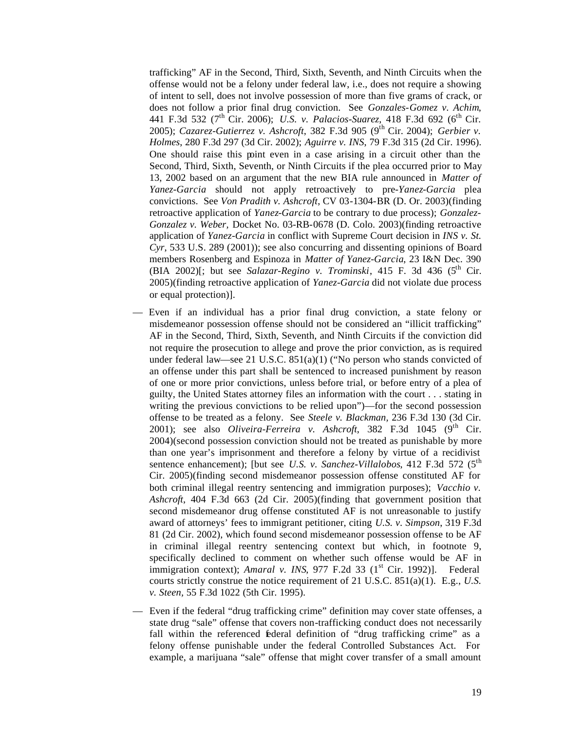trafficking" AF in the Second, Third, Sixth, Seventh, and Ninth Circuits when the offense would not be a felony under federal law, i.e., does not require a showing of intent to sell, does not involve possession of more than five grams of crack, or does not follow a prior final drug conviction. See *Gonzales-Gomez v. Achim*, 441 F.3d 532 (7<sup>th</sup> Cir. 2006); *U.S. v. Palacios-Suarez*, 418 F.3d 692 (6<sup>th</sup> Cir. 2005); *Cazarez-Gutierrez v. Ashcroft*, 382 F.3d 905 (9<sup>th</sup> Cir. 2004); *Gerbier v. Holmes*, 280 F.3d 297 (3d Cir. 2002); *Aguirre v. INS*, 79 F.3d 315 (2d Cir. 1996). One should raise this point even in a case arising in a circuit other than the Second, Third, Sixth, Seventh, or Ninth Circuits if the plea occurred prior to May 13, 2002 based on an argument that the new BIA rule announced in *Matter of Yanez-Garcia* should not apply retroactively to pre-*Yanez-Garcia* plea convictions. See *Von Pradith v. Ashcroft*, CV 03-1304-BR (D. Or. 2003)(finding retroactive application of *Yanez-Garcia* to be contrary to due process); *Gonzalez-Gonzalez v. Weber,* Docket No. 03-RB-0678 (D. Colo. 2003)(finding retroactive application of *Yanez-Garcia* in conflict with Supreme Court decision in *INS v. St. Cyr*, 533 U.S. 289 (2001)); see also concurring and dissenting opinions of Board members Rosenberg and Espinoza in *Matter of Yanez-Garcia*, 23 I&N Dec. 390 (BIA 2002)[; but see *Salazar-Regino v. Trominski*, 415 F. 3d 436 ( $5<sup>th</sup>$  Cir. 2005)(finding retroactive application of *Yanez-Garcia* did not violate due process or equal protection)].

- Even if an individual has a prior final drug conviction, a state felony or misdemeanor possession offense should not be considered an "illicit trafficking" AF in the Second, Third, Sixth, Seventh, and Ninth Circuits if the conviction did not require the prosecution to allege and prove the prior conviction, as is required under federal law—see 21 U.S.C. 851(a)(1) ("No person who stands convicted of an offense under this part shall be sentenced to increased punishment by reason of one or more prior convictions, unless before trial, or before entry of a plea of guilty, the United States attorney files an information with the court . . . stating in writing the previous convictions to be relied upon")—for the second possession offense to be treated as a felony. See *Steele v. Blackman,* 236 F.3d 130 (3d Cir. 2001); see also *Oliveira-Ferreira v. Ashcroft*, 382 F.3d 1045 (9<sup>th</sup> Cir. 2004)(second possession conviction should not be treated as punishable by more than one year's imprisonment and therefore a felony by virtue of a recidivist sentence enhancement); [but see *U.S. v. Sanchez-Villalobos*, 412 F.3d 572 (5<sup>th</sup>) Cir. 2005)(finding second misdemeanor possession offense constituted AF for both criminal illegal reentry sentencing and immigration purposes); *Vacchio v. Ashcroft*, 404 F.3d 663 (2d Cir. 2005)(finding that government position that second misdemeanor drug offense constituted AF is not unreasonable to justify award of attorneys' fees to immigrant petitioner, citing *U.S. v. Simpson*, 319 F.3d 81 (2d Cir. 2002), which found second misdemeanor possession offense to be AF in criminal illegal reentry sentencing context but which, in footnote 9, specifically declined to comment on whether such offense would be AF in immigration context); *Amaral v. INS*, 977 F.2d 33 (1<sup>st</sup> Cir. 1992)]. Federal courts strictly construe the notice requirement of 21 U.S.C. 851(a)(1). E.g., *U.S. v. Steen,* 55 F.3d 1022 (5th Cir. 1995).
- Even if the federal "drug trafficking crime" definition may cover state offenses, a state drug "sale" offense that covers non-trafficking conduct does not necessarily fall within the referenced *éderal definition* of "drug trafficking crime" as a felony offense punishable under the federal Controlled Substances Act. For example, a marijuana "sale" offense that might cover transfer of a small amount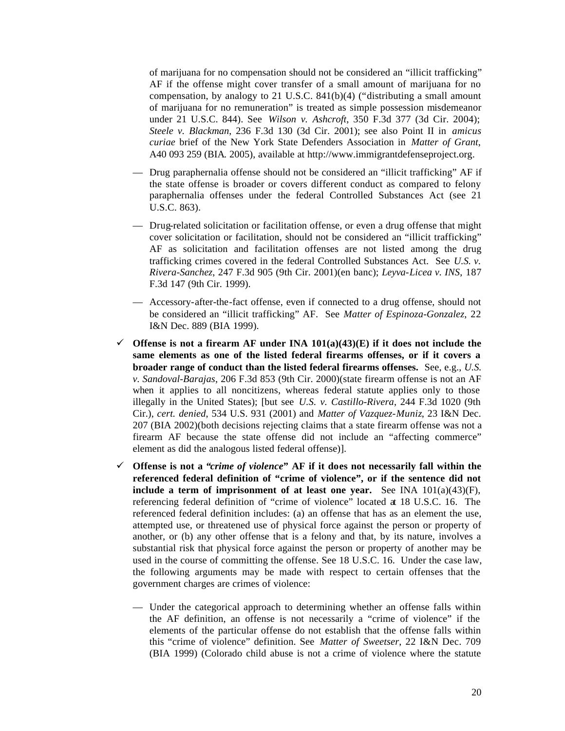of marijuana for no compensation should not be considered an "illicit trafficking" AF if the offense might cover transfer of a small amount of marijuana for no compensation, by analogy to 21 U.S.C. 841(b)(4) ("distributing a small amount of marijuana for no remuneration" is treated as simple possession misdemeanor under 21 U.S.C. 844). See *Wilson v. Ashcroft*, 350 F.3d 377 (3d Cir. 2004); *Steele v. Blackman*, 236 F.3d 130 (3d Cir. 2001); see also Point II in *amicus curiae* brief of the New York State Defenders Association in *Matter of Grant*, A40 093 259 (BIA. 2005), available at http://www.immigrantdefenseproject.org.

- Drug paraphernalia offense should not be considered an "illicit trafficking" AF if the state offense is broader or covers different conduct as compared to felony paraphernalia offenses under the federal Controlled Substances Act (see 21 U.S.C. 863).
- Drug-related solicitation or facilitation offense, or even a drug offense that might cover solicitation or facilitation, should not be considered an "illicit trafficking" AF as solicitation and facilitation offenses are not listed among the drug trafficking crimes covered in the federal Controlled Substances Act. See *U.S. v. Rivera-Sanchez*, 247 F.3d 905 (9th Cir. 2001)(en banc); *Leyva-Licea v. INS*, 187 F.3d 147 (9th Cir. 1999).
- Accessory-after-the-fact offense, even if connected to a drug offense, should not be considered an "illicit trafficking" AF. See *Matter of Espinoza-Gonzalez*, 22 I&N Dec. 889 (BIA 1999).
- $\checkmark$  Offense is not a firearm AF under INA 101(a)(43)(E) if it does not include the **same elements as one of the listed federal firearms offenses, or if it covers a broader range of conduct than the listed federal firearms offenses.** See, e.g., *U.S. v. Sandoval-Barajas*, 206 F.3d 853 (9th Cir. 2000)(state firearm offense is not an AF when it applies to all noncitizens, whereas federal statute applies only to those illegally in the United States); [but see *U.S. v. Castillo-Rivera*, 244 F.3d 1020 (9th Cir.), *cert. denied*, 534 U.S. 931 (2001) and *Matter of Vazquez-Muniz*, 23 I&N Dec. 207 (BIA 2002)(both decisions rejecting claims that a state firearm offense was not a firearm AF because the state offense did not include an "affecting commerce" element as did the analogous listed federal offense)].
- ¸ **Offense is not a "***crime of violence***" AF if it does not necessarily fall within the referenced federal definition of "crime of violence", or if the sentence did not include a term of imprisonment of at least one year.** See INA  $101(a)(43)(F)$ , referencing federal definition of "crime of violence" located at 18 U.S.C. 16. The referenced federal definition includes: (a) an offense that has as an element the use, attempted use, or threatened use of physical force against the person or property of another, or (b) any other offense that is a felony and that, by its nature, involves a substantial risk that physical force against the person or property of another may be used in the course of committing the offense. See 18 U.S.C. 16. Under the case law, the following arguments may be made with respect to certain offenses that the government charges are crimes of violence:
	- Under the categorical approach to determining whether an offense falls within the AF definition, an offense is not necessarily a "crime of violence" if the elements of the particular offense do not establish that the offense falls within this "crime of violence" definition. See *Matter of Sweetser*, 22 I&N Dec. 709 (BIA 1999) (Colorado child abuse is not a crime of violence where the statute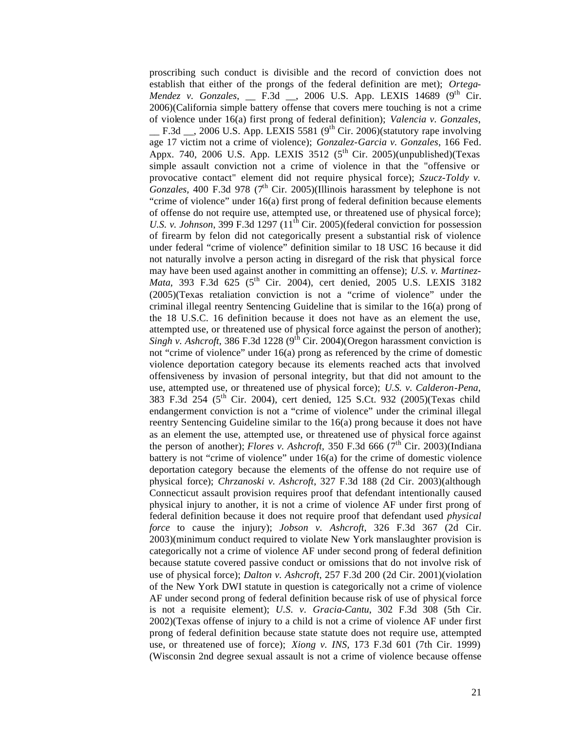proscribing such conduct is divisible and the record of conviction does not establish that either of the prongs of the federal definition are met); *Ortega-Mendez v. Gonzales*, \_\_ F.3d \_\_, 2006 U.S. App. LEXIS 14689 (9<sup>th</sup> Cir. 2006)(California simple battery offense that covers mere touching is not a crime of violence under 16(a) first prong of federal definition); *Valencia v. Gonzales*, \_\_ F.3d \_\_, 2006 U.S. App. LEXIS 5581 (9th Cir. 2006)(statutory rape involving age 17 victim not a crime of violence); *Gonzalez-Garcia v. Gonzales*, 166 Fed. Appx. 740, 2006 U.S. App. LEXIS 3512 ( $5<sup>th</sup>$  Cir. 2005)(unpublished)(Texas simple assault conviction not a crime of violence in that the "offensive or provocative contact" element did not require physical force); *Szucz-Toldy v. Gonzales,* 400 F.3d 978 (7<sup>th</sup> Cir. 2005)(Illinois harassment by telephone is not "crime of violence" under 16(a) first prong of federal definition because elements of offense do not require use, attempted use, or threatened use of physical force); *U.S. v. Johnson*, 399 F.3d 1297 ( $11<sup>th</sup>$  Cir. 2005)(federal conviction for possession of firearm by felon did not categorically present a substantial risk of violence under federal "crime of violence" definition similar to 18 USC 16 because it did not naturally involve a person acting in disregard of the risk that physical force may have been used against another in committing an offense); *U.S. v. Martinez-Mata*, 393 F.3d 625 (5<sup>th</sup> Cir. 2004), cert denied, 2005 U.S. LEXIS 3182 (2005)(Texas retaliation conviction is not a "crime of violence" under the criminal illegal reentry Sentencing Guideline that is similar to the 16(a) prong of the 18 U.S.C. 16 definition because it does not have as an element the use, attempted use, or threatened use of physical force against the person of another); *Singh v. Ashcroft*, 386 F.3d 1228 ( $9<sup>th</sup>$  Cir. 2004)(Oregon harassment conviction is not "crime of violence" under 16(a) prong as referenced by the crime of domestic violence deportation category because its elements reached acts that involved offensiveness by invasion of personal integrity, but that did not amount to the use, attempted use, or threatened use of physical force); *U.S. v. Calderon-Pena*, 383 F.3d 254 (5th Cir. 2004), cert denied, 125 S.Ct. 932 (2005)(Texas child endangerment conviction is not a "crime of violence" under the criminal illegal reentry Sentencing Guideline similar to the 16(a) prong because it does not have as an element the use, attempted use, or threatened use of physical force against the person of another); *Flores v. Ashcroft*, 350 F.3d 666 ( $7<sup>th</sup>$  Cir. 2003)(Indiana battery is not "crime of violence" under 16(a) for the crime of domestic violence deportation category because the elements of the offense do not require use of physical force); *Chrzanoski v. Ashcroft*, 327 F.3d 188 (2d Cir. 2003)(although Connecticut assault provision requires proof that defendant intentionally caused physical injury to another, it is not a crime of violence AF under first prong of federal definition because it does not require proof that defendant used *physical force* to cause the injury); *Jobson v. Ashcroft*, 326 F.3d 367 (2d Cir. 2003)(minimum conduct required to violate New York manslaughter provision is categorically not a crime of violence AF under second prong of federal definition because statute covered passive conduct or omissions that do not involve risk of use of physical force); *Dalton v. Ashcroft*, 257 F.3d 200 (2d Cir. 2001)(violation of the New York DWI statute in question is categorically not a crime of violence AF under second prong of federal definition because risk of use of physical force is not a requisite element); *U.S. v. Gracia-Cantu*, 302 F.3d 308 (5th Cir. 2002)(Texas offense of injury to a child is not a crime of violence AF under first prong of federal definition because state statute does not require use, attempted use, or threatened use of force); *Xiong v. INS*, 173 F.3d 601 (7th Cir. 1999) (Wisconsin 2nd degree sexual assault is not a crime of violence because offense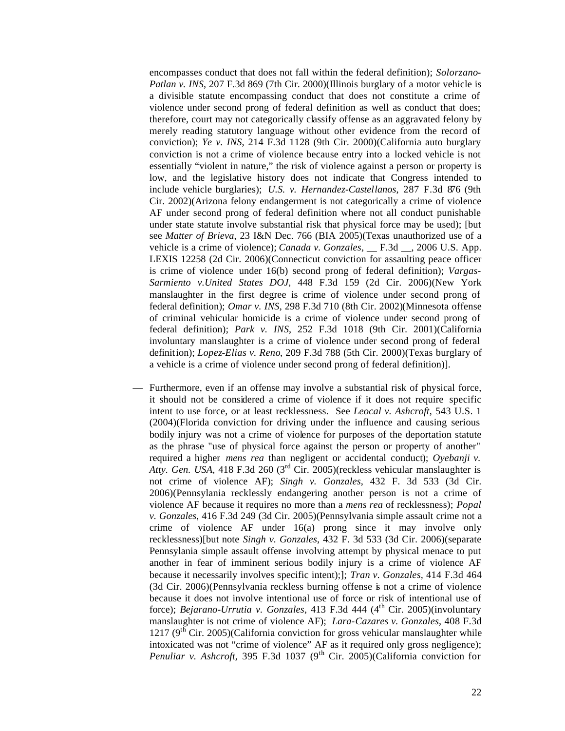encompasses conduct that does not fall within the federal definition); *Solorzano-Patlan v. INS*, 207 F.3d 869 (7th Cir. 2000)(Illinois burglary of a motor vehicle is a divisible statute encompassing conduct that does not constitute a crime of violence under second prong of federal definition as well as conduct that does; therefore, court may not categorically classify offense as an aggravated felony by merely reading statutory language without other evidence from the record of conviction); *Ye v. INS*, 214 F.3d 1128 (9th Cir. 2000)(California auto burglary conviction is not a crime of violence because entry into a locked vehicle is not essentially "violent in nature," the risk of violence against a person or property is low, and the legislative history does not indicate that Congress intended to include vehicle burglaries); *U.S. v. Hernandez-Castellanos*, 287 F.3d 876 (9th Cir. 2002)(Arizona felony endangerment is not categorically a crime of violence AF under second prong of federal definition where not all conduct punishable under state statute involve substantial risk that physical force may be used); [but see *Matter of Brieva*, 23 I&N Dec. 766 (BIA 2005)(Texas unauthorized use of a vehicle is a crime of violence); *Canada v. Gonzales*, \_\_ F.3d \_\_, 2006 U.S. App. LEXIS 12258 (2d Cir. 2006)(Connecticut conviction for assaulting peace officer is crime of violence under 16(b) second prong of federal definition); *Vargas-Sarmiento v.United States DOJ,* 448 F.3d 159 (2d Cir. 2006)(New York manslaughter in the first degree is crime of violence under second prong of federal definition); *Omar v. INS*, 298 F.3d 710 (8th Cir. 2002)(Minnesota offense of criminal vehicular homicide is a crime of violence under second prong of federal definition); *Park v. INS*, 252 F.3d 1018 (9th Cir. 2001)(California involuntary manslaughter is a crime of violence under second prong of federal definition); *Lopez-Elias v. Reno*, 209 F.3d 788 (5th Cir. 2000)(Texas burglary of a vehicle is a crime of violence under second prong of federal definition)].

— Furthermore, even if an offense may involve a substantial risk of physical force, it should not be considered a crime of violence if it does not require specific intent to use force, or at least recklessness. See *Leocal v. Ashcroft*, 543 U.S. 1 (2004)(Florida conviction for driving under the influence and causing serious bodily injury was not a crime of violence for purposes of the deportation statute as the phrase "use of physical force against the person or property of another" required a higher *mens rea* than negligent or accidental conduct); *Oyebanji v. Atty. Gen. USA*, 418 F.3d 260 (3rd Cir. 2005)(reckless vehicular manslaughter is not crime of violence AF); *Singh v. Gonzales*, 432 F. 3d 533 (3d Cir. 2006)(Pennsylania recklessly endangering another person is not a crime of violence AF because it requires no more than a *mens rea* of recklessness); *Popal v. Gonzales*, 416 F.3d 249 (3d Cir. 2005)(Pennsylvania simple assault crime not a crime of violence AF under 16(a) prong since it may involve only recklessness)[but note *Singh v. Gonzales*, 432 F. 3d 533 (3d Cir. 2006)(separate Pennsylania simple assault offense involving attempt by physical menace to put another in fear of imminent serious bodily injury is a crime of violence AF because it necessarily involves specific intent);]; *Tran v. Gonzales,* 414 F.3d 464 (3d Cir. 2006)(Pennsylvania reckless burning offense is not a crime of violence because it does not involve intentional use of force or risk of intentional use of force); *Bejarano-Urrutia v. Gonzales*, 413 F.3d 444 (4<sup>th</sup> Cir. 2005)(involuntary manslaughter is not crime of violence AF); *Lara-Cazares v. Gonzales*, 408 F.3d 1217 ( $9<sup>th</sup>$  Cir. 2005)(California conviction for gross vehicular manslaughter while intoxicated was not "crime of violence" AF as it required only gross negligence); *Penuliar v. Ashcroft*, 395 F.3d 1037 (9<sup>th</sup> Cir. 2005)(California conviction for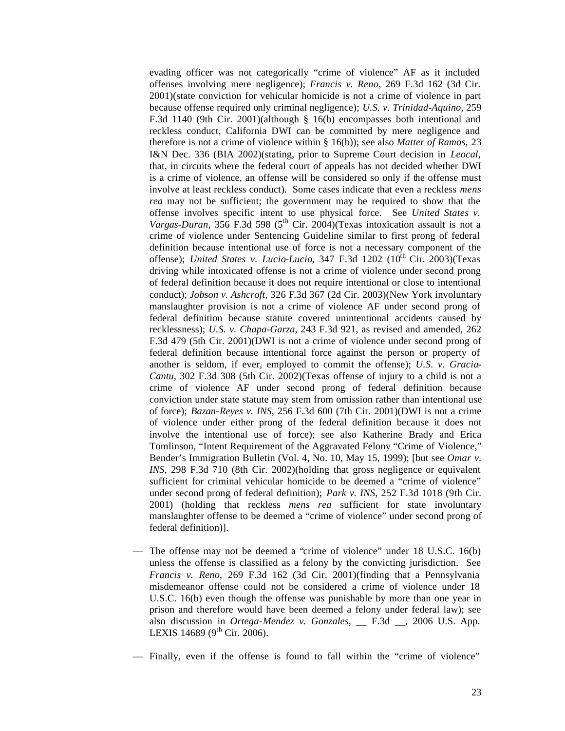evading officer was not categorically "crime of violence" AF as it included offenses involving mere negligence); *Francis v. Reno*, 269 F.3d 162 (3d Cir. 2001)(state conviction for vehicular homicide is not a crime of violence in part because offense required only criminal negligence); *U.S. v. Trinidad-Aquino*, 259 F.3d 1140 (9th Cir. 2001)(although § 16(b) encompasses both intentional and reckless conduct, California DWI can be committed by mere negligence and therefore is not a crime of violence within § 16(b)); see also *Matter of Ramos*, 23 I&N Dec. 336 (BIA 2002)(stating, prior to Supreme Court decision in *Leocal*, that, in circuits where the federal court of appeals has not decided whether DWI is a crime of violence, an offense will be considered so only if the offense must involve at least reckless conduct). Some cases indicate that even a reckless *mens rea* may not be sufficient; the government may be required to show that the offense involves specific intent to use physical force. See *United States v. Vargas-Duran,* 356 F.3d 598 (5<sup>th</sup> Cir. 2004)(Texas intoxication assault is not a crime of violence under Sentencing Guideline similar to first prong of federal definition because intentional use of force is not a necessary component of the offense); *United States v. Lucio-Lucio*, 347 F.3d 1202 (10<sup>th</sup> Cir. 2003)(Texas driving while intoxicated offense is not a crime of violence under second prong of federal definition because it does not require intentional or close to intentional conduct); *Jobson v. Ashcroft*, 326 F.3d 367 (2d Cir. 2003)(New York involuntary manslaughter provision is not a crime of violence AF under second prong of federal definition because statute covered unintentional accidents caused by recklessness); *U.S. v. Chapa-Garza*, 243 F.3d 921, as revised and amended, 262 F.3d 479 (5th Cir. 2001)(DWI is not a crime of violence under second prong of federal definition because intentional force against the person or property of another is seldom, if ever, employed to commit the offense); *U.S. v. Gracia-Cantu*, 302 F.3d 308 (5th Cir. 2002)(Texas offense of injury to a child is not a crime of violence AF under second prong of federal definition because conviction under state statute may stem from omission rather than intentional use of force); *Bazan-Reyes v. INS*, 256 F.3d 600 (7th Cir. 2001)(DWI is not a crime of violence under either prong of the federal definition because it does not involve the intentional use of force); see also Katherine Brady and Erica Tomlinson, "Intent Requirement of the Aggravated Felony "Crime of Violence," Bender's Immigration Bulletin (Vol. 4, No. 10, May 15, 1999); [but see *Omar v. INS*, 298 F.3d 710 (8th Cir. 2002)(holding that gross negligence or equivalent sufficient for criminal vehicular homicide to be deemed a "crime of violence" under second prong of federal definition); *Park v. INS*, 252 F.3d 1018 (9th Cir. 2001) (holding that reckless *mens rea* sufficient for state involuntary manslaughter offense to be deemed a "crime of violence" under second prong of federal definition)].

The offense may not be deemed a "crime of violence" under 18 U.S.C. 16(b) unless the offense is classified as a felony by the convicting jurisdiction. See *Francis v. Reno*, 269 F.3d 162 (3d Cir. 2001)(finding that a Pennsylvania misdemeanor offense could not be considered a crime of violence under 18 U.S.C. 16(b) even though the offense was punishable by more than one year in prison and therefore would have been deemed a felony under federal law); see also discussion in *Ortega-Mendez v. Gonzales*, \_\_ F.3d \_\_, 2006 U.S. App. LEXIS 14689 ( $9^{th}$  Cir. 2006).

— Finally, even if the offense is found to fall within the "crime of violence"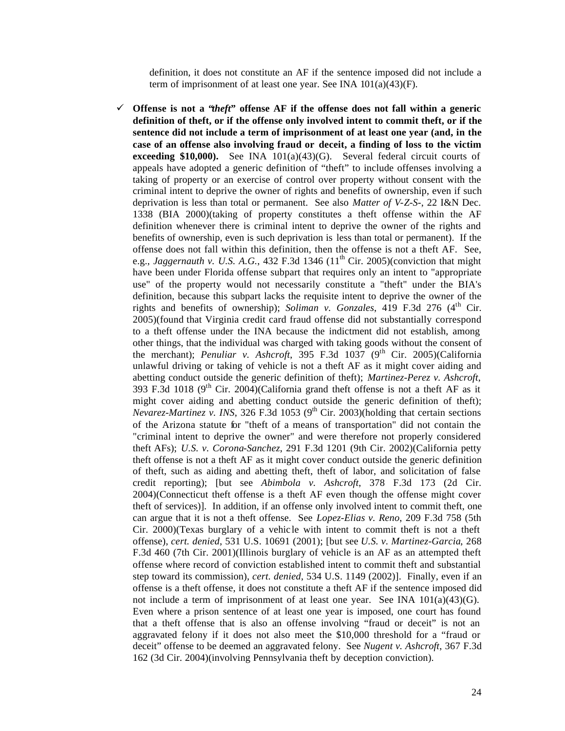definition, it does not constitute an AF if the sentence imposed did not include a term of imprisonment of at least one year. See INA 101(a)(43)(F).

¸ **Offense is not a "***theft***" offense AF if the offense does not fall within a generic definition of theft, or if the offense only involved intent to commit theft, or if the sentence did not include a term of imprisonment of at least one year (and, in the case of an offense also involving fraud or deceit, a finding of loss to the victim exceeding \$10,000).** See INA  $101(a)(43)(G)$ . Several federal circuit courts of appeals have adopted a generic definition of "theft" to include offenses involving a taking of property or an exercise of control over property without consent with the criminal intent to deprive the owner of rights and benefits of ownership, even if such deprivation is less than total or permanent. See also *Matter of V-Z-S-*, 22 I&N Dec. 1338 (BIA 2000)(taking of property constitutes a theft offense within the AF definition whenever there is criminal intent to deprive the owner of the rights and benefits of ownership, even is such deprivation is less than total or permanent). If the offense does not fall within this definition, then the offense is not a theft AF. See, e.g., *Jaggernauth v. U.S. A.G.*, 432 F.3d 1346  $(11<sup>th</sup> Cir. 2005)$ (conviction that might have been under Florida offense subpart that requires only an intent to "appropriate use" of the property would not necessarily constitute a "theft" under the BIA's definition, because this subpart lacks the requisite intent to deprive the owner of the rights and benefits of ownership); *Soliman v. Gonzales*, 419 F.3d 276 ( $4<sup>th</sup>$  Cir. 2005)(found that Virginia credit card fraud offense did not substantially correspond to a theft offense under the INA because the indictment did not establish, among other things, that the individual was charged with taking goods without the consent of the merchant); *Penuliar v. Ashcroft*, 395 F.3d  $1037$  (9<sup>th</sup> Cir. 2005)(California unlawful driving or taking of vehicle is not a theft AF as it might cover aiding and abetting conduct outside the generic definition of theft); *Martinez-Perez v. Ashcroft*, 393 F.3d 1018 ( $9<sup>th</sup>$  Cir. 2004)(California grand theft offense is not a theft AF as it might cover aiding and abetting conduct outside the generic definition of theft); *Nevarez-Martinez v. INS*, 326 F.3d 1053 ( $9<sup>th</sup>$  Cir. 2003)(holding that certain sections of the Arizona statute for "theft of a means of transportation" did not contain the "criminal intent to deprive the owner" and were therefore not properly considered theft AFs); *U.S. v. Corona-Sanchez*, 291 F.3d 1201 (9th Cir. 2002)(California petty theft offense is not a theft AF as it might cover conduct outside the generic definition of theft, such as aiding and abetting theft, theft of labor, and solicitation of false credit reporting); [but see *Abimbola v. Ashcroft*, 378 F.3d 173 (2d Cir. 2004)(Connecticut theft offense is a theft AF even though the offense might cover theft of services)]. In addition, if an offense only involved intent to commit theft, one can argue that it is not a theft offense. See *Lopez-Elias v. Reno*, 209 F.3d 758 (5th Cir. 2000)(Texas burglary of a vehic le with intent to commit theft is not a theft offense), *cert. denied*, 531 U.S. 10691 (2001); [but see *U.S. v. Martinez-Garcia*, 268 F.3d 460 (7th Cir. 2001)(Illinois burglary of vehicle is an AF as an attempted theft offense where record of conviction established intent to commit theft and substantial step toward its commission), *cert. denied*, 534 U.S. 1149 (2002)]. Finally, even if an offense is a theft offense, it does not constitute a theft AF if the sentence imposed did not include a term of imprisonment of at least one year. See INA  $101(a)(43)(G)$ . Even where a prison sentence of at least one year is imposed, one court has found that a theft offense that is also an offense involving "fraud or deceit" is not an aggravated felony if it does not also meet the \$10,000 threshold for a "fraud or deceit" offense to be deemed an aggravated felony. See *Nugent v. Ashcroft*, 367 F.3d 162 (3d Cir. 2004)(involving Pennsylvania theft by deception conviction).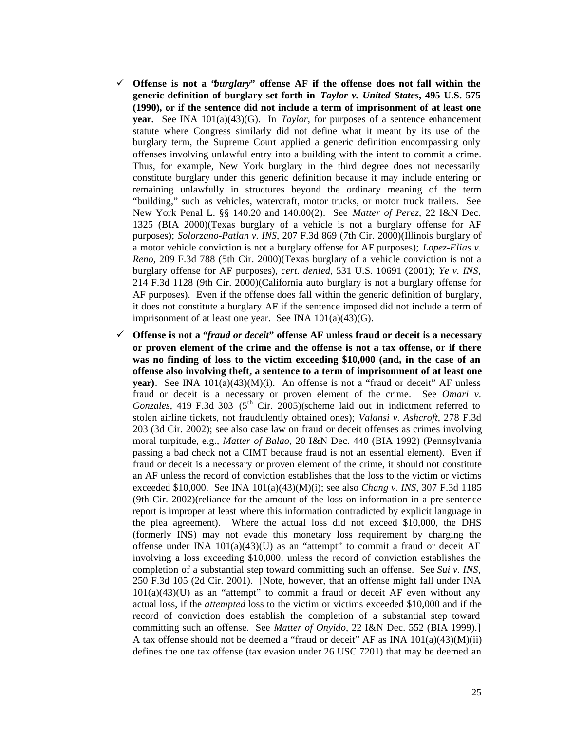- ¸ **Offense is not a "***burglary***" offense AF if the offense does not fall within the generic definition of burglary set forth in** *Taylor v. United States***, 495 U.S. 575 (1990), or if the sentence did not include a term of imprisonment of at least one year.** See INA  $101(a)(43)(G)$ . In *Taylor*, for purposes of a sentence enhancement statute where Congress similarly did not define what it meant by its use of the burglary term, the Supreme Court applied a generic definition encompassing only offenses involving unlawful entry into a building with the intent to commit a crime. Thus, for example, New York burglary in the third degree does not necessarily constitute burglary under this generic definition because it may include entering or remaining unlawfully in structures beyond the ordinary meaning of the term "building," such as vehicles, watercraft, motor trucks, or motor truck trailers. See New York Penal L. §§ 140.20 and 140.00(2). See *Matter of Perez*, 22 I&N Dec. 1325 (BIA 2000)(Texas burglary of a vehicle is not a burglary offense for AF purposes); *Solorzano-Patlan v. INS*, 207 F.3d 869 (7th Cir. 2000)(Illinois burglary of a motor vehicle conviction is not a burglary offense for AF purposes); *Lopez-Elias v. Reno*, 209 F.3d 788 (5th Cir. 2000)(Texas burglary of a vehicle conviction is not a burglary offense for AF purposes), *cert. denied*, 531 U.S. 10691 (2001); *Ye v. INS*, 214 F.3d 1128 (9th Cir. 2000)(California auto burglary is not a burglary offense for AF purposes). Even if the offense does fall within the generic definition of burglary, it does not constitute a burglary AF if the sentence imposed did not include a term of imprisonment of at least one year. See INA  $101(a)(43)(G)$ .
- ¸ **Offense is not a "***fraud or deceit***" offense AF unless fraud or deceit is a necessary or proven element of the crime and the offense is not a tax offense, or if there was no finding of loss to the victim exceeding \$10,000 (and, in the case of an offense also involving theft, a sentence to a term of imprisonment of at least one year**). See INA 101(a)(43)(M)(i). An offense is not a "fraud or deceit" AF unless fraud or deceit is a necessary or proven element of the crime. See *Omari v.* Gonzales, 419 F.3d 303 (5<sup>th</sup> Cir. 2005)(scheme laid out in indictment referred to stolen airline tickets, not fraudulently obtained ones); *Valansi v. Ashcroft*, 278 F.3d 203 (3d Cir. 2002); see also case law on fraud or deceit offenses as crimes involving moral turpitude, e.g., *Matter of Balao*, 20 I&N Dec. 440 (BIA 1992) (Pennsylvania passing a bad check not a CIMT because fraud is not an essential element). Even if fraud or deceit is a necessary or proven element of the crime, it should not constitute an AF unless the record of conviction establishes that the loss to the victim or victims exceeded \$10,000. See INA 101(a)(43)(M)(i); see also *Chang v. INS*, 307 F.3d 1185 (9th Cir. 2002)(reliance for the amount of the loss on information in a pre-sentence report is improper at least where this information contradicted by explicit language in the plea agreement). Where the actual loss did not exceed \$10,000, the DHS (formerly INS) may not evade this monetary loss requirement by charging the offense under INA  $101(a)(43)(U)$  as an "attempt" to commit a fraud or deceit AF involving a loss exceeding \$10,000, unless the record of conviction establishes the completion of a substantial step toward committing such an offense. See *Sui v. INS*, 250 F.3d 105 (2d Cir. 2001). [Note, however, that an offense might fall under INA  $101(a)(43)(U)$  as an "attempt" to commit a fraud or deceit AF even without any actual loss, if the *attempted* loss to the victim or victims exceeded \$10,000 and if the record of conviction does establish the completion of a substantial step toward committing such an offense. See *Matter of Onyido*, 22 I&N Dec. 552 (BIA 1999).] A tax offense should not be deemed a "fraud or deceit" AF as INA 101(a)(43)(M)(ii) defines the one tax offense (tax evasion under 26 USC 7201) that may be deemed an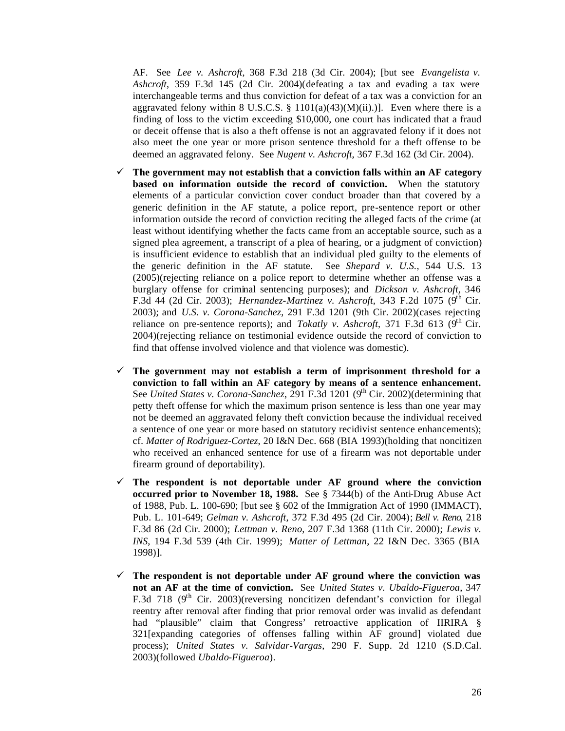AF. See *Lee v. Ashcroft*, 368 F.3d 218 (3d Cir. 2004); [but see *Evangelista v. Ashcroft*, 359 F.3d 145 (2d Cir. 2004)(defeating a tax and evading a tax were interchangeable terms and thus conviction for defeat of a tax was a conviction for an aggravated felony within 8 U.S.C.S. § 1101(a)(43)(M)(ii).)]. Even where there is a finding of loss to the victim exceeding \$10,000, one court has indicated that a fraud or deceit offense that is also a theft offense is not an aggravated felony if it does not also meet the one year or more prison sentence threshold for a theft offense to be deemed an aggravated felony. See *Nugent v. Ashcroft*, 367 F.3d 162 (3d Cir. 2004).

- $\checkmark$  The government may not establish that a conviction falls within an AF category **based on information outside the record of conviction.** When the statutory elements of a particular conviction cover conduct broader than that covered by a generic definition in the AF statute, a police report, pre-sentence report or other information outside the record of conviction reciting the alleged facts of the crime (at least without identifying whether the facts came from an acceptable source, such as a signed plea agreement, a transcript of a plea of hearing, or a judgment of conviction) is insufficient evidence to establish that an individual pled guilty to the elements of the generic definition in the AF statute. See *Shepard v. U.S.*, 544 U.S. 13 (2005)(rejecting reliance on a police report to determine whether an offense was a burglary offense for criminal sentencing purposes); and *Dickson v. Ashcroft*, 346 F.3d 44 (2d Cir. 2003); *Hernandez-Martinez v. Ashcroft*, 343 F.2d 1075 (9<sup>th</sup> Cir. 2003); and *U.S. v. Corona-Sanchez*, 291 F.3d 1201 (9th Cir. 2002)(cases rejecting reliance on pre-sentence reports); and *Tokatly v. Ashcroft*, 371 F.3d 613 ( $9<sup>th</sup>$  Cir. 2004)(rejecting reliance on testimonial evidence outside the record of conviction to find that offense involved violence and that violence was domestic).
- $\checkmark$  The government may not establish a term of imprisonment threshold for a **conviction to fall within an AF category by means of a sentence enhancement.** See *United States v. Corona-Sanchez*, 291 F.3d 1201 (9<sup>th</sup> Cir. 2002)(determining that petty theft offense for which the maximum prison sentence is less than one year may not be deemed an aggravated felony theft conviction because the individual received a sentence of one year or more based on statutory recidivist sentence enhancements); cf. *Matter of Rodriguez-Cortez*, 20 I&N Dec. 668 (BIA 1993)(holding that noncitizen who received an enhanced sentence for use of a firearm was not deportable under firearm ground of deportability).
- $\checkmark$  The respondent is not deportable under AF ground where the conviction **occurred prior to November 18, 1988.** See § 7344(b) of the Anti-Drug Abuse Act of 1988, Pub. L. 100-690; [but see § 602 of the Immigration Act of 1990 (IMMACT), Pub. L. 101-649; *Gelman v. Ashcroft*, 372 F.3d 495 (2d Cir. 2004); *Bell v. Reno*, 218 F.3d 86 (2d Cir. 2000); *Lettman v. Reno*, 207 F.3d 1368 (11th Cir. 2000); *Lewis v. INS*, 194 F.3d 539 (4th Cir. 1999); *Matter of Lettman*, 22 I&N Dec. 3365 (BIA 1998)].
- $\checkmark$  The respondent is not deportable under AF ground where the conviction was **not an AF at the time of conviction.** See *United States v. Ubaldo-Figueroa*, 347 F.3d 718 ( $9<sup>th</sup>$  Cir. 2003)(reversing noncitizen defendant's conviction for illegal reentry after removal after finding that prior removal order was invalid as defendant had "plausible" claim that Congress' retroactive application of IIRIRA § 321[expanding categories of offenses falling within AF ground] violated due process); *United States v. Salvidar-Vargas*, 290 F. Supp. 2d 1210 (S.D.Cal. 2003)(followed *Ubaldo-Figueroa*).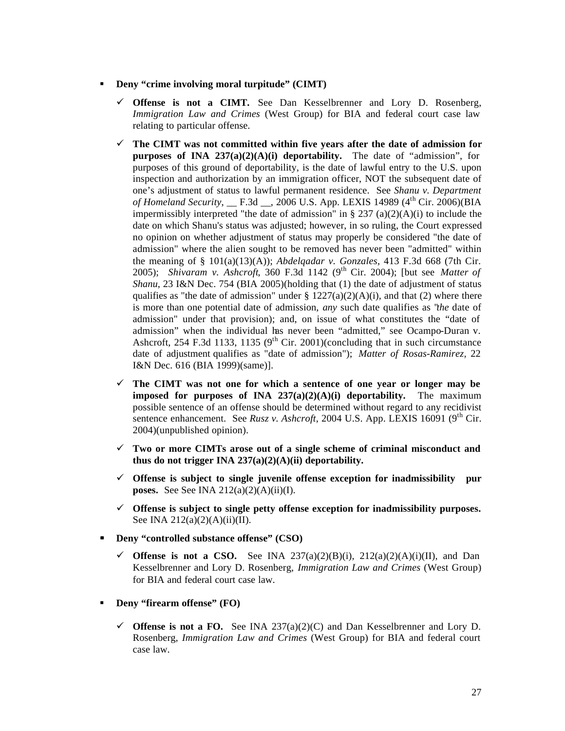## **Beny "crime involving moral turpitude" (CIMT)**

- $\checkmark$  **Offense is not a CIMT.** See Dan Kesselbrenner and Lory D. Rosenberg, *Immigration Law and Crimes* (West Group) for BIA and federal court case law relating to particular offense.
- $\checkmark$  The CIMT was not committed within five years after the date of admission for **purposes of INA 237(a)(2)(A)(i) deportability.** The date of "admission", for purposes of this ground of deportability, is the date of lawful entry to the U.S. upon inspection and authorization by an immigration officer, NOT the subsequent date of one's adjustment of status to lawful permanent residence. See *Shanu v. Department of Homeland Security*, \_\_ F.3d \_\_, 2006 U.S. App. LEXIS 14989 (4<sup>th</sup> Cir. 2006)(BIA impermissibly interpreted "the date of admission" in  $\S 237 (a)(2)(A)(i)$  to include the date on which Shanu's status was adjusted; however, in so ruling, the Court expressed no opinion on whether adjustment of status may properly be considered "the date of admission" where the alien sought to be removed has never been "admitted" within the meaning of  $\S$  101(a)(13)(A)); *Abdelgadar v. Gonzales*, 413 F.3d 668 (7th Cir. 2005); *Shivaram v. Ashcroft*, 360 F.3d 1142 (9th Cir. 2004); [but see *Matter of Shanu*, 23 I&N Dec. 754 (BIA 2005)(holding that (1) the date of adjustment of status qualifies as "the date of admission" under §  $1227(a)(2)(A)(i)$ , and that (2) where there is more than one potential date of admission, *any* such date qualifies as "*the* date of admission" under that provision); and, on issue of what constitutes the "date of admission" when the individual has never been "admitted," see Ocampo-Duran v. Ashcroft, 254 F.3d 1133, 1135 ( $9<sup>th</sup>$  Cir. 2001)(concluding that in such circumstance date of adjustment qualifies as "date of admission"); *Matter of Rosas-Ramirez,* 22 I&N Dec. 616 (BIA 1999)(same)].
- $\checkmark$  The CIMT was not one for which a sentence of one year or longer may be **imposed for purposes of INA 237(a)(2)(A)(i) deportability.** The maximum possible sentence of an offense should be determined without regard to any recidivist sentence enhancement. See *Rusz v. Ashcroft*, 2004 U.S. App. LEXIS 16091 (9th Cir. 2004)(unpublished opinion).
- $\checkmark$  Two or more CIMTs arose out of a single scheme of criminal misconduct and **thus do not trigger INA 237(a)(2)(A)(ii) deportability.**
- $\checkmark$  Offense is subject to single juvenile offense exception for inadmissibility pur **poses.** See See INA  $212(a)(2)(A)(ii)(I)$ .
- $\checkmark$  Offense is subject to single petty offense exception for inadmissibility purposes. See INA  $212(a)(2)(A)(ii)(II)$ .
- Deny "controlled substance offense" (CSO)
	- $\checkmark$  Offense is not a CSO. See INA 237(a)(2)(B)(i), 212(a)(2)(A)(i)(II), and Dan Kesselbrenner and Lory D. Rosenberg, *Immigration Law and Crimes* (West Group) for BIA and federal court case law.
- **Beny "firearm offense" (FO)** 
	- $\checkmark$  Offense is not a FO. See INA 237(a)(2)(C) and Dan Kesselbrenner and Lory D. Rosenberg, *Immigration Law and Crimes* (West Group) for BIA and federal court case law.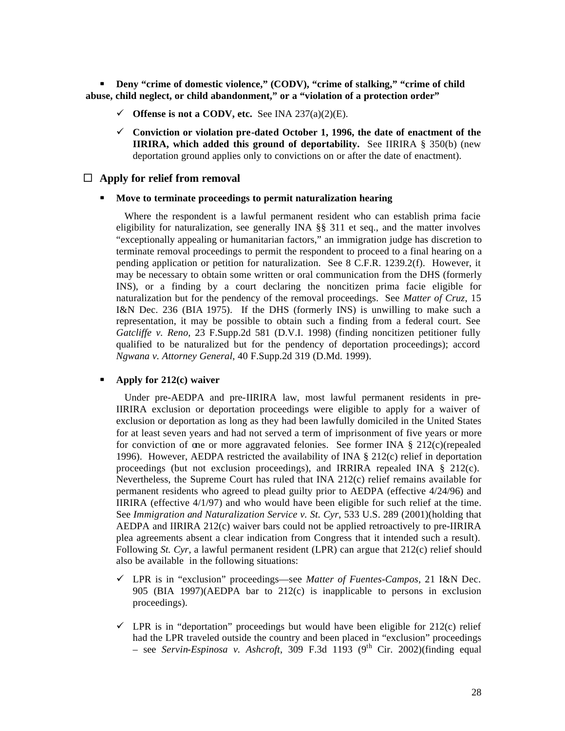**EXECUTE:** Deny "crime of domestic violence," (CODV), "crime of stalking," "crime of child  **abuse, child neglect, or child abandonment," or a "violation of a protection order"**

- $\checkmark$  Offense is not a CODV, etc. See INA 237(a)(2)(E).
- $\checkmark$  Conviction or violation pre-dated October 1, 1996, the date of enactment of the **IIRIRA, which added this ground of deportability.** See IIRIRA § 350(b) (new deportation ground applies only to convictions on or after the date of enactment).

#### $\Box$  Apply for relief from removal

## $\blacksquare$  Move to terminate proceedings to permit naturalization hearing

 Where the respondent is a lawful permanent resident who can establish prima facie eligibility for naturalization, see generally INA §§ 311 et seq., and the matter involves "exceptionally appealing or humanitarian factors," an immigration judge has discretion to terminate removal proceedings to permit the respondent to proceed to a final hearing on a pending application or petition for naturalization. See 8 C.F.R. 1239.2(f). However, it may be necessary to obtain some written or oral communication from the DHS (formerly INS), or a finding by a court declaring the noncitizen prima facie eligible for naturalization but for the pendency of the removal proceedings. See *Matter of Cruz*, 15 I&N Dec. 236 (BIA 1975). If the DHS (formerly INS) is unwilling to make such a representation, it may be possible to obtain such a finding from a federal court. See *Gatcliffe v. Reno*, 23 F.Supp.2d 581 (D.V.I. 1998) (finding noncitizen petitioner fully qualified to be naturalized but for the pendency of deportation proceedings); accord *Ngwana v. Attorney General*, 40 F.Supp.2d 319 (D.Md. 1999).

## **ß Apply for 212(c) waiver**

 Under pre-AEDPA and pre-IIRIRA law, most lawful permanent residents in pre-IIRIRA exclusion or deportation proceedings were eligible to apply for a waiver of exclusion or deportation as long as they had been lawfully domiciled in the United States for at least seven years and had not served a term of imprisonment of five years or more for conviction of one or more aggravated felonies. See former INA § 212(c)(repealed 1996). However, AEDPA restricted the availability of INA  $\S$  212(c) relief in deportation proceedings (but not exclusion proceedings), and IRRIRA repealed INA  $\S$  212(c). Nevertheless, the Supreme Court has ruled that  $INA 212(c)$  relief remains available for permanent residents who agreed to plead guilty prior to AEDPA (effective 4/24/96) and IIRIRA (effective 4/1/97) and who would have been eligible for such relief at the time. See *Immigration and Naturalization Service v. St. Cyr*, 533 U.S. 289 (2001)(holding that AEDPA and IIRIRA 212(c) waiver bars could not be applied retroactively to pre-IIRIRA plea agreements absent a clear indication from Congress that it intended such a result). Following *St. Cyr*, a lawful permanent resident (LPR) can argue that 212(c) relief should also be available in the following situations:

- ¸ LPR is in "exclusion" proceedings—see *Matter of Fuentes-Campos*, 21 I&N Dec. 905 (BIA 1997)(AEDPA bar to 212(c) is inapplicable to persons in exclusion proceedings).
- $\checkmark$  LPR is in "deportation" proceedings but would have been eligible for 212(c) relief had the LPR traveled outside the country and been placed in "exclusion" proceedings – see *Servin-Espinosa v. Ashcroft*, 309 F.3d 1193 (9th Cir. 2002)(finding equal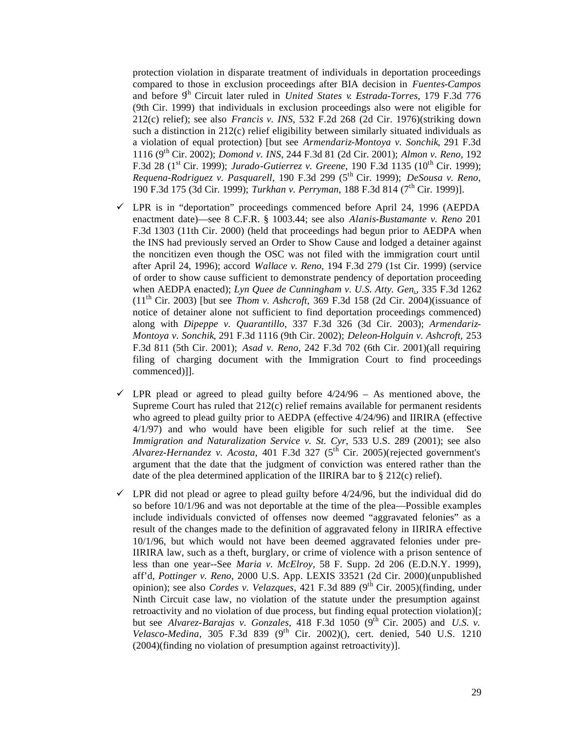protection violation in disparate treatment of individuals in deportation proceedings compared to those in exclusion proceedings after BIA decision in *Fuentes-Campos* and before  $9<sup>h</sup>$  Circuit later ruled in *United States v. Estrada-Torres*, 179 F.3d 776 (9th Cir. 1999) that individuals in exclusion proceedings also were not eligible for 212(c) relief); see also *Francis v. INS*, 532 F.2d 268 (2d Cir. 1976)(striking down such a distinction in  $212(c)$  relief eligibility between similarly situated individuals as a violation of equal protection) [but see *Armendariz-Montoya v. Sonchik*, 291 F.3d 1116 (9th Cir. 2002); *Domond v. INS*, 244 F.3d 81 (2d Cir. 2001); *Almon v. Reno,* 192 F.3d 28 (1<sup>st</sup> Cir. 1999); *Jurado-Gutierrez v. Greene*, 190 F.3d 1135 (10<sup>th</sup> Cir. 1999); *Requena-Rodriguez v. Pasquarell*, 190 F.3d 299 (5th Cir. 1999); *DeSousa v. Reno*, 190 F.3d 175 (3d Cir. 1999); *Turkhan v. Perryman*, 188 F.3d 814 (7th Cir. 1999)].

- $\checkmark$  LPR is in "deportation" proceedings commenced before April 24, 1996 (AEPDA enactment date)—see 8 C.F.R. § 1003.44; see also *Alanis-Bustamante v. Reno* 201 F.3d 1303 (11th Cir. 2000) (held that proceedings had begun prior to AEDPA when the INS had previously served an Order to Show Cause and lodged a detainer against the noncitizen even though the OSC was not filed with the immigration court until after April 24, 1996); accord *Wallace v. Reno*, 194 F.3d 279 (1st Cir. 1999) (service of order to show cause sufficient to demonstrate pendency of deportation proceeding when AEDPA enacted); *Lyn Quee de Cunningham v. U.S. Atty. Gen*., 335 F.3d 1262  $(11<sup>th</sup>$  Cir. 2003) [but see *Thom v. Ashcroft*, 369 F.3d 158 (2d Cir. 2004)(issuance of notice of detainer alone not sufficient to find deportation proceedings commenced) along with *Dipeppe v. Quarantillo*, 337 F.3d 326 (3d Cir. 2003); *Armendariz-Montoya v. Sonchik*, 291 F.3d 1116 (9th Cir. 2002); *Deleon-Holguin v. Ashcroft*, 253 F.3d 811 (5th Cir. 2001); *Asad v. Reno*, 242 F.3d 702 (6th Cir. 2001)(all requiring filing of charging document with the Immigration Court to find proceedings commenced)]].
- $\checkmark$  LPR plead or agreed to plead guilty before 4/24/96 As mentioned above, the Supreme Court has ruled that 212(c) relief remains available for permanent residents who agreed to plead guilty prior to AEDPA (effective 4/24/96) and IIRIRA (effective 4/1/97) and who would have been eligible for such relief at the time. See *Immigration and Naturalization Service v. St. Cyr*, 533 U.S. 289 (2001); see also *Alvarez-Hernandez v. Acosta*, 401 F.3d 327 (5<sup>th</sup> Cir. 2005)(rejected government's argument that the date that the judgment of conviction was entered rather than the date of the plea determined application of the IIRIRA bar to § 212(c) relief).
- $\checkmark$  LPR did not plead or agree to plead guilty before 4/24/96, but the individual did do so before 10/1/96 and was not deportable at the time of the plea—Possible examples include individuals convicted of offenses now deemed "aggravated felonies" as a result of the changes made to the definition of aggravated felony in IIRIRA effective 10/1/96, but which would not have been deemed aggravated felonies under pre-IIRIRA law, such as a theft, burglary, or crime of violence with a prison sentence of less than one year--See *Maria v. McElroy*, 58 F. Supp. 2d 206 (E.D.N.Y. 1999), aff'd, *Pottinger v. Reno*, 2000 U.S. App. LEXIS 33521 (2d Cir. 2000)(unpublished opinion); see also *Cordes v. Velazques*, 421 F.3d 889 (9<sup>th</sup> Cir. 2005)(finding, under Ninth Circuit case law, no violation of the statute under the presumption against retroactivity and no violation of due process, but finding equal protection violation)[; but see *Alvarez-Barajas v. Gonzales*, 418 F.3d 1050 (9<sup>th</sup> Cir. 2005) and *U.S. v. Velasco-Medina*, 305 F.3d 839 (9th Cir. 2002)(), cert. denied, 540 U.S. 1210 (2004)(finding no violation of presumption against retroactivity)].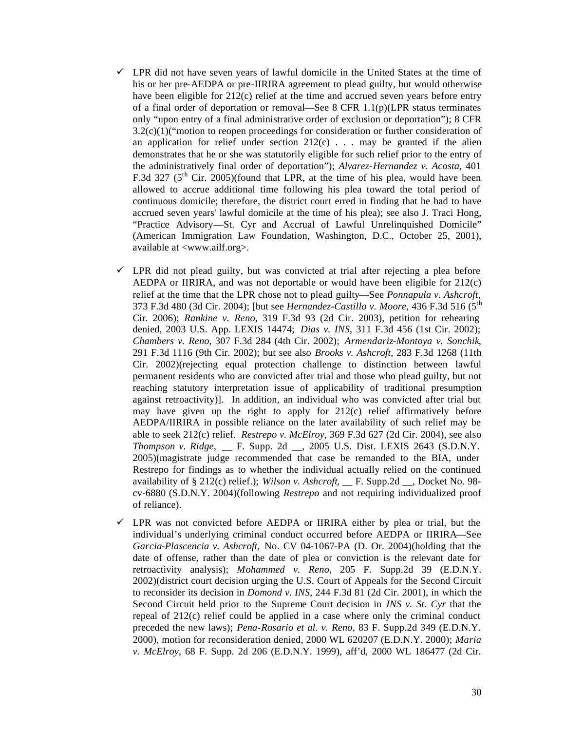- $\checkmark$  LPR did not have seven years of lawful domicile in the United States at the time of his or her pre-AEDPA or pre-IIRIRA agreement to plead guilty, but would otherwise have been eligible for 212(c) relief at the time and accrued seven years before entry of a final order of deportation or removal—See 8 CFR  $1.1(p)$ (LPR status terminates only "upon entry of a final administrative order of exclusion or deportation"); 8 CFR  $3.2(c)(1)$ ("motion to reopen proceedings for consideration or further consideration of an application for relief under section  $212(c)$ ... may be granted if the alien demonstrates that he or she was statutorily eligible for such relief prior to the entry of the administratively final order of deportation"); *Alvarez-Hernandez v. Acosta*, 401 F.3d 327 ( $5<sup>th</sup>$  Cir. 2005)(found that LPR, at the time of his plea, would have been allowed to accrue additional time following his plea toward the total period of continuous domicile; therefore, the district court erred in finding that he had to have accrued seven years' lawful domicile at the time of his plea); see also J. Traci Hong, "Practice Advisory—St. Cyr and Accrual of Lawful Unrelinquished Domicile" (American Immigration Law Foundation, Washington, D.C., October 25, 2001), available at <www.ailf.org>.
- $\checkmark$  LPR did not plead guilty, but was convicted at trial after rejecting a plea before AEDPA or IIRIRA, and was not deportable or would have been eligible for 212(c) relief at the time that the LPR chose not to plead guilty—See *Ponnapula v. Ashcroft*, 373 F.3d 480 (3d Cir. 2004); [but see *Hernandez-Castillo v. Moore,* 436 F.3d 516 (5th Cir. 2006); *Rankine v. Reno*, 319 F.3d 93 (2d Cir. 2003), petition for rehearing denied, 2003 U.S. App. LEXIS 14474; *Dias v. INS*, 311 F.3d 456 (1st Cir. 2002); *Chambers v. Reno*, 307 F.3d 284 (4th Cir. 2002); *Armendariz-Montoya v. Sonchik*, 291 F.3d 1116 (9th Cir. 2002); but see also *Brooks v. Ashcroft*, 283 F.3d 1268 (11th Cir. 2002)(rejecting equal protection challenge to distinction between lawful permanent residents who are convicted after trial and those who plead guilty, but not reaching statutory interpretation issue of applicability of traditional presumption against retroactivity)]. In addition, an individual who was convicted after trial but may have given up the right to apply for  $212(c)$  relief affirmatively before AEDPA/IIRIRA in possible reliance on the later availability of such relief may be able to seek 212(c) relief. *Restrepo v. McElroy*, 369 F.3d 627 (2d Cir. 2004), see also *Thompson v. Ridge,* \_\_ F. Supp. 2d \_\_, 2005 U.S. Dist. LEXIS 2643 (S.D.N.Y. 2005)(magistrate judge recommended that case be remanded to the BIA, under Restrepo for findings as to whether the individual actually relied on the continued availability of § 212(c) relief.); *Wilson v. Ashcroft*, \_\_ F. Supp.2d \_\_, Docket No. 98 cv-6880 (S.D.N.Y. 2004)(following *Restrepo* and not requiring individualized proof of reliance).
- $\checkmark$  LPR was not convicted before AEDPA or IIRIRA either by plea or trial, but the individual's underlying criminal conduct occurred before AEDPA or IIRIRA—See *Garcia-Plascencia v. Ashcroft,* No. CV 04-1067-PA (D. Or. 2004)(holding that the date of offense, rather than the date of plea or conviction is the relevant date for retroactivity analysis); *Mohammed v. Reno*, 205 F. Supp.2d 39 (E.D.N.Y. 2002)(district court decision urging the U.S. Court of Appeals for the Second Circuit to reconsider its decision in *Domond v. INS*, 244 F.3d 81 (2d Cir. 2001), in which the Second Circuit held prior to the Supreme Court decision in *INS v. St. Cyr* that the repeal of  $212(c)$  relief could be applied in a case where only the criminal conduct preceded the new laws); *Pena-Rosario et al. v. Reno*, 83 F. Supp.2d 349 (E.D.N.Y. 2000), motion for reconsideration denied, 2000 WL 620207 (E.D.N.Y. 2000); *Maria v. McElroy*, 68 F. Supp. 2d 206 (E.D.N.Y. 1999), aff'd, 2000 WL 186477 (2d Cir.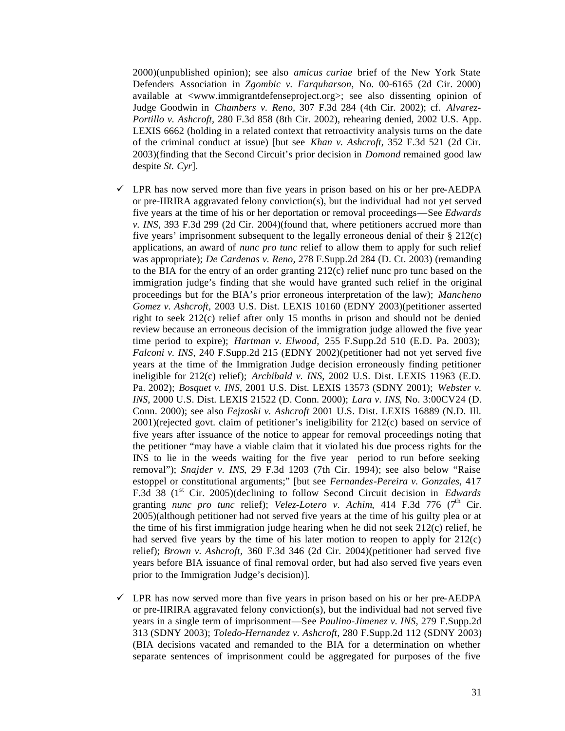2000)(unpublished opinion); see also *amicus curiae* brief of the New York State Defenders Association in *Zgombic v. Farquharson*, No. 00-6165 (2d Cir. 2000) available at <www.immigrantdefenseproject.org>; see also dissenting opinion of Judge Goodwin in *Chambers v. Reno*, 307 F.3d 284 (4th Cir. 2002); cf. *Alvarez-Portillo v. Ashcroft*, 280 F.3d 858 (8th Cir. 2002), rehearing denied, 2002 U.S. App. LEXIS 6662 (holding in a related context that retroactivity analysis turns on the date of the criminal conduct at issue) [but see *Khan v. Ashcroft*, 352 F.3d 521 (2d Cir. 2003)(finding that the Second Circuit's prior decision in *Domond* remained good law despite *St. Cyr*].

- $\checkmark$  LPR has now served more than five years in prison based on his or her pre-AEDPA or pre-IIRIRA aggravated felony conviction(s), but the individual had not yet served five years at the time of his or her deportation or removal proceedings—See *Edwards v. INS*, 393 F.3d 299 (2d Cir. 2004)(found that, where petitioners accrued more than five years' imprisonment subsequent to the legally erroneous denial of their § 212(c) applications, an award of *nunc pro tunc* relief to allow them to apply for such relief was appropriate); *De Cardenas v. Reno,* 278 F.Supp.2d 284 (D. Ct. 2003) (remanding to the BIA for the entry of an order granting 212(c) relief nunc pro tunc based on the immigration judge's finding that she would have granted such relief in the original proceedings but for the BIA's prior erroneous interpretation of the law); *Mancheno Gomez v. Ashcroft,* 2003 U.S. Dist. LEXIS 10160 (EDNY 2003)(petitioner asserted right to seek 212(c) relief after only 15 months in prison and should not be denied review because an erroneous decision of the immigration judge allowed the five year time period to expire); *Hartman v. Elwood,* 255 F.Supp.2d 510 (E.D. Pa. 2003); *Falconi v. INS*, 240 F.Supp.2d 215 (EDNY 2002)(petitioner had not yet served five years at the time of the Immigration Judge decision erroneously finding petitioner ineligible for 212(c) relief); *Archibald v. INS*, 2002 U.S. Dist. LEXIS 11963 (E.D. Pa. 2002); *Bosquet v. INS*, 2001 U.S. Dist. LEXIS 13573 (SDNY 2001); *Webster v. INS*, 2000 U.S. Dist. LEXIS 21522 (D. Conn. 2000); *Lara v. INS*, No. 3:00CV24 (D. Conn. 2000); see also *Fejzoski v. Ashcroft* 2001 U.S. Dist. LEXIS 16889 (N.D. Ill. 2001)(rejected govt. claim of petitioner's ineligibility for 212(c) based on service of five years after issuance of the notice to appear for removal proceedings noting that the petitioner "may have a viable claim that it violated his due process rights for the INS to lie in the weeds waiting for the five year period to run before seeking removal"); *Snajder v. INS*, 29 F.3d 1203 (7th Cir. 1994); see also below "Raise estoppel or constitutional arguments;" [but see *Fernandes-Pereira v. Gonzales*, 417 F.3d 38 (1<sup>st</sup> Cir. 2005)(declining to follow Second Circuit decision in *Edwards* granting *nunc pro tunc* relief); *Velez-Lotero v. Achim*, 414 F.3d 776 (7<sup>th</sup> Cir. 2005)(although petitioner had not served five years at the time of his guilty plea or at the time of his first immigration judge hearing when he did not seek 212(c) relief, he had served five years by the time of his later motion to reopen to apply for 212(c) relief); *Brown v. Ashcroft,* 360 F.3d 346 (2d Cir. 2004)(petitioner had served five years before BIA issuance of final removal order, but had also served five years even prior to the Immigration Judge's decision)].
- $\checkmark$  LPR has now served more than five years in prison based on his or her pre-AEDPA or pre-IIRIRA aggravated felony conviction(s), but the individual had not served five years in a single term of imprisonment—See *Paulino-Jimenez v. INS,* 279 F.Supp.2d 313 (SDNY 2003); *Toledo-Hernandez v. Ashcroft,* 280 F.Supp.2d 112 (SDNY 2003) (BIA decisions vacated and remanded to the BIA for a determination on whether separate sentences of imprisonment could be aggregated for purposes of the five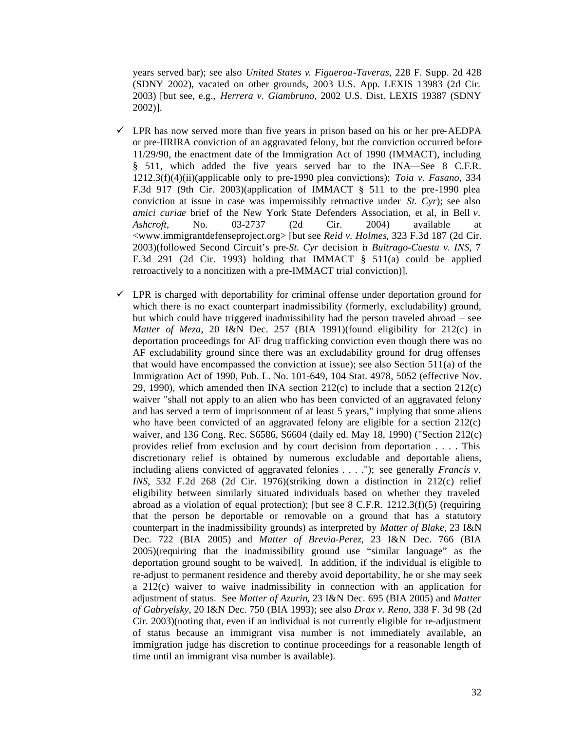years served bar); see also *United States v. Figueroa-Taveras,* 228 F. Supp. 2d 428 (SDNY 2002), vacated on other grounds, 2003 U.S. App. LEXIS 13983 (2d Cir. 2003) [but see, e.g., *Herrera v. Giambruno*, 2002 U.S. Dist. LEXIS 19387 (SDNY 2002)].

- $\checkmark$  LPR has now served more than five years in prison based on his or her pre-AEDPA or pre-IIRIRA conviction of an aggravated felony, but the conviction occurred before 11/29/90, the enactment date of the Immigration Act of 1990 (IMMACT), including § 511, which added the five years served bar to the INA—See 8 C.F.R. 1212.3(f)(4)(ii)(applicable only to pre-1990 plea convictions); *Toia v. Fasano*, 334 F.3d 917 (9th Cir. 2003)(application of IMMACT § 511 to the pre-1990 plea conviction at issue in case was impermissibly retroactive under *St. Cyr*); see also *amici curiae* brief of the New York State Defenders Association, et al, in Bell *v. Ashcroft*, No. 03-2737 (2d Cir. 2004) available at <www.immigrantdefenseproject.org> [but see *Reid v. Holmes*, 323 F.3d 187 (2d Cir. 2003)(followed Second Circuit's pre-*St. Cyr* decision in *Buitrago-Cuesta v. INS*, 7 F.3d 291 (2d Cir. 1993) holding that IMMACT § 511(a) could be applied retroactively to a noncitizen with a pre-IMMACT trial conviction)].
- $\checkmark$  LPR is charged with deportability for criminal offense under deportation ground for which there is no exact counterpart inadmissibility (formerly, excludability) ground, but which could have triggered inadmissibility had the person traveled abroad – see *Matter of Meza*, 20 I&N Dec. 257 (BIA 1991)(found eligibility for 212(c) in deportation proceedings for AF drug trafficking conviction even though there was no AF excludability ground since there was an excludability ground for drug offenses that would have encompassed the conviction at issue); see also Section 511(a) of the Immigration Act of 1990, Pub. L. No. 101-649, 104 Stat. 4978, 5052 (effective Nov. 29, 1990), which amended then INA section  $212(c)$  to include that a section  $212(c)$ waiver "shall not apply to an alien who has been convicted of an aggravated felony and has served a term of imprisonment of at least 5 years," implying that some aliens who have been convicted of an aggravated felony are eligible for a section  $212(c)$ waiver, and 136 Cong. Rec. S6586, S6604 (daily ed. May 18, 1990) ("Section 212(c) provides relief from exclusion and by court decision from deportation . . . . This discretionary relief is obtained by numerous excludable and deportable aliens, including aliens convicted of aggravated felonies . . . ."); see generally *Francis v. INS*, 532 F.2d 268 (2d Cir. 1976)(striking down a distinction in 212(c) relief eligibility between similarly situated individuals based on whether they traveled abroad as a violation of equal protection); [but see  $8$  C.F.R. 1212.3(f)(5) (requiring that the person be deportable or removable on a ground that has a statutory counterpart in the inadmissibility grounds) as interpreted by *Matter of Blake,* 23 I&N Dec. 722 (BIA 2005) and *Matter of Brevia-Perez*, 23 I&N Dec. 766 (BIA 2005)(requiring that the inadmissibility ground use "similar language" as the deportation ground sought to be waived]. In addition, if the individual is eligible to re-adjust to permanent residence and thereby avoid deportability, he or she may seek a 212(c) waiver to waive inadmissibility in connection with an application for adjustment of status. See *Matter of Azurin*, 23 I&N Dec. 695 (BIA 2005) and *Matter of Gabryelsky*, 20 I&N Dec. 750 (BIA 1993); see also *Drax v. Reno*, 338 F. 3d 98 (2d Cir. 2003)(noting that, even if an individual is not currently eligible for re-adjustment of status because an immigrant visa number is not immediately available, an immigration judge has discretion to continue proceedings for a reasonable length of time until an immigrant visa number is available).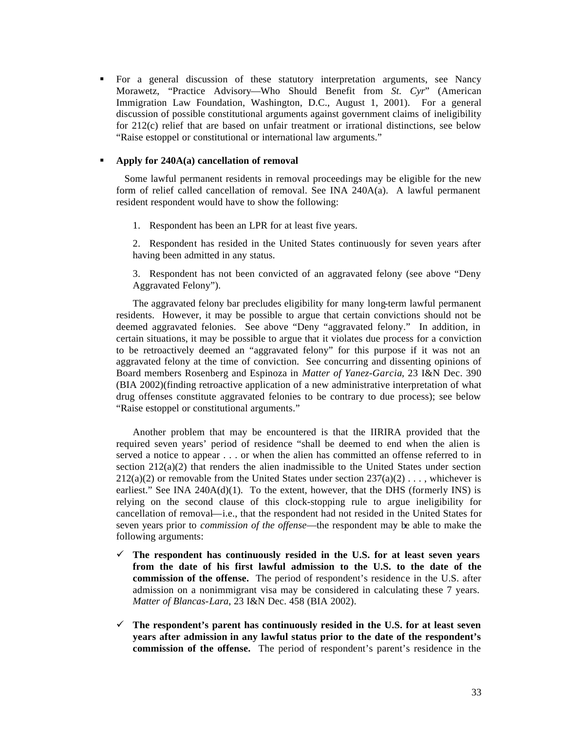ß For a general discussion of these statutory interpretation arguments, see Nancy Morawetz, "Practice Advisory—Who Should Benefit from *St. Cyr*" (American Immigration Law Foundation, Washington, D.C., August 1, 2001). For a general discussion of possible constitutional arguments against government claims of ineligibility for 212(c) relief that are based on unfair treatment or irrational distinctions, see below "Raise estoppel or constitutional or international law arguments."

### ß **Apply for 240A(a) cancellation of removal**

 Some lawful permanent residents in removal proceedings may be eligible for the new form of relief called cancellation of removal. See INA 240A(a). A lawful permanent resident respondent would have to show the following:

1. Respondent has been an LPR for at least five years.

2. Respondent has resided in the United States continuously for seven years after having been admitted in any status.

3. Respondent has not been convicted of an aggravated felony (see above "Deny Aggravated Felony").

The aggravated felony bar precludes eligibility for many long-term lawful permanent residents. However, it may be possible to argue that certain convictions should not be deemed aggravated felonies. See above "Deny "aggravated felony." In addition, in certain situations, it may be possible to argue that it violates due process for a conviction to be retroactively deemed an "aggravated felony" for this purpose if it was not an aggravated felony at the time of conviction. See concurring and dissenting opinions of Board members Rosenberg and Espinoza in *Matter of Yanez-Garcia*, 23 I&N Dec. 390 (BIA 2002)(finding retroactive application of a new administrative interpretation of what drug offenses constitute aggravated felonies to be contrary to due process); see below "Raise estoppel or constitutional arguments."

Another problem that may be encountered is that the IIRIRA provided that the required seven years' period of residence "shall be deemed to end when the alien is served a notice to appear . . . or when the alien has committed an offense referred to in section  $212(a)(2)$  that renders the alien inadmissible to the United States under section  $212(a)(2)$  or removable from the United States under section  $237(a)(2) \ldots$ , whichever is earliest." See INA  $240A(d)(1)$ . To the extent, however, that the DHS (formerly INS) is relying on the second clause of this clock-stopping rule to argue ineligibility for cancellation of removal—i.e., that the respondent had not resided in the United States for seven years prior to *commission of the offense*—the respondent may be able to make the following arguments:

- $\checkmark$  The respondent has continuously resided in the U.S. for at least seven years **from the date of his first lawful admission to the U.S. to the date of the commission of the offense.** The period of respondent's residence in the U.S. after admission on a nonimmigrant visa may be considered in calculating these 7 years. *Matter of Blancas-Lara*, 23 I&N Dec. 458 (BIA 2002).
- $\checkmark$  The respondent's parent has continuously resided in the U.S. for at least seven **years after admission in any lawful status prior to the date of the respondent's commission of the offense.** The period of respondent's parent's residence in the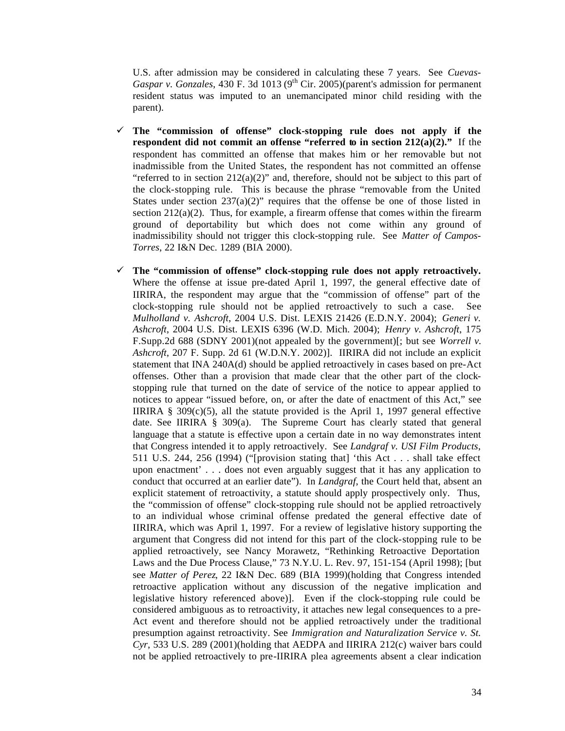U.S. after admission may be considered in calculating these 7 years. See *Cuevas-Gaspar v. Gonzales*, 430 F. 3d 1013 (9<sup>th</sup> Cir. 2005)(parent's admission for permanent resident status was imputed to an unemancipated minor child residing with the parent).

- ¸ **The "commission of offense" clock-stopping rule does not apply if the respondent did not commit an offense "referred to in section**  $212(a)(2)$ **."** If the respondent has committed an offense that makes him or her removable but not inadmissible from the United States, the respondent has not committed an offense "referred to in section  $212(a)(2)$ " and, therefore, should not be subject to this part of the clock-stopping rule. This is because the phrase "removable from the United States under section  $237(a)(2)$ " requires that the offense be one of those listed in section  $212(a)(2)$ . Thus, for example, a firearm offense that comes within the firearm ground of deportability but which does not come within any ground of inadmissibility should not trigger this clock-stopping rule. See *Matter of Campos-Torres*, 22 I&N Dec. 1289 (BIA 2000).
- $\checkmark$  The "commission of offense" clock-stopping rule does not apply retroactively. Where the offense at issue pre-dated April 1, 1997, the general effective date of IIRIRA, the respondent may argue that the "commission of offense" part of the clock-stopping rule should not be applied retroactively to such a case. See *Mulholland v. Ashcroft*, 2004 U.S. Dist. LEXIS 21426 (E.D.N.Y. 2004); *Generi v. Ashcroft*, 2004 U.S. Dist. LEXIS 6396 (W.D. Mich. 2004); *Henry v. Ashcroft*, 175 F.Supp.2d 688 (SDNY 2001)(not appealed by the government)[; but see *Worrell v. Ashcroft*, 207 F. Supp. 2d 61 (W.D.N.Y. 2002)]. IIRIRA did not include an explicit statement that INA 240A(d) should be applied retroactively in cases based on pre-Act offenses. Other than a provision that made clear that the other part of the clockstopping rule that turned on the date of service of the notice to appear applied to notices to appear "issued before, on, or after the date of enactment of this Act," see IIRIRA  $\S$  309(c)(5), all the statute provided is the April 1, 1997 general effective date. See IIRIRA § 309(a). The Supreme Court has clearly stated that general language that a statute is effective upon a certain date in no way demonstrates intent that Congress intended it to apply retroactively. See *Landgraf v. USI Film Products*, 511 U.S. 244, 256 (1994) ("[provision stating that] 'this Act . . . shall take effect upon enactment' . . . does not even arguably suggest that it has any application to conduct that occurred at an earlier date"). In *Landgraf*, the Court held that, absent an explicit statement of retroactivity, a statute should apply prospectively only. Thus, the "commission of offense" clock-stopping rule should not be applied retroactively to an individual whose criminal offense predated the general effective date of IIRIRA, which was April 1, 1997. For a review of legislative history supporting the argument that Congress did not intend for this part of the clock-stopping rule to be applied retroactively, see Nancy Morawetz, "Rethinking Retroactive Deportation Laws and the Due Process Clause," 73 N.Y.U. L. Rev. 97, 151-154 (April 1998); [but see *Matter of Perez*, 22 I&N Dec. 689 (BIA 1999)(holding that Congress intended retroactive application without any discussion of the negative implication and legislative history referenced above)]. Even if the clock-stopping rule could be considered ambiguous as to retroactivity, it attaches new legal consequences to a pre-Act event and therefore should not be applied retroactively under the traditional presumption against retroactivity. See *Immigration and Naturalization Service v. St. Cyr*, 533 U.S. 289 (2001)(holding that AEDPA and IIRIRA 212(c) waiver bars could not be applied retroactively to pre-IIRIRA plea agreements absent a clear indication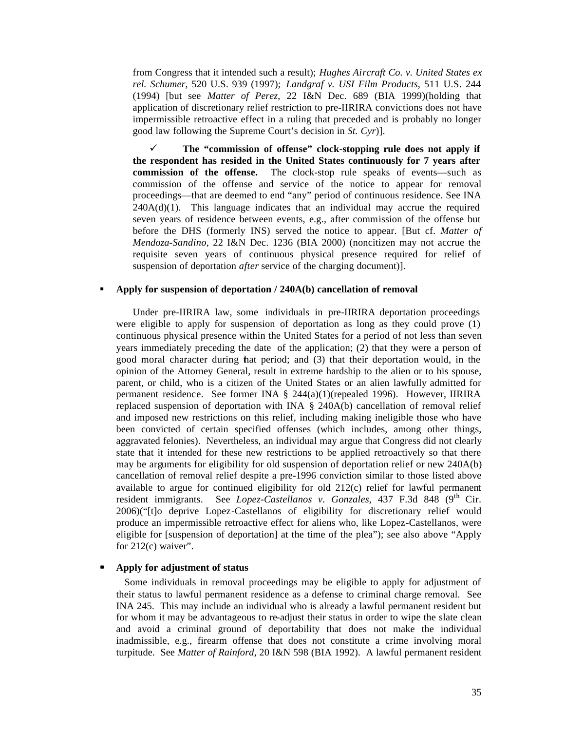from Congress that it intended such a result); *Hughes Aircraft Co. v. United States ex rel. Schumer*, 520 U.S. 939 (1997); *Landgraf v. USI Film Products*, 511 U.S. 244 (1994) [but see *Matter of Perez*, 22 I&N Dec. 689 (BIA 1999)(holding that application of discretionary relief restriction to pre-IIRIRA convictions does not have impermissible retroactive effect in a ruling that preceded and is probably no longer good law following the Supreme Court's decision in *St. Cyr*)].

¸ **The "commission of offense" clock-stopping rule does not apply if the respondent has resided in the United States continuously for 7 years after commission of the offense.** The clock-stop rule speaks of events—such as commission of the offense and service of the notice to appear for removal proceedings—that are deemed to end "any" period of continuous residence. See INA  $240A(d)(1)$ . This language indicates that an individual may accrue the required seven years of residence between events, e.g., after commission of the offense but before the DHS (formerly INS) served the notice to appear. [But cf. *Matter of Mendoza-Sandino*, 22 I&N Dec. 1236 (BIA 2000) (noncitizen may not accrue the requisite seven years of continuous physical presence required for relief of suspension of deportation *after* service of the charging document)].

## **Apply for suspension of deportation / 240A(b) cancellation of removal**

Under pre-IIRIRA law, some individuals in pre-IIRIRA deportation proceedings were eligible to apply for suspension of deportation as long as they could prove (1) continuous physical presence within the United States for a period of not less than seven years immediately preceding the date of the application; (2) that they were a person of good moral character during that period; and (3) that their deportation would, in the opinion of the Attorney General, result in extreme hardship to the alien or to his spouse, parent, or child, who is a citizen of the United States or an alien lawfully admitted for permanent residence. See former INA § 244(a)(1)(repealed 1996). However, IIRIRA replaced suspension of deportation with INA § 240A(b) cancellation of removal relief and imposed new restrictions on this relief, including making ineligible those who have been convicted of certain specified offenses (which includes, among other things, aggravated felonies). Nevertheless, an individual may argue that Congress did not clearly state that it intended for these new restrictions to be applied retroactively so that there may be arguments for eligibility for old suspension of deportation relief or new 240A(b) cancellation of removal relief despite a pre-1996 conviction similar to those listed above available to argue for continued eligibility for old 212(c) relief for lawful permanent resident immigrants. See *Lopez-Castellanos v. Gonzales*, 437 F.3d 848 (9<sup>th</sup> Cir. 2006)("[t]o deprive Lopez-Castellanos of eligibility for discretionary relief would produce an impermissible retroactive effect for aliens who, like Lopez-Castellanos, were eligible for [suspension of deportation] at the time of the plea"); see also above "Apply for 212(c) waiver".

#### **ß Apply for adjustment of status**

 Some individuals in removal proceedings may be eligible to apply for adjustment of their status to lawful permanent residence as a defense to criminal charge removal. See INA 245. This may include an individual who is already a lawful permanent resident but for whom it may be advantageous to re-adjust their status in order to wipe the slate clean and avoid a criminal ground of deportability that does not make the individual inadmissible, e.g., firearm offense that does not constitute a crime involving moral turpitude. See *Matter of Rainford*, 20 I&N 598 (BIA 1992). A lawful permanent resident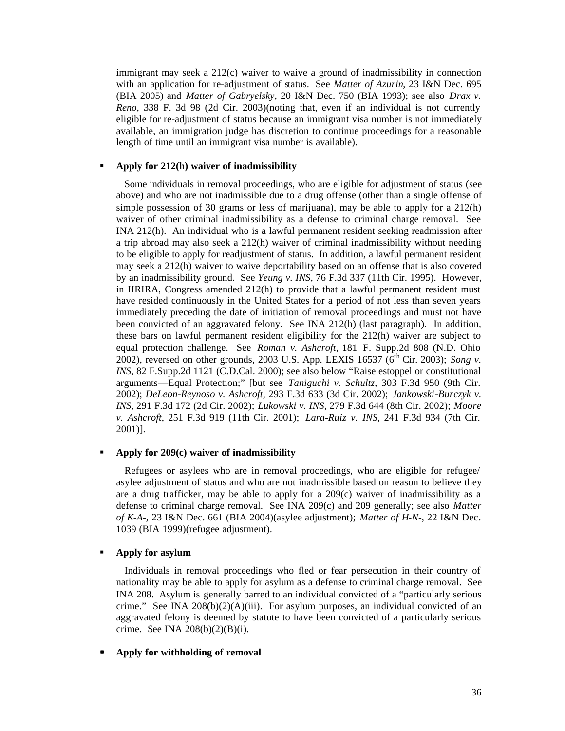immigrant may seek a 212(c) waiver to waive a ground of inadmissibility in connection with an application for re-adjustment of status. See *Matter of Azurin*, 23 I&N Dec. 695 (BIA 2005) and *Matter of Gabryelsky*, 20 I&N Dec. 750 (BIA 1993); see also *Drax v. Reno*, 338 F. 3d 98 (2d Cir. 2003)(noting that, even if an individual is not currently eligible for re-adjustment of status because an immigrant visa number is not immediately available, an immigration judge has discretion to continue proceedings for a reasonable length of time until an immigrant visa number is available).

#### ß **Apply for 212(h) waiver of inadmissibility**

 Some individuals in removal proceedings, who are eligible for adjustment of status (see above) and who are not inadmissible due to a drug offense (other than a single offense of simple possession of 30 grams or less of marijuana), may be able to apply for a 212(h) waiver of other criminal inadmissibility as a defense to criminal charge removal. See INA 212(h). An individual who is a lawful permanent resident seeking readmission after a trip abroad may also seek a 212(h) waiver of criminal inadmissibility without needing to be eligible to apply for readjustment of status. In addition, a lawful permanent resident may seek a 212(h) waiver to waive deportability based on an offense that is also covered by an inadmissibility ground. See *Yeung v. INS*, 76 F.3d 337 (11th Cir. 1995). However, in IIRIRA, Congress amended 212(h) to provide that a lawful permanent resident must have resided continuously in the United States for a period of not less than seven years immediately preceding the date of initiation of removal proceedings and must not have been convicted of an aggravated felony. See INA 212(h) (last paragraph). In addition, these bars on lawful permanent resident eligibility for the 212(h) waiver are subject to equal protection challenge. See *Roman v. Ashcroft*, 181 F. Supp.2d 808 (N.D. Ohio 2002), reversed on other grounds, 2003 U.S. App. LEXIS 16537 ( $6<sup>th</sup>$  Cir. 2003); *Song v. INS*, 82 F.Supp.2d 1121 (C.D.Cal. 2000); see also below "Raise estoppel or constitutional arguments—Equal Protection;" [but see *Taniguchi v. Schultz*, 303 F.3d 950 (9th Cir. 2002); *DeLeon-Reynoso v. Ashcroft*, 293 F.3d 633 (3d Cir. 2002); *Jankowski-Burczyk v. INS*, 291 F.3d 172 (2d Cir. 2002); *Lukowski v. INS*, 279 F.3d 644 (8th Cir. 2002); *Moore v. Ashcroft*, 251 F.3d 919 (11th Cir. 2001); *Lara-Ruiz v. INS*, 241 F.3d 934 (7th Cir. 2001)].

#### ß **Apply for 209(c) waiver of inadmissibility**

 Refugees or asylees who are in removal proceedings, who are eligible for refugee/ asylee adjustment of status and who are not inadmissible based on reason to believe they are a drug trafficker, may be able to apply for a 209(c) waiver of inadmissibility as a defense to criminal charge removal. See INA 209(c) and 209 generally; see also *Matter of K-A-,* 23 I&N Dec. 661 (BIA 2004)(asylee adjustment); *Matter of H-N-*, 22 I&N Dec. 1039 (BIA 1999)(refugee adjustment).

#### **Apply for asylum**

 Individuals in removal proceedings who fled or fear persecution in their country of nationality may be able to apply for asylum as a defense to criminal charge removal. See INA 208. Asylum is generally barred to an individual convicted of a "particularly serious crime." See INA  $208(b)(2)(A)(iii)$ . For asylum purposes, an individual convicted of an aggravated felony is deemed by statute to have been convicted of a particularly serious crime. See INA 208(b)(2)(B)(i).

#### **ß Apply for withholding of removal**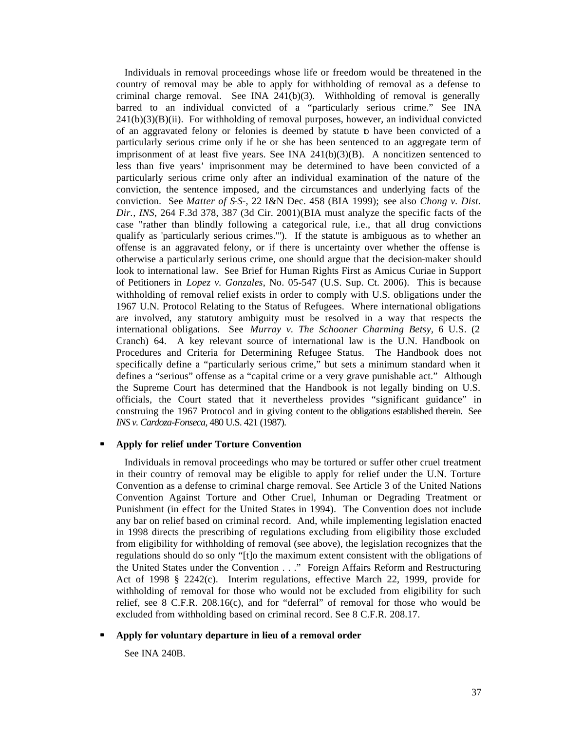Individuals in removal proceedings whose life or freedom would be threatened in the country of removal may be able to apply for withholding of removal as a defense to criminal charge removal. See INA  $241(b)(3)$ . Withholding of removal is generally barred to an individual convicted of a "particularly serious crime." See INA  $241(b)(3)(B)(ii)$ . For withholding of removal purposes, however, an individual convicted of an aggravated felony or felonies is deemed by statute to have been convicted of a particularly serious crime only if he or she has been sentenced to an aggregate term of imprisonment of at least five years. See INA  $241(b)(3)(B)$ . A noncitizen sentenced to less than five years' imprisonment may be determined to have been convicted of a particularly serious crime only after an individual examination of the nature of the conviction, the sentence imposed, and the circumstances and underlying facts of the conviction. See *Matter of S-S-*, 22 I&N Dec. 458 (BIA 1999); see also *Chong v. Dist. Dir., INS*, 264 F.3d 378, 387 (3d Cir. 2001)(BIA must analyze the specific facts of the case "rather than blindly following a categorical rule, i.e., that all drug convictions qualify as 'particularly serious crimes.'"). If the statute is ambiguous as to whether an offense is an aggravated felony, or if there is uncertainty over whether the offense is otherwise a particularly serious crime, one should argue that the decision-maker should look to international law. See Brief for Human Rights First as Amicus Curiae in Support of Petitioners in *Lopez v. Gonzales*, No. 05-547 (U.S. Sup. Ct. 2006). This is because withholding of removal relief exists in order to comply with U.S. obligations under the 1967 U.N. Protocol Relating to the Status of Refugees. Where international obligations are involved, any statutory ambiguity must be resolved in a way that respects the international obligations. See *Murray v. The Schooner Charming Betsy*, 6 U.S. (2 Cranch) 64. A key relevant source of international law is the U.N. Handbook on Procedures and Criteria for Determining Refugee Status. The Handbook does not specifically define a "particularly serious crime," but sets a minimum standard when it defines a "serious" offense as a "capital crime or a very grave punishable act." Although the Supreme Court has determined that the Handbook is not legally binding on U.S. officials, the Court stated that it nevertheless provides "significant guidance" in construing the 1967 Protocol and in giving content to the obligations established therein. See *INS v. Cardoza-Fonseca*, 480 U.S. 421 (1987).

#### **ß Apply for relief under Torture Convention**

 Individuals in removal proceedings who may be tortured or suffer other cruel treatment in their country of removal may be eligible to apply for relief under the U.N. Torture Convention as a defense to criminal charge removal. See Article 3 of the United Nations Convention Against Torture and Other Cruel, Inhuman or Degrading Treatment or Punishment (in effect for the United States in 1994). The Convention does not include any bar on relief based on criminal record. And, while implementing legislation enacted in 1998 directs the prescribing of regulations excluding from eligibility those excluded from eligibility for withholding of removal (see above), the legislation recognizes that the regulations should do so only "[t]o the maximum extent consistent with the obligations of the United States under the Convention . . ." Foreign Affairs Reform and Restructuring Act of 1998 § 2242(c). Interim regulations, effective March 22, 1999, provide for withholding of removal for those who would not be excluded from eligibility for such relief, see  $8$  C.F.R. 208.16(c), and for "deferral" of removal for those who would be excluded from withholding based on criminal record. See 8 C.F.R. 208.17.

## **ß Apply for voluntary departure in lieu of a removal order**

See INA 240B.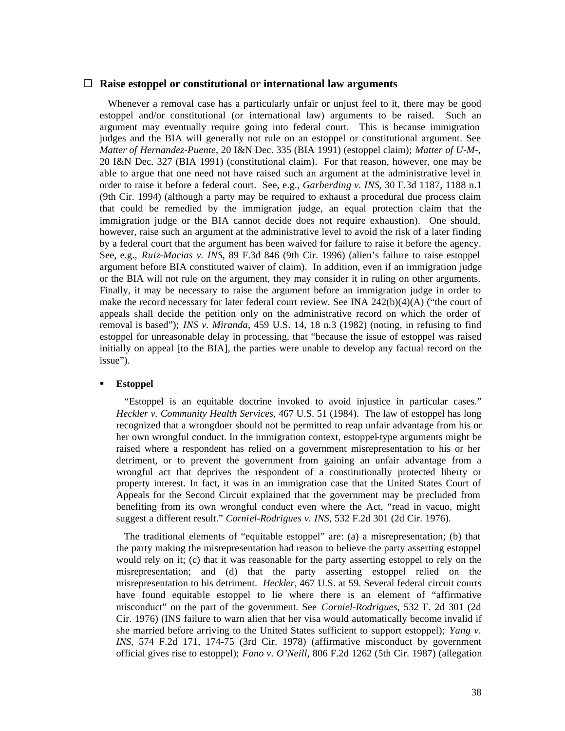#### □ Raise estoppel or constitutional or international law arguments

 Whenever a removal case has a particularly unfair or unjust feel to it, there may be good estoppel and/or constitutional (or international law) arguments to be raised. Such an argument may eventually require going into federal court. This is because immigration judges and the BIA will generally not rule on an estoppel or constitutional argument. See *Matter of Hernandez-Puente*, 20 I&N Dec. 335 (BIA 1991) (estoppel claim); *Matter of U-M-*, 20 I&N Dec. 327 (BIA 1991) (constitutional claim). For that reason, however, one may be able to argue that one need not have raised such an argument at the administrative level in order to raise it before a federal court. See, e.g., *Garberding v. INS*, 30 F.3d 1187, 1188 n.1 (9th Cir. 1994) (although a party may be required to exhaust a procedural due process claim that could be remedied by the immigration judge, an equal protection claim that the immigration judge or the BIA cannot decide does not require exhaustion). One should, however, raise such an argument at the administrative level to avoid the risk of a later finding by a federal court that the argument has been waived for failure to raise it before the agency. See, e.g., *Ruiz-Macias v. INS*, 89 F.3d 846 (9th Cir. 1996) (alien's failure to raise estoppel argument before BIA constituted waiver of claim). In addition, even if an immigration judge or the BIA will not rule on the argument, they may consider it in ruling on other arguments. Finally, it may be necessary to raise the argument before an immigration judge in order to make the record necessary for later federal court review. See INA 242(b)(4)(A) ("the court of appeals shall decide the petition only on the administrative record on which the order of removal is based"); *INS v. Miranda*, 459 U.S. 14, 18 n.3 (1982) (noting, in refusing to find estoppel for unreasonable delay in processing, that "because the issue of estoppel was raised initially on appeal [to the BIA], the parties were unable to develop any factual record on the issue").

#### **Estoppel**

 "Estoppel is an equitable doctrine invoked to avoid injustice in particular cases." *Heckler v. Community Health Services*, 467 U.S. 51 (1984). The law of estoppel has long recognized that a wrongdoer should not be permitted to reap unfair advantage from his or her own wrongful conduct. In the immigration context, estoppel-type arguments might be raised where a respondent has relied on a government misrepresentation to his or her detriment, or to prevent the government from gaining an unfair advantage from a wrongful act that deprives the respondent of a constitutionally protected liberty or property interest. In fact, it was in an immigration case that the United States Court of Appeals for the Second Circuit explained that the government may be precluded from benefiting from its own wrongful conduct even where the Act, "read in vacuo, might suggest a different result." *Corniel-Rodrigues v. INS*, 532 F.2d 301 (2d Cir. 1976).

 The traditional elements of "equitable estoppel" are: (a) a misrepresentation; (b) that the party making the misrepresentation had reason to believe the party asserting estoppel would rely on it; (c) that it was reasonable for the party asserting estoppel to rely on the misrepresentation; and (d) that the party asserting estoppel relied on the misrepresentation to his detriment. *Heckler*, 467 U.S. at 59. Several federal circuit courts have found equitable estoppel to lie where there is an element of "affirmative misconduct" on the part of the government. See *Corniel-Rodrigues*, 532 F. 2d 301 (2d Cir. 1976) (INS failure to warn alien that her visa would automatically become invalid if she married before arriving to the United States sufficient to support estoppel); *Yang v. INS*, 574 F.2d 171, 174-75 (3rd Cir. 1978) (affirmative misconduct by government official gives rise to estoppel); *Fano v. O'Neill*, 806 F.2d 1262 (5th Cir. 1987) (allegation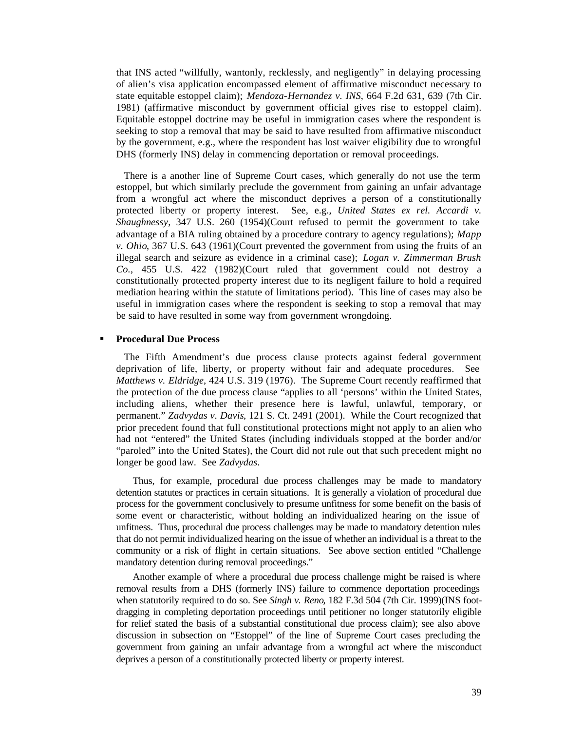that INS acted "willfully, wantonly, recklessly, and negligently" in delaying processing of alien's visa application encompassed element of affirmative misconduct necessary to state equitable estoppel claim); *Mendoza-Hernandez v. INS*, 664 F.2d 631, 639 (7th Cir. 1981) (affirmative misconduct by government official gives rise to estoppel claim). Equitable estoppel doctrine may be useful in immigration cases where the respondent is seeking to stop a removal that may be said to have resulted from affirmative misconduct by the government, e.g., where the respondent has lost waiver eligibility due to wrongful DHS (formerly INS) delay in commencing deportation or removal proceedings.

 There is a another line of Supreme Court cases, which generally do not use the term estoppel, but which similarly preclude the government from gaining an unfair advantage from a wrongful act where the misconduct deprives a person of a constitutionally protected liberty or property interest. See, e.g., *United States ex rel. Accardi v. Shaughnessy*, 347 U.S. 260 (1954)(Court refused to permit the government to take advantage of a BIA ruling obtained by a procedure contrary to agency regulations); *Mapp v. Ohio*, 367 U.S. 643 (1961)(Court prevented the government from using the fruits of an illegal search and seizure as evidence in a criminal case); *Logan v. Zimmerman Brush Co.*, 455 U.S. 422 (1982)(Court ruled that government could not destroy a constitutionally protected property interest due to its negligent failure to hold a required mediation hearing within the statute of limitations period). This line of cases may also be useful in immigration cases where the respondent is seeking to stop a removal that may be said to have resulted in some way from government wrongdoing.

#### ß **Procedural Due Process**

 The Fifth Amendment's due process clause protects against federal government deprivation of life, liberty, or property without fair and adequate procedures. See *Matthews v. Eldridge*, 424 U.S. 319 (1976). The Supreme Court recently reaffirmed that the protection of the due process clause "applies to all 'persons' within the United States, including aliens, whether their presence here is lawful, unlawful, temporary, or permanent." *Zadvydas v. Davis*, 121 S. Ct. 2491 (2001). While the Court recognized that prior precedent found that full constitutional protections might not apply to an alien who had not "entered" the United States (including individuals stopped at the border and/or "paroled" into the United States), the Court did not rule out that such precedent might no longer be good law. See *Zadvydas*.

Thus, for example, procedural due process challenges may be made to mandatory detention statutes or practices in certain situations. It is generally a violation of procedural due process for the government conclusively to presume unfitness for some benefit on the basis of some event or characteristic, without holding an individualized hearing on the issue of unfitness. Thus, procedural due process challenges may be made to mandatory detention rules that do not permit individualized hearing on the issue of whether an individual is a threat to the community or a risk of flight in certain situations. See above section entitled "Challenge mandatory detention during removal proceedings."

Another example of where a procedural due process challenge might be raised is where removal results from a DHS (formerly INS) failure to commence deportation proceedings when statutorily required to do so. See *Singh v. Reno*, 182 F.3d 504 (7th Cir. 1999)(INS footdragging in completing deportation proceedings until petitioner no longer statutorily eligible for relief stated the basis of a substantial constitutional due process claim); see also above discussion in subsection on "Estoppel" of the line of Supreme Court cases precluding the government from gaining an unfair advantage from a wrongful act where the misconduct deprives a person of a constitutionally protected liberty or property interest.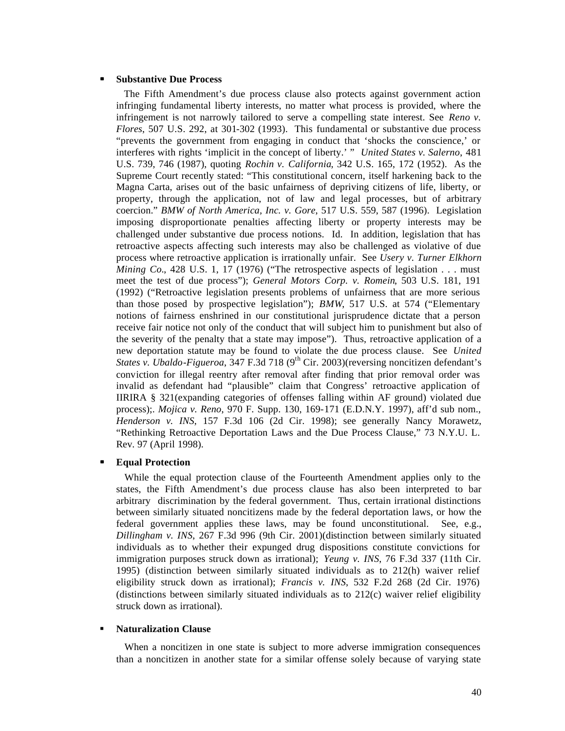#### **ß Substantive Due Process**

 The Fifth Amendment's due process clause also protects against government action infringing fundamental liberty interests, no matter what process is provided, where the infringement is not narrowly tailored to serve a compelling state interest. See *Reno v. Flores*, 507 U.S. 292, at 301-302 (1993). This fundamental or substantive due process "prevents the government from engaging in conduct that 'shocks the conscience,' or interferes with rights 'implicit in the concept of liberty.' " *United States v. Salerno*, 481 U.S. 739, 746 (1987), quoting *Rochin v. California*, 342 U.S. 165, 172 (1952). As the Supreme Court recently stated: "This constitutional concern, itself harkening back to the Magna Carta, arises out of the basic unfairness of depriving citizens of life, liberty, or property, through the application, not of law and legal processes, but of arbitrary coercion." *BMW of North America, Inc. v. Gore*, 517 U.S. 559, 587 (1996). Legislation imposing disproportionate penalties affecting liberty or property interests may be challenged under substantive due process notions. Id. In addition, legislation that has retroactive aspects affecting such interests may also be challenged as violative of due process where retroactive application is irrationally unfair. See *Usery v. Turner Elkhorn Mining Co.*, 428 U.S. 1, 17 (1976) ("The retrospective aspects of legislation . . . must meet the test of due process"); *General Motors Corp. v. Romein*, 503 U.S. 181, 191 (1992) ("Retroactive legislation presents problems of unfairness that are more serious than those posed by prospective legislation"); *BMW*, 517 U.S. at 574 ("Elementary notions of fairness enshrined in our constitutional jurisprudence dictate that a person receive fair notice not only of the conduct that will subject him to punishment but also of the severity of the penalty that a state may impose"). Thus, retroactive application of a new deportation statute may be found to violate the due process clause. See *United States v. Ubaldo-Figueroa*, 347 F.3d 718 (9<sup>th</sup> Cir. 2003)(reversing noncitizen defendant's conviction for illegal reentry after removal after finding that prior removal order was invalid as defendant had "plausible" claim that Congress' retroactive application of IIRIRA § 321(expanding categories of offenses falling within AF ground) violated due process);. *Mojica v. Reno*, 970 F. Supp. 130, 169-171 (E.D.N.Y. 1997), aff'd sub nom., *Henderson v. INS*, 157 F.3d 106 (2d Cir. 1998); see generally Nancy Morawetz, "Rethinking Retroactive Deportation Laws and the Due Process Clause," 73 N.Y.U. L. Rev. 97 (April 1998).

#### **ß Equal Protection**

 While the equal protection clause of the Fourteenth Amendment applies only to the states, the Fifth Amendment's due process clause has also been interpreted to bar arbitrary discrimination by the federal government. Thus, certain irrational distinctions between similarly situated noncitizens made by the federal deportation laws, or how the federal government applies these laws, may be found unconstitutional. See, e.g., *Dillingham v. INS*, 267 F.3d 996 (9th Cir. 2001)(distinction between similarly situated individuals as to whether their expunged drug dispositions constitute convictions for immigration purposes struck down as irrational); *Yeung v. INS*, 76 F.3d 337 (11th Cir. 1995) (distinction between similarly situated individuals as to 212(h) waiver relief eligibility struck down as irrational); *Francis v. INS*, 532 F.2d 268 (2d Cir. 1976) (distinctions between similarly situated individuals as to 212(c) waiver relief eligibility struck down as irrational).

## **Katuralization Clause**

 When a noncitizen in one state is subject to more adverse immigration consequences than a noncitizen in another state for a similar offense solely because of varying state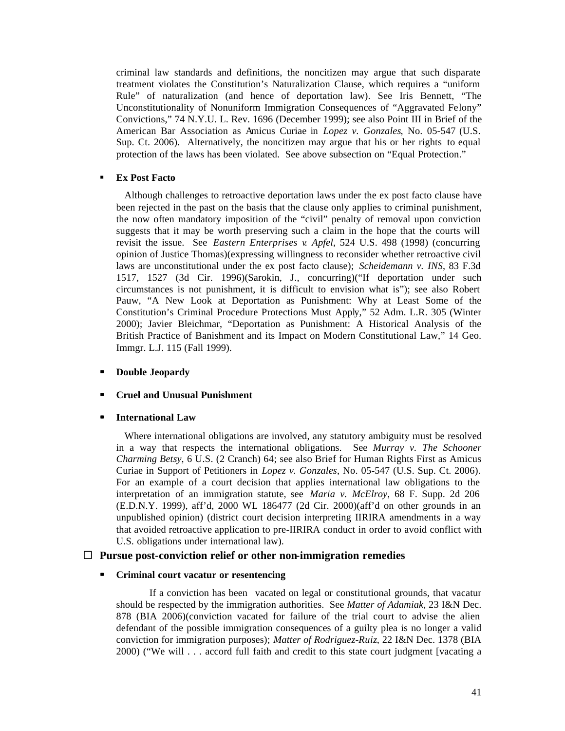criminal law standards and definitions, the noncitizen may argue that such disparate treatment violates the Constitution's Naturalization Clause, which requires a "uniform Rule" of naturalization (and hence of deportation law). See Iris Bennett, "The Unconstitutionality of Nonuniform Immigration Consequences of "Aggravated Felony" Convictions," 74 N.Y.U. L. Rev. 1696 (December 1999); see also Point III in Brief of the American Bar Association as Amicus Curiae in *Lopez v. Gonzales*, No. 05-547 (U.S. Sup. Ct. 2006). Alternatively, the noncitizen may argue that his or her rights to equal protection of the laws has been violated. See above subsection on "Equal Protection."

#### ß **Ex Post Facto**

 Although challenges to retroactive deportation laws under the ex post facto clause have been rejected in the past on the basis that the clause only applies to criminal punishment, the now often mandatory imposition of the "civil" penalty of removal upon conviction suggests that it may be worth preserving such a claim in the hope that the courts will revisit the issue. See *Eastern Enterprises v. Apfel*, 524 U.S. 498 (1998) (concurring opinion of Justice Thomas)(expressing willingness to reconsider whether retroactive civil laws are unconstitutional under the ex post facto clause); *Scheidemann v. INS*, 83 F.3d 1517, 1527 (3d Cir. 1996)(Sarokin, J., concurring)("If deportation under such circumstances is not punishment, it is difficult to envision what is"); see also Robert Pauw, "A New Look at Deportation as Punishment: Why at Least Some of the Constitution's Criminal Procedure Protections Must Apply," 52 Adm. L.R. 305 (Winter 2000); Javier Bleichmar, "Deportation as Punishment: A Historical Analysis of the British Practice of Banishment and its Impact on Modern Constitutional Law," 14 Geo. Immgr. L.J. 115 (Fall 1999).

#### **ß Double Jeopardy**

#### **ß Cruel and Unusual Punishment**

#### **ß International Law**

 Where international obligations are involved, any statutory ambiguity must be resolved in a way that respects the international obligations. See *Murray v. The Schooner Charming Betsy*, 6 U.S. (2 Cranch) 64; see also Brief for Human Rights First as Amicus Curiae in Support of Petitioners in *Lopez v. Gonzales*, No. 05-547 (U.S. Sup. Ct. 2006). For an example of a court decision that applies international law obligations to the interpretation of an immigration statute, see *Maria v. McElroy*, 68 F. Supp. 2d 206 (E.D.N.Y. 1999), aff'd, 2000 WL 186477 (2d Cir. 2000)(aff'd on other grounds in an unpublished opinion) (district court decision interpreting IIRIRA amendments in a way that avoided retroactive application to pre-IIRIRA conduct in order to avoid conflict with U.S. obligations under international law).

## ® **Pursue post-conviction relief or other non-immigration remedies**

#### **ß Criminal court vacatur or resentencing**

If a conviction has been vacated on legal or constitutional grounds, that vacatur should be respected by the immigration authorities. See *Matter of Adamiak*, 23 I&N Dec. 878 (BIA 2006)(conviction vacated for failure of the trial court to advise the alien defendant of the possible immigration consequences of a guilty plea is no longer a valid conviction for immigration purposes); *Matter of Rodriguez-Ruiz*, 22 I&N Dec. 1378 (BIA 2000) ("We will . . . accord full faith and credit to this state court judgment [vacating a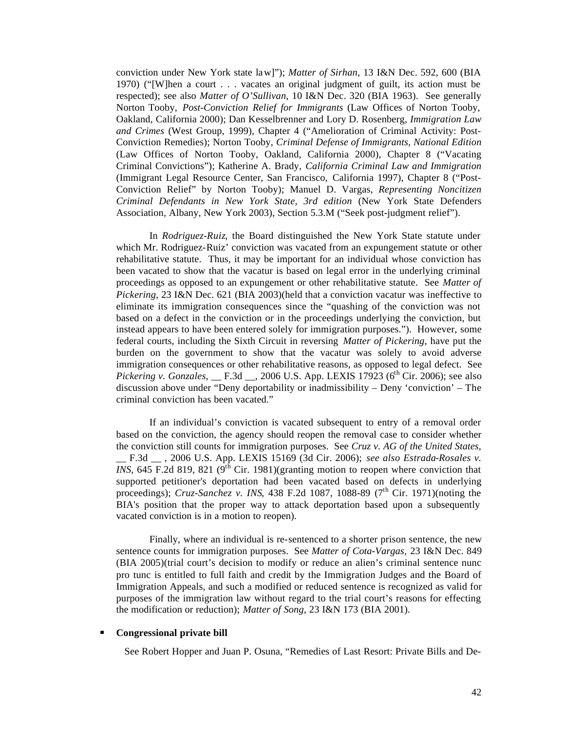conviction under New York state law]"); *Matter of Sirhan*, 13 I&N Dec. 592, 600 (BIA 1970) ("[W]hen a court . . . vacates an original judgment of guilt, its action must be respected); see also *Matter of O'Sullivan*, 10 I&N Dec. 320 (BIA 1963). See generally Norton Tooby, *Post-Conviction Relief for Immigrants* (Law Offices of Norton Tooby, Oakland, California 2000); Dan Kesselbrenner and Lory D. Rosenberg, *Immigration Law and Crimes* (West Group, 1999), Chapter 4 ("Amelioration of Criminal Activity: Post-Conviction Remedies); Norton Tooby, *Criminal Defense of Immigrants, National Edition* (Law Offices of Norton Tooby, Oakland, California 2000), Chapter 8 ("Vacating Criminal Convictions"); Katherine A. Brady, *California Criminal Law and Immigration* (Immigrant Legal Resource Center, San Francisco, California 1997), Chapter 8 ("Post-Conviction Relief" by Norton Tooby); Manuel D. Vargas, *Representing Noncitizen Criminal Defendants in New York State, 3rd edition* (New York State Defenders Association, Albany, New York 2003), Section 5.3.M ("Seek post-judgment relief").

In *Rodriguez-Ruiz*, the Board distinguished the New York State statute under which Mr. Rodriguez-Ruiz' conviction was vacated from an expungement statute or other rehabilitative statute. Thus, it may be important for an individual whose conviction has been vacated to show that the vacatur is based on legal error in the underlying criminal proceedings as opposed to an expungement or other rehabilitative statute. See *Matter of Pickering*, 23 I&N Dec. 621 (BIA 2003)(held that a conviction vacatur was ineffective to eliminate its immigration consequences since the "quashing of the conviction was not based on a defect in the conviction or in the proceedings underlying the conviction, but instead appears to have been entered solely for immigration purposes."). However, some federal courts, including the Sixth Circuit in reversing *Matter of Pickering*, have put the burden on the government to show that the vacatur was solely to avoid adverse immigration consequences or other rehabilitative reasons, as opposed to legal defect. See *Pickering v. Gonzales*, *\_\_ F.3d \_\_, 2006 U.S. App. LEXIS 17923* (6<sup>th</sup> Cir. 2006); see also discussion above under "Deny deportability or inadmissibility – Deny 'conviction' – The criminal conviction has been vacated."

If an individual's conviction is vacated subsequent to entry of a removal order based on the conviction, the agency should reopen the removal case to consider whether the conviction still counts for immigration purposes. See *Cruz v. AG of the United States*, \_\_ F.3d \_\_ , 2006 U.S. App. LEXIS 15169 (3d Cir. 2006); *see also Estrada-Rosales v. INS*, 645 F.2d 819, 821 ( $9^{th}$  Cir. 1981)(granting motion to reopen where conviction that supported petitioner's deportation had been vacated based on defects in underlying proceedings); *Cruz-Sanchez v. INS*, 438 F.2d 1087, 1088-89 (7<sup>th</sup> Cir. 1971)(noting the BIA's position that the proper way to attack deportation based upon a subsequently vacated conviction is in a motion to reopen).

Finally, where an individual is re-sentenced to a shorter prison sentence, the new sentence counts for immigration purposes. See *Matter of Cota-Vargas,* 23 I&N Dec. 849 (BIA 2005)(trial court's decision to modify or reduce an alien's criminal sentence nunc pro tunc is entitled to full faith and credit by the Immigration Judges and the Board of Immigration Appeals, and such a modified or reduced sentence is recognized as valid for purposes of the immigration law without regard to the trial court's reasons for effecting the modification or reduction); *Matter of Song*, 23 I&N 173 (BIA 2001).

#### **ß Congressional private bill**

See Robert Hopper and Juan P. Osuna, "Remedies of Last Resort: Private Bills and De-